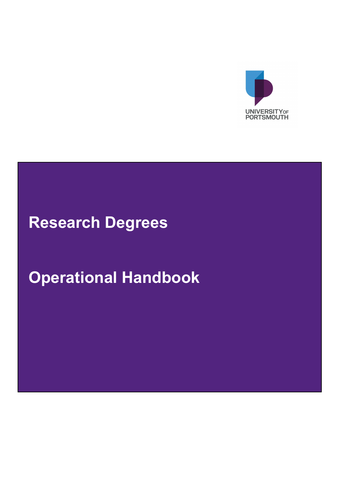

## **Research Degrees**

# **Operational Handbook**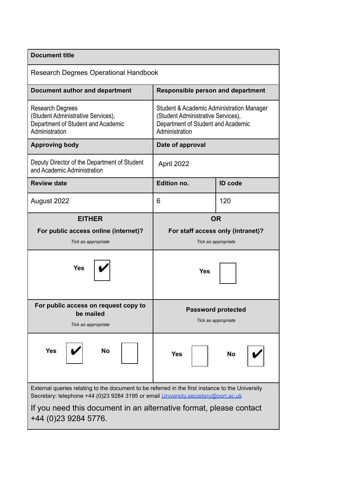| <b>Document title</b>                                                                                                                                                                 |                                                                                                                                         |                                   |  |
|---------------------------------------------------------------------------------------------------------------------------------------------------------------------------------------|-----------------------------------------------------------------------------------------------------------------------------------------|-----------------------------------|--|
| <b>Research Degrees Operational Handbook</b>                                                                                                                                          |                                                                                                                                         |                                   |  |
| Document author and department                                                                                                                                                        | <b>Responsible person and department</b>                                                                                                |                                   |  |
| <b>Research Degrees</b><br>(Student Administrative Services),<br>Department of Student and Academic<br>Administration                                                                 | Student & Academic Administration Manager<br>(Student Administrative Services),<br>Department of Student and Academic<br>Administration |                                   |  |
| <b>Approving body</b>                                                                                                                                                                 | Date of approval                                                                                                                        |                                   |  |
| Deputy Director of the Department of Student<br>and Academic Administration                                                                                                           | April 2022                                                                                                                              |                                   |  |
| <b>Review date</b>                                                                                                                                                                    | <b>Edition no.</b>                                                                                                                      | <b>ID</b> code                    |  |
| August 2022                                                                                                                                                                           | 6                                                                                                                                       | 120                               |  |
| <b>EITHER</b>                                                                                                                                                                         | <b>OR</b>                                                                                                                               |                                   |  |
| For public access online (internet)?                                                                                                                                                  |                                                                                                                                         | For staff access only (intranet)? |  |
| Tick as appropriate                                                                                                                                                                   | Tick as appropriate                                                                                                                     |                                   |  |
| Yes                                                                                                                                                                                   | Yes                                                                                                                                     |                                   |  |
| For public access on request copy to<br>be mailed                                                                                                                                     | <b>Password protected</b><br>Tick as appropriate                                                                                        |                                   |  |
| Tick as appropriate                                                                                                                                                                   |                                                                                                                                         |                                   |  |
| <b>Yes</b><br><b>No</b>                                                                                                                                                               | <b>Yes</b>                                                                                                                              | No                                |  |
| External queries relating to the document to be referred in the first instance to the University<br>Secretary: telephone +44 (0)23 9284 3195 or email University.secretary@port.ac.uk |                                                                                                                                         |                                   |  |
| If you need this document in an alternative format, please contact                                                                                                                    |                                                                                                                                         |                                   |  |
| +44 (0)23 9284 5776.                                                                                                                                                                  |                                                                                                                                         |                                   |  |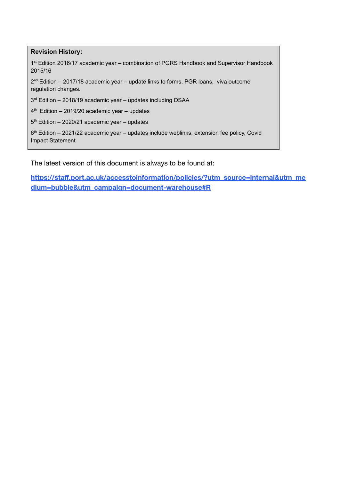**Revision History:** 1<sup>st</sup> Edition 2016/17 academic year – combination of PGRS Handbook and Supervisor Handbook 2015/16 2<sup>nd</sup> Edition – 2017/18 academic year – update links to forms, PGR loans, viva outcome regulation changes. 3<sup>rd</sup> Edition – 2018/19 academic year – updates including DSAA 4 th Edition – 2019/20 academic year – updates

5 th Edition – 2020/21 academic year – updates

6<sup>th</sup> Edition – 2021/22 academic year – updates include weblinks, extension fee policy, Covid Impact Statement

The latest version of this document is always to be found at:

**[https://staff.port.ac.uk/accesstoinformation/policies/?utm\\_source=internal&utm\\_me](https://staff.port.ac.uk/accesstoinformation/policies/?utm_source=internal&utm_medium=bubble&utm_campaign=document-warehouse#R) [dium=bubble&utm\\_campaign=document-warehouse#R](https://staff.port.ac.uk/accesstoinformation/policies/?utm_source=internal&utm_medium=bubble&utm_campaign=document-warehouse#R)**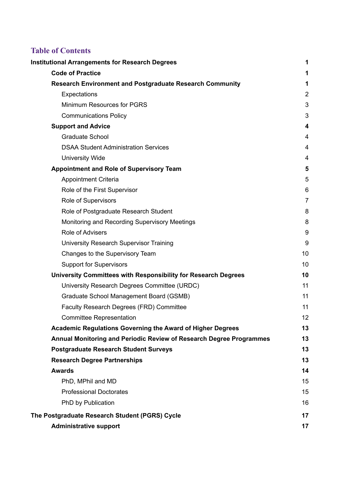## **Table of Contents**

| <b>Institutional Arrangements for Research Degrees</b>                     | 1                       |
|----------------------------------------------------------------------------|-------------------------|
| <b>Code of Practice</b>                                                    | 1                       |
| <b>Research Environment and Postgraduate Research Community</b>            | 1                       |
| Expectations                                                               | $\overline{2}$          |
| Minimum Resources for PGRS                                                 | 3                       |
| <b>Communications Policy</b>                                               | 3                       |
| <b>Support and Advice</b>                                                  | 4                       |
| <b>Graduate School</b>                                                     | 4                       |
| <b>DSAA Student Administration Services</b>                                | $\overline{\mathbf{4}}$ |
| <b>University Wide</b>                                                     | 4                       |
| <b>Appointment and Role of Supervisory Team</b>                            | 5                       |
| <b>Appointment Criteria</b>                                                | 5                       |
| Role of the First Supervisor                                               | 6                       |
| Role of Supervisors                                                        | $\overline{7}$          |
| Role of Postgraduate Research Student                                      | 8                       |
| Monitoring and Recording Supervisory Meetings                              | 8                       |
| <b>Role of Advisers</b>                                                    | 9                       |
| University Research Supervisor Training                                    | 9                       |
| Changes to the Supervisory Team                                            | 10                      |
| <b>Support for Supervisors</b>                                             | 10                      |
| University Committees with Responsibility for Research Degrees             | 10                      |
| University Research Degrees Committee (URDC)                               | 11                      |
| Graduate School Management Board (GSMB)                                    | 11                      |
| Faculty Research Degrees (FRD) Committee                                   | 11                      |
| <b>Committee Representation</b>                                            | 12                      |
| Academic Regulations Governing the Award of Higher Degrees                 | 13                      |
| <b>Annual Monitoring and Periodic Review of Research Degree Programmes</b> | 13                      |
| <b>Postgraduate Research Student Surveys</b>                               | 13                      |
| <b>Research Degree Partnerships</b>                                        | 13                      |
| <b>Awards</b>                                                              | 14                      |
| PhD, MPhil and MD                                                          | 15                      |
| <b>Professional Doctorates</b>                                             | 15                      |
| PhD by Publication                                                         | 16                      |
| The Postgraduate Research Student (PGRS) Cycle                             | 17                      |
| <b>Administrative support</b>                                              | 17                      |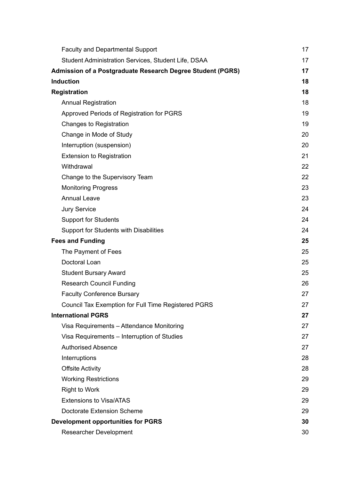| <b>Faculty and Departmental Support</b>                           | 17 |
|-------------------------------------------------------------------|----|
| Student Administration Services, Student Life, DSAA               | 17 |
| <b>Admission of a Postgraduate Research Degree Student (PGRS)</b> | 17 |
| <b>Induction</b>                                                  | 18 |
| <b>Registration</b>                                               | 18 |
| <b>Annual Registration</b>                                        | 18 |
| Approved Periods of Registration for PGRS                         | 19 |
| Changes to Registration                                           | 19 |
| Change in Mode of Study                                           | 20 |
| Interruption (suspension)                                         | 20 |
| <b>Extension to Registration</b>                                  | 21 |
| Withdrawal                                                        | 22 |
| Change to the Supervisory Team                                    | 22 |
| <b>Monitoring Progress</b>                                        | 23 |
| <b>Annual Leave</b>                                               | 23 |
| <b>Jury Service</b>                                               | 24 |
| <b>Support for Students</b>                                       | 24 |
| Support for Students with Disabilities                            | 24 |
| <b>Fees and Funding</b>                                           | 25 |
| The Payment of Fees                                               | 25 |
| Doctoral Loan                                                     | 25 |
| <b>Student Bursary Award</b>                                      | 25 |
| <b>Research Council Funding</b>                                   | 26 |
| <b>Faculty Conference Bursary</b>                                 | 27 |
| Council Tax Exemption for Full Time Registered PGRS               | 27 |
| <b>International PGRS</b>                                         | 27 |
| Visa Requirements - Attendance Monitoring                         | 27 |
| Visa Requirements – Interruption of Studies                       | 27 |
| <b>Authorised Absence</b>                                         | 27 |
| Interruptions                                                     | 28 |
| <b>Offsite Activity</b>                                           | 28 |
| <b>Working Restrictions</b>                                       | 29 |
| <b>Right to Work</b>                                              | 29 |
| <b>Extensions to Visa/ATAS</b>                                    | 29 |
| Doctorate Extension Scheme                                        | 29 |
| <b>Development opportunities for PGRS</b>                         | 30 |
| Researcher Development                                            | 30 |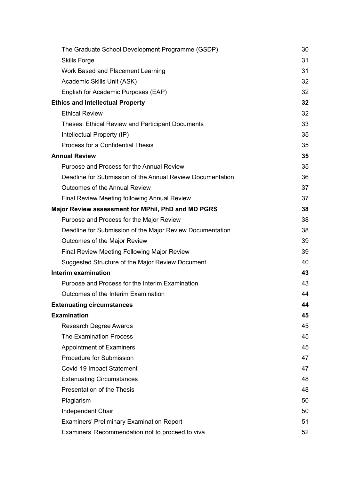| The Graduate School Development Programme (GSDP)           | 30 |
|------------------------------------------------------------|----|
| <b>Skills Forge</b>                                        | 31 |
| Work Based and Placement Learning                          | 31 |
| Academic Skills Unit (ASK)                                 | 32 |
| English for Academic Purposes (EAP)                        | 32 |
| <b>Ethics and Intellectual Property</b>                    | 32 |
| <b>Ethical Review</b>                                      | 32 |
| <b>Theses: Ethical Review and Participant Documents</b>    | 33 |
| Intellectual Property (IP)                                 | 35 |
| Process for a Confidential Thesis                          | 35 |
| <b>Annual Review</b>                                       | 35 |
| Purpose and Process for the Annual Review                  | 35 |
| Deadline for Submission of the Annual Review Documentation | 36 |
| <b>Outcomes of the Annual Review</b>                       | 37 |
| <b>Final Review Meeting following Annual Review</b>        | 37 |
| Major Review assessment for MPhil, PhD and MD PGRS         | 38 |
| Purpose and Process for the Major Review                   | 38 |
| Deadline for Submission of the Major Review Documentation  | 38 |
| Outcomes of the Major Review                               | 39 |
| <b>Final Review Meeting Following Major Review</b>         | 39 |
| Suggested Structure of the Major Review Document           | 40 |
| Interim examination                                        | 43 |
| Purpose and Process for the Interim Examination            | 43 |
| Outcomes of the Interim Examination                        | 44 |
| <b>Extenuating circumstances</b>                           | 44 |
| <b>Examination</b>                                         | 45 |
| Research Degree Awards                                     | 45 |
| <b>The Examination Process</b>                             | 45 |
| <b>Appointment of Examiners</b>                            | 45 |
| Procedure for Submission                                   | 47 |
| Covid-19 Impact Statement                                  | 47 |
| <b>Extenuating Circumstances</b>                           | 48 |
| Presentation of the Thesis                                 | 48 |
| Plagiarism                                                 | 50 |
| Independent Chair                                          | 50 |
| <b>Examiners' Preliminary Examination Report</b>           | 51 |
| Examiners' Recommendation not to proceed to viva           | 52 |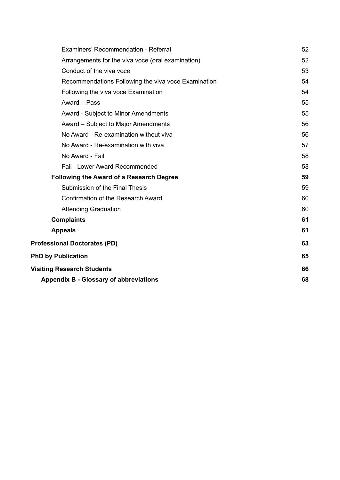| Examiners' Recommendation - Referral                | 52 |
|-----------------------------------------------------|----|
| Arrangements for the viva voce (oral examination)   | 52 |
| Conduct of the viva voce                            | 53 |
| Recommendations Following the viva voce Examination | 54 |
| Following the viva voce Examination                 | 54 |
| Award - Pass                                        | 55 |
| <b>Award - Subject to Minor Amendments</b>          | 55 |
| Award – Subject to Major Amendments                 | 56 |
| No Award - Re-examination without viva              | 56 |
| No Award - Re-examination with viva                 | 57 |
| No Award - Fail                                     | 58 |
| Fail - Lower Award Recommended                      | 58 |
| <b>Following the Award of a Research Degree</b>     | 59 |
| Submission of the Final Thesis                      | 59 |
| Confirmation of the Research Award                  | 60 |
| <b>Attending Graduation</b>                         | 60 |
| <b>Complaints</b>                                   | 61 |
| <b>Appeals</b>                                      | 61 |
| <b>Professional Doctorates (PD)</b>                 | 63 |
| <b>PhD by Publication</b>                           | 65 |
| <b>Visiting Research Students</b>                   | 66 |
| <b>Appendix B - Glossary of abbreviations</b>       | 68 |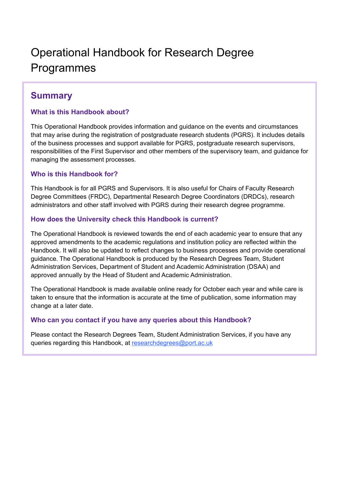## Operational Handbook for Research Degree Programmes

## **Summary**

#### **What is this Handbook about?**

This Operational Handbook provides information and guidance on the events and circumstances that may arise during the registration of postgraduate research students (PGRS). It includes details of the business processes and support available for PGRS, postgraduate research supervisors, responsibilities of the First Supervisor and other members of the supervisory team, and guidance for managing the assessment processes.

#### **Who is this Handbook for?**

This Handbook is for all PGRS and Supervisors. It is also useful for Chairs of Faculty Research Degree Committees (FRDC), Departmental Research Degree Coordinators (DRDCs), research administrators and other staff involved with PGRS during their research degree programme.

#### **How does the University check this Handbook is current?**

The Operational Handbook is reviewed towards the end of each academic year to ensure that any approved amendments to the academic regulations and institution policy are reflected within the Handbook. It will also be updated to reflect changes to business processes and provide operational guidance. The Operational Handbook is produced by the Research Degrees Team, Student Administration Services, Department of Student and Academic Administration (DSAA) and approved annually by the Head of Student and Academic Administration.

The Operational Handbook is made available online ready for October each year and while care is taken to ensure that the information is accurate at the time of publication, some information may change at a later date.

#### **Who can you contact if you have any queries about this Handbook?**

Please contact the Research Degrees Team, Student Administration Services, if you have any queries regarding this Handbook, at [researchdegrees@port.ac.uk](mailto:researchdegrees@port.ac.uk)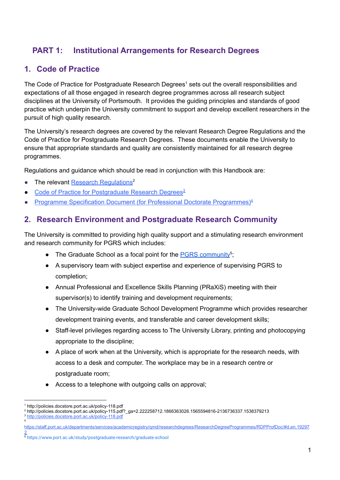## <span id="page-9-0"></span>**PART 1: Institutional Arrangements for Research Degrees**

## <span id="page-9-1"></span>**1. Code of Practice**

The Code of Practice for Postgraduate Research Degrees<sup>1</sup> sets out the overall responsibilities and expectations of all those engaged in research degree programmes across all research subject disciplines at the University of Portsmouth. It provides the guiding principles and standards of good practice which underpin the University commitment to support and develop excellent researchers in the pursuit of high quality research.

The University's research degrees are covered by the relevant Research Degree Regulations and the Code of Practice for Postgraduate Research Degrees. These documents enable the University to ensure that appropriate standards and quality are consistently maintained for all research degree programmes.

Regulations and guidance which should be read in conjunction with this Handbook are:

- The relevant Research [Regulations](http://policies.docstore.port.ac.uk/policy-115.pdf?_ga=2.222258712.1866363026.1565594816-2136736337.1538379213)<sup>2</sup>
- Code of Practice for [Postgraduate](http://policies.docstore.port.ac.uk/policy-118.pdf) Research Degrees<sup>3</sup>
- Programme Specification Document (for Professional Doctorate [Programmes\)](https://staff.port.ac.uk/departments/services/academicregistry/qmd/researchdegrees/ResearchDegreeProgrammes/RDPProfDoc/#d.en.192972)<sup>4</sup>

## <span id="page-9-2"></span>**2. Research Environment and Postgraduate Research Community**

The University is committed to providing high quality support and a stimulating research environment and research community for PGRS which includes:

- The Graduate School as a focal point for the **PGRS** [community](https://www.port.ac.uk/study/postgraduate-research/graduate-school)<sup>5</sup>;
- A supervisory team with subject expertise and experience of supervising PGRS to completion;
- Annual Professional and Excellence Skills Planning (PRaXiS) meeting with their supervisor(s) to identify training and development requirements;
- The University-wide Graduate School Development Programme which provides researcher development training events, and transferable and career development skills;
- Staff-level privileges regarding access to The University Library, printing and photocopying appropriate to the discipline;
- A place of work when at the University, which is appropriate for the research needs, with access to a desk and computer. The workplace may be in a research centre or postgraduate room;
- Access to a telephone with outgoing calls on approval;

<sup>1</sup> http://policies.docstore.port.ac.uk/policy-118.pdf

<sup>2</sup> http://policies.docstore.port.ac.uk/policy-115.pdf?\_ga=2.222258712.1866363026.1565594816-2136736337.1538379213

<sup>4</sup> <sup>3</sup> <http://policies.docstore.port.ac.uk/policy-118.pdf>

[https://staff.port.ac.uk/departments/services/academicregistry/qmd/researchdegrees/ResearchDegreeProgrammes/RDPProfDoc/#d.en.19297](https://staff.port.ac.uk/departments/services/academicregistry/qmd/researchdegrees/ResearchDegreeProgrammes/RDPProfDoc/#d.en.192972) [2](https://staff.port.ac.uk/departments/services/academicregistry/qmd/researchdegrees/ResearchDegreeProgrammes/RDPProfDoc/#d.en.192972)

<sup>5</sup> <https://www.port.ac.uk/study/postgraduate-research/graduate-school>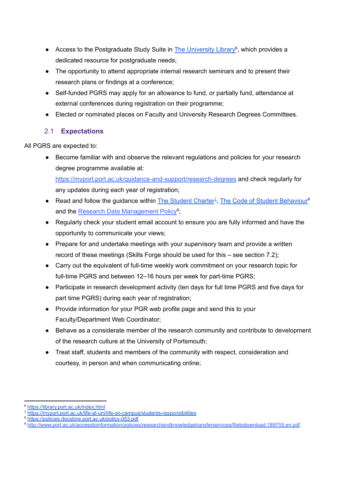- Access to the Postgraduate Study Suite in **The [University](https://library.port.ac.uk/index.html) Library<sup>6</sup>**, which provides a dedicated resource for postgraduate needs;
- The opportunity to attend appropriate internal research seminars and to present their research plans or findings at a conference;
- Self-funded PGRS may apply for an allowance to fund, or partially fund, attendance at external conferences during registration on their programme;
- Elected or nominated places on Faculty and University Research Degrees Committees.

#### <span id="page-10-0"></span>2.1 **Expectations**

All PGRS are expected to:

● Become familiar with and observe the relevant regulations and policies for your research degree programme available at: <https://myport.port.ac.uk/guidance-and-support/research-degrees> and check regularly for

any updates during each year of registration;

- Read and follow the guidance within  $\overline{\text{The Student Charter}^2}$  $\overline{\text{The Student Charter}^2}$  $\overline{\text{The Student Charter}^2}$ , The Code of Student [Behaviour](https://policies.docstore.port.ac.uk/policy-053.pdf)<sup>8</sup> and the Research Data [Management](http://policies.docstore.port.ac.uk/policy-167.pdf?_ga=2.236338305.1054115552.1597650108-231649204.1574085830) Policy<sup>9</sup>;
- Regularly check your student email account to ensure you are fully informed and have the opportunity to communicate your views;
- Prepare for and undertake meetings with your supervisory team and provide a written record of these meetings (Skills Forge should be used for this – see section 7.2);
- Carry out the equivalent of full-time weekly work commitment on your research topic for full-time PGRS and between 12–16 hours per week for part-time PGRS;
- Participate in research development activity (ten days for full time PGRS and five days for part time PGRS) during each year of registration;
- Provide information for your PGR web profile page and send this to your Faculty/Department Web Coordinator;
- Behave as a considerate member of the research community and contribute to development of the research culture at the University of Portsmouth;
- Treat staff, students and members of the community with respect, consideration and courtesy, in person and when communicating online;

<sup>6</sup> <https://library.port.ac.uk/index.html>

<sup>7</sup> <https://myport.port.ac.uk/life-at-uni/life-on-campus/students-responsibilities>

<sup>8</sup> <https://policies.docstore.port.ac.uk/policy-053.pdf>

<sup>9</sup> [http://www.port.ac.uk/accesstoinformation/policies/researchandknowledgetransferservices/filetodownload,189755,en.pdf](http://policies.docstore.port.ac.uk/policy-167.pdf?_ga=2.236338305.1054115552.1597650108-231649204.1574085830)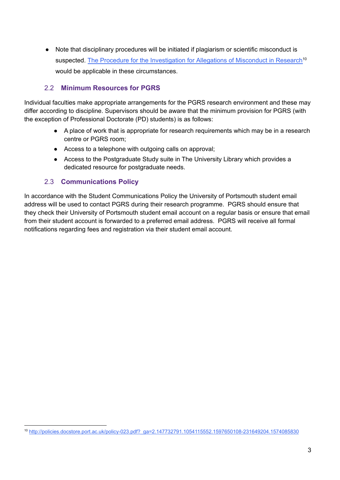● Note that disciplinary procedures will be initiated if plagiarism or scientific misconduct is suspected. The Procedure for the [Investigation](http://policies.docstore.port.ac.uk/policy-023.pdf?_ga=2.147732791.1054115552.1597650108-231649204.1574085830) for Allegations of Misconduct in Research<sup>10</sup> would be applicable in these circumstances.

#### <span id="page-11-0"></span>2.2 **Minimum Resources for PGRS**

Individual faculties make appropriate arrangements for the PGRS research environment and these may differ according to discipline. Supervisors should be aware that the minimum provision for PGRS (with the exception of Professional Doctorate (PD) students) is as follows:

- A place of work that is appropriate for research requirements which may be in a research centre or PGRS room;
- Access to a telephone with outgoing calls on approval;
- Access to the Postgraduate Study suite in The University Library which provides a dedicated resource for postgraduate needs.

#### 2.3 **Communications Policy**

<span id="page-11-1"></span>In accordance with the Student Communications Policy the University of Portsmouth student email address will be used to contact PGRS during their research programme. PGRS should ensure that they check their University of Portsmouth student email account on a regular basis or ensure that email from their student account is forwarded to a preferred email address. PGRS will receive all formal notifications regarding fees and registration via their student email account.

<sup>10</sup> [http://policies.docstore.port.ac.uk/policy-023.pdf?\\_ga=2.147732791.1054115552.1597650108-231649204.1574085830](http://policies.docstore.port.ac.uk/policy-023.pdf?_ga=2.147732791.1054115552.1597650108-231649204.1574085830)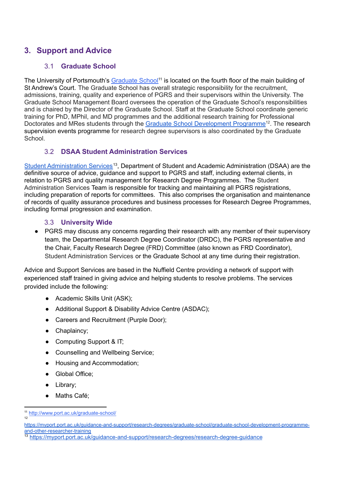## <span id="page-12-1"></span><span id="page-12-0"></span>**3. Support and Advice**

#### 3.1 **Graduate School**

The University of Portsmouth's [Graduate](https://www.port.ac.uk/study/postgraduate-research/graduate-school) School<sup>11</sup> is located on the fourth floor of the main building of St Andrew's Court. The Graduate School has overall strategic responsibility for the recruitment, admissions, training, quality and experience of PGRS and their supervisors within the University. The Graduate School Management Board oversees the operation of the Graduate School's responsibilities and is chaired by the Director of the Graduate School. Staff at the Graduate School coordinate generic training for PhD, MPhil, and MD programmes and the additional research training for Professional Doctorates and MRes students through the Graduate School [Development](https://myport.port.ac.uk/guidance-and-support/research-degrees/graduate-school/graduate-school-development-programme-and-other-researcher-training) Programme<sup>12</sup>. The research supervision events programme for research degree supervisors is also coordinated by the Graduate School.

#### 3.2 **DSAA Student Administration Services**

<span id="page-12-2"></span>Student [Administration](https://myport.port.ac.uk/guidance-and-support/research-degrees/research-degree-guidance) Services<sup>13</sup>, Department of Student and Academic Administration (DSAA) are the definitive source of advice, guidance and support to PGRS and staff, including external clients, in relation to PGRS and quality management for Research Degree Programmes. The Student Administration Services Team is responsible for tracking and maintaining all PGRS registrations, including preparation of reports for committees. This also comprises the organisation and maintenance of records of quality assurance procedures and business processes for Research Degree Programmes, including formal progression and examination.

#### 3.3 **University Wide**

<span id="page-12-3"></span>• PGRS may discuss any concerns regarding their research with any member of their supervisory team, the Departmental Research Degree Coordinator (DRDC), the PGRS representative and the Chair, Faculty Research Degree (FRD) Committee (also known as FRD Coordinator), Student Administration Services or the Graduate School at any time during their registration.

Advice and Support Services are based in the Nuffield Centre providing a network of support with experienced staff trained in giving advice and helping students to resolve problems. The services provided include the following:

- Academic Skills Unit (ASK);
- Additional Support & Disability Advice Centre (ASDAC);
- Careers and Recruitment (Purple Door);
- Chaplaincy;
- Computing Support & IT;
- Counselling and Wellbeing Service;
- Housing and Accommodation;
- Global Office:
- Library;
- Maths Café;

 $12$ <sup>11</sup> <http://www.port.ac.uk/graduate-school/>

[https://myport.port.ac.uk/guidance-and-support/research-degrees/graduate-school/graduate-school-development-programme](https://myport.port.ac.uk/guidance-and-support/research-degrees/graduate-school/graduate-school-development-programme-and-other-researcher-training)[and-other-researcher-training](https://myport.port.ac.uk/guidance-and-support/research-degrees/graduate-school/graduate-school-development-programme-and-other-researcher-training)

<sup>13</sup> <https://myport.port.ac.uk/guidance-and-support/research-degrees/research-degree-guidance>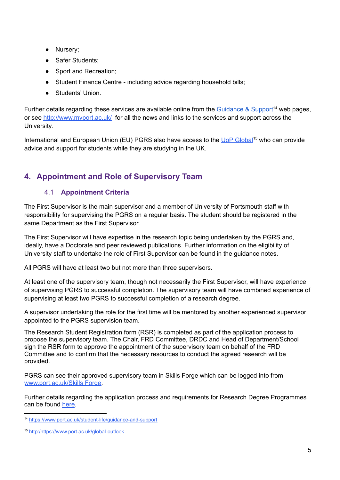- Nursery;
- Safer Students:
- Sport and Recreation;
- Student Finance Centre including advice regarding household bills;
- Students' Union

Further details regarding these services are available online from the [Guidance](https://www.port.ac.uk/student-life/guidance-and-support) & Support<sup>14</sup> web pages, or see <http://www.myport.ac.uk/> for all the news and links to the services and support across the University.

International and European Union (EU) PGRS also have access to the UoP [Global](https://www.port.ac.uk/global-outlook)<sup>15</sup> who can provide advice and support for students while they are studying in the UK.

## <span id="page-13-1"></span><span id="page-13-0"></span>**4. Appointment and Role of Supervisory Team**

#### 4.1 **Appointment Criteria**

The First Supervisor is the main supervisor and a member of University of Portsmouth staff with responsibility for supervising the PGRS on a regular basis. The student should be registered in the same Department as the First Supervisor.

The First Supervisor will have expertise in the research topic being undertaken by the PGRS and, ideally, have a Doctorate and peer reviewed publications. Further information on the eligibility of University staff to undertake the role of First Supervisor can be found in the guidance notes.

All PGRS will have at least two but not more than three supervisors.

At least one of the supervisory team, though not necessarily the First Supervisor, will have experience of supervising PGRS to successful completion. The supervisory team will have combined experience of supervising at least two PGRS to successful completion of a research degree.

A supervisor undertaking the role for the first time will be mentored by another experienced supervisor appointed to the PGRS supervision team.

The Research Student Registration form (RSR) is completed as part of the application process to propose the supervisory team. The Chair, FRD Committee, DRDC and Head of Department/School sign the RSR form to approve the appointment of the supervisory team on behalf of the FRD Committee and to confirm that the necessary resources to conduct the agreed research will be provided.

PGRS can see their approved supervisory team in Skills Forge which can be logged into from [www.port.ac.uk/Skills](http://www.port.ac.uk/skillsforge) Forge.

Further details regarding the application process and requirements for Research Degree Programmes can be found [here](https://www.port.ac.uk/study/postgraduate-research/how-to-apply).

<sup>14</sup> <https://www.port.ac.uk/student-life/guidance-and-support>

<sup>15</sup> http:/https://www.port.ac.uk/global-outlook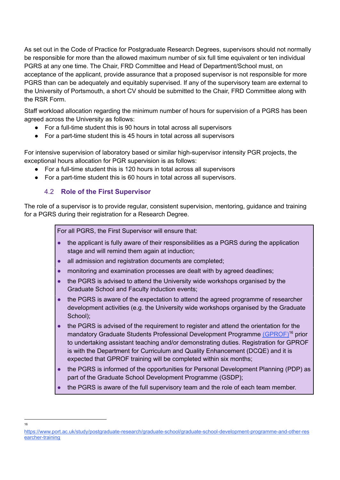As set out in the Code of Practice for Postgraduate Research Degrees, supervisors should not normally be responsible for more than the allowed maximum number of six full time equivalent or ten individual PGRS at any one time. The Chair, FRD Committee and Head of Department/School must, on acceptance of the applicant, provide assurance that a proposed supervisor is not responsible for more PGRS than can be adequately and equitably supervised. If any of the supervisory team are external to the University of Portsmouth, a short CV should be submitted to the Chair, FRD Committee along with the RSR Form.

Staff workload allocation regarding the minimum number of hours for supervision of a PGRS has been agreed across the University as follows:

- For a full-time student this is 90 hours in total across all supervisors
- For a part-time student this is 45 hours in total across all supervisors

For intensive supervision of laboratory based or similar high-supervisor intensity PGR projects, the exceptional hours allocation for PGR supervision is as follows:

- For a full-time student this is 120 hours in total across all supervisors
- <span id="page-14-0"></span>● For a part-time student this is 60 hours in total across all supervisors.

#### 4.2 **Role of the First Supervisor**

The role of a supervisor is to provide regular, consistent supervision, mentoring, guidance and training for a PGRS during their registration for a Research Degree.

For all PGRS, the First Supervisor will ensure that:

- the applicant is fully aware of their responsibilities as a PGRS during the application stage and will remind them again at induction;
- all admission and registration documents are completed;
- monitoring and examination processes are dealt with by agreed deadlines;
- the PGRS is advised to attend the University wide workshops organised by the Graduate School and Faculty induction events;
- the PGRS is aware of the expectation to attend the agreed programme of researcher development activities (e.g. the University wide workshops organised by the Graduate School);
- the PGRS is advised of the requirement to register and attend the orientation for the mandatory Graduate Students Professional Development Programme [\(GPROF\)](https://www.port.ac.uk/study/postgraduate-research/graduate-school/graduate-school-development-programme-and-other-researcher-training)<sup>16</sup> prior to undertaking assistant teaching and/or demonstrating duties. Registration for GPROF is with the Department for Curriculum and Quality Enhancement (DCQE) and it is expected that GPROF training will be completed within six months;
- the PGRS is informed of the opportunities for Personal Development Planning (PDP) as part of the Graduate School Development Programme (GSDP);
- the PGRS is aware of the full supervisory team and the role of each team member.

[https://www.port.ac.uk/study/postgraduate-research/graduate-school/graduate-school-development-programme-and-other-res](https://www.port.ac.uk/study/postgraduate-research/graduate-school/graduate-school-development-programme-and-other-researcher-training) [earcher-training](https://www.port.ac.uk/study/postgraduate-research/graduate-school/graduate-school-development-programme-and-other-researcher-training)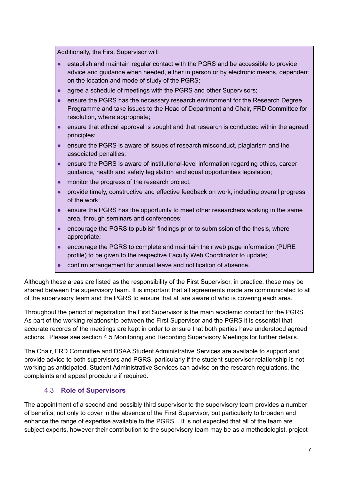Additionally, the First Supervisor will:

- establish and maintain regular contact with the PGRS and be accessible to provide advice and guidance when needed, either in person or by electronic means, dependent on the location and mode of study of the PGRS;
- agree a schedule of meetings with the PGRS and other Supervisors;
- ensure the PGRS has the necessary research environment for the Research Degree Programme and take issues to the Head of Department and Chair, FRD Committee for resolution, where appropriate;
- ensure that ethical approval is sought and that research is conducted within the agreed principles;
- ensure the PGRS is aware of issues of research misconduct, plagiarism and the associated penalties;
- ensure the PGRS is aware of institutional-level information regarding ethics, career guidance, health and safety legislation and equal opportunities legislation;
- monitor the progress of the research project;
- provide timely, constructive and effective feedback on work, including overall progress of the work;
- ensure the PGRS has the opportunity to meet other researchers working in the same area, through seminars and conferences;
- encourage the PGRS to publish findings prior to submission of the thesis, where appropriate;
- encourage the PGRS to complete and maintain their web page information (PURE profile) to be given to the respective Faculty Web Coordinator to update;
- confirm arrangement for annual leave and notification of absence.

Although these areas are listed as the responsibility of the First Supervisor, in practice, these may be shared between the supervisory team. It is important that all agreements made are communicated to all of the supervisory team and the PGRS to ensure that all are aware of who is covering each area.

Throughout the period of registration the First Supervisor is the main academic contact for the PGRS. As part of the working relationship between the First Supervisor and the PGRS it is essential that accurate records of the meetings are kept in order to ensure that both parties have understood agreed actions. Please see section 4.5 Monitoring and Recording Supervisory Meetings for further details.

The Chair, FRD Committee and DSAA Student Administrative Services are available to support and provide advice to both supervisors and PGRS, particularly if the student-supervisor relationship is not working as anticipated. Student Administrative Services can advise on the research regulations, the complaints and appeal procedure if required.

#### 4.3 **Role of Supervisors**

<span id="page-15-0"></span>The appointment of a second and possibly third supervisor to the supervisory team provides a number of benefits, not only to cover in the absence of the First Supervisor, but particularly to broaden and enhance the range of expertise available to the PGRS. It is not expected that all of the team are subject experts, however their contribution to the supervisory team may be as a methodologist, project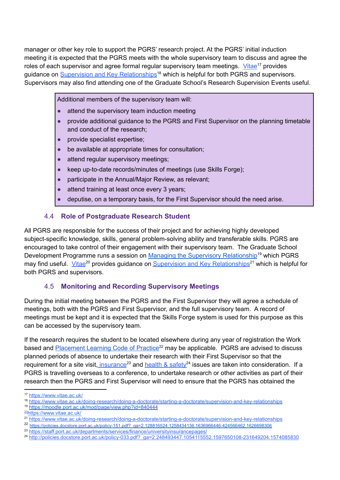manager or other key role to support the PGRS' research project. At the PGRS' initial induction meeting it is expected that the PGRS meets with the whole supervisory team to discuss and agree the roles of each supervisor and agree formal regular supervisory team meetings. [Vitae](https://www.vitae.ac.uk/)<sup>17</sup> provides guidance on Supervision and Key [Relationships](https://www.vitae.ac.uk/doing-research/doing-a-doctorate/starting-a-doctorate/supervision-and-key-relationships)<sup>18</sup> which is helpful for both PGRS and supervisors. Supervisors may also find attending one of the Graduate School's Research Supervision Events useful.

Additional members of the supervisory team will:

- attend the supervisory team induction meeting
- provide additional guidance to the PGRS and First Supervisor on the planning timetable and conduct of the research;
- provide specialist expertise;
- be available at appropriate times for consultation;
- attend regular supervisory meetings;
- keep up-to-date records/minutes of meetings (use Skills Forge);
- participate in the Annual/Major Review, as relevant;
- attend training at least once every 3 years;
- deputise, on a temporary basis, for the First Supervisor should the need arise.

#### 4.4 **Role of Postgraduate Research Student**

<span id="page-16-0"></span>All PGRS are responsible for the success of their project and for achieving highly developed subject-specific knowledge, skills, general problem-solving ability and transferable skills. PGRS are encouraged to take control of their engagement with their supervisory team. The Graduate School Development Programme runs a session on Managing the Supervisory [Relationship](https://moodle.port.ac.uk/mod/page/view.php?id=840444)<sup>19</sup> which PGRS may find useful. [Vitae](https://www.vitae.ac.uk/)<sup>20</sup> provides guidance on Supervision and Key [Relationships](https://www.vitae.ac.uk/doing-research/doing-a-doctorate/starting-a-doctorate/supervision-and-key-relationships)<sup>21</sup> which is helpful for both PGRS and supervisors.

#### 4.5 **Monitoring and Recording Supervisory Meetings**

<span id="page-16-1"></span>During the initial meeting between the PGRS and the First Supervisor they will agree a schedule of meetings, both with the PGRS and First Supervisor, and the full supervisory team. A record of meetings must be kept and it is expected that the Skills Forge system is used for this purpose as this can be accessed by the supervisory team.

If the research requires the student to be located elsewhere during any year of registration the Work based and **[Placement](https://policies.docstore.port.ac.uk/policy-151.pdf?_ga=2.128816524.1258434136.1636966446-424566462.1626698306) Learning Code of Practice**<sup>22</sup> may be applicable. PGRS are advised to discuss planned periods of absence to undertake their research with their First Supervisor so that the requirement for a site visit<u>, [insurance](https://staff.port.ac.uk/departments/services/finance/universityinsurancepages/)</u><sup>23</sup> and [health](http://policies.docstore.port.ac.uk/policy-033.pdf?_ga=2.248493447.1054115552.1597650108-231649204.1574085830) & safety<sup>24</sup> issues are taken into consideration. If a PGRS is travelling overseas to a conference, to undertake research or other activities as part of their research then the PGRS and First Supervisor will need to ensure that the PGRS has obtained the

<sup>19</sup> <https://moodle.port.ac.uk/mod/page/view.php?id=840444>

<sup>23</sup> <https://staff.port.ac.uk/departments/services/finance/universityinsurancepages/>

<sup>17</sup> <https://www.vitae.ac.uk/>

<sup>18</sup> <https://www.vitae.ac.uk/doing-research/doing-a-doctorate/starting-a-doctorate/supervision-and-key-relationships>

<sup>20</sup><https://www.vitae.ac.uk/>

<sup>21</sup> <https://www.vitae.ac.uk/doing-research/doing-a-doctorate/starting-a-doctorate/supervision-and-key-relationships>

<sup>22</sup> [https://policies.docstore.port.ac.uk/policy-151.pdf?\\_ga=2.128816524.1258434136.1636966446-424566462.1626698306](https://policies.docstore.port.ac.uk/policy-151.pdf?_ga=2.128816524.1258434136.1636966446-424566462.1626698306)

<sup>&</sup>lt;sup>24</sup> [http://policies.docstore.port.ac.uk/policy-033.pdf?\\_ga=2.248493447.1054115552.1597650108-231649204.1574085830](http://policies.docstore.port.ac.uk/policy-033.pdf?_ga=2.248493447.1054115552.1597650108-231649204.1574085830)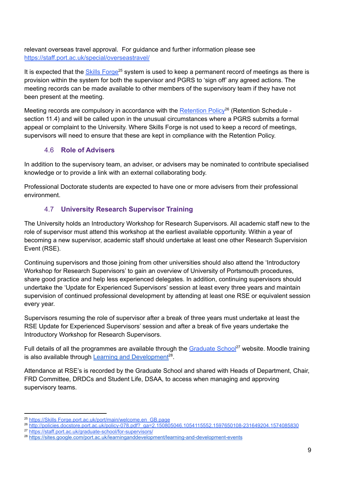relevant overseas travel approval. For guidance and further information please see <https://staff.port.ac.uk/special/overseastravel/>

It is expected that the **Skills [Forge](https://skillsforge.port.ac.uk/port/main/welcome.en_GB.page)<sup>25</sup> system is used to keep a permanent record of meetings as there is** provision within the system for both the supervisor and PGRS to 'sign off' any agreed actions. The meeting records can be made available to other members of the supervisory team if they have not been present at the meeting.

Meeting records are compulsory in accordance with the **[Retention](http://policies.docstore.port.ac.uk/policy-078.pdf?_ga=2.150805046.1054115552.1597650108-231649204.1574085830) Policy<sup>26</sup> (Retention Schedule** section 11.4) and will be called upon in the unusual circumstances where a PGRS submits a formal appeal or complaint to the University. Where Skills Forge is not used to keep a record of meetings, supervisors will need to ensure that these are kept in compliance with the Retention Policy.

#### 4.6 **Role of Advisers**

<span id="page-17-0"></span>In addition to the supervisory team, an adviser, or advisers may be nominated to contribute specialised knowledge or to provide a link with an external collaborating body.

Professional Doctorate students are expected to have one or more advisers from their professional environment.

#### 4.7 **University Research Supervisor Training**

<span id="page-17-1"></span>The University holds an Introductory Workshop for Research Supervisors. All academic staff new to the role of supervisor must attend this workshop at the earliest available opportunity. Within a year of becoming a new supervisor, academic staff should undertake at least one other Research Supervision Event (RSE).

Continuing supervisors and those joining from other universities should also attend the 'Introductory Workshop for Research Supervisors' to gain an overview of University of Portsmouth procedures, share good practice and help less experienced delegates. In addition, continuing supervisors should undertake the 'Update for Experienced Supervisors' session at least every three years and maintain supervision of continued professional development by attending at least one RSE or equivalent session every year.

Supervisors resuming the role of supervisor after a break of three years must undertake at least the RSE Update for Experienced Supervisors' session and after a break of five years undertake the Introductory Workshop for Research Supervisors.

Full details of all the programmes are available through the [Graduate](https://staff.port.ac.uk/graduate-school/for-supervisors/) School<sup>27</sup> website. Moodle training is also available through Learning and [Development](https://sites.google.com/port.ac.uk/learninganddevelopment/learning-and-development-events)<sup>28</sup>.

Attendance at RSE's is recorded by the Graduate School and shared with Heads of Department, Chair, FRD Committee, DRDCs and Student Life, DSAA, to access when managing and approving supervisory teams.

<sup>&</sup>lt;sup>25</sup> [https://Skills Forge.port.ac.uk/port/main/welcome.en\\_GB.page](https://skillsforge.port.ac.uk/port/main/welcome.en_GB.page)

<sup>27</sup> <https://staff.port.ac.uk/graduate-school/for-supervisors/> <sup>26</sup> [http://policies.docstore.port.ac.uk/policy-078.pdf?\\_ga=2.150805046.1054115552.1597650108-231649204.1574085830](http://policies.docstore.port.ac.uk/policy-078.pdf?_ga=2.150805046.1054115552.1597650108-231649204.1574085830)

<sup>28</sup> <https://sites.google.com/port.ac.uk/learninganddevelopment/learning-and-development-events>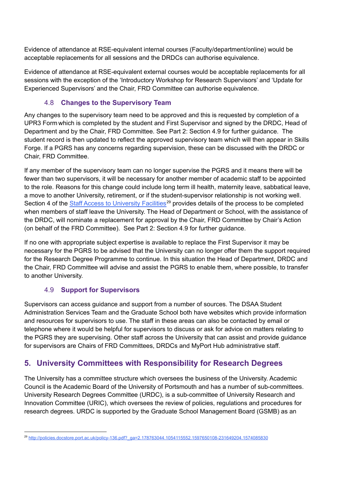Evidence of attendance at RSE-equivalent internal courses (Faculty/department/online) would be acceptable replacements for all sessions and the DRDCs can authorise equivalence.

Evidence of attendance at RSE-equivalent external courses would be acceptable replacements for all sessions with the exception of the 'Introductory Workshop for Research Supervisors' and 'Update for Experienced Supervisors' and the Chair, FRD Committee can authorise equivalence.

#### 4.8 **Changes to the Supervisory Team**

<span id="page-18-0"></span>Any changes to the supervisory team need to be approved and this is requested by completion of a UPR3 Form which is completed by the student and First Supervisor and signed by the DRDC, Head of Department and by the Chair, FRD Committee. See Part 2: Section 4.9 for further guidance. The student record is then updated to reflect the approved supervisory team which will then appear in Skills Forge. If a PGRS has any concerns regarding supervision, these can be discussed with the DRDC or Chair, FRD Committee.

If any member of the supervisory team can no longer supervise the PGRS and it means there will be fewer than two supervisors, it will be necessary for another member of academic staff to be appointed to the role. Reasons for this change could include long term ill health, maternity leave, sabbatical leave, a move to another University, retirement, or if the student-supervisor relationship is not working well. Section 4 of the **Staff Access to [University](http://policies.docstore.port.ac.uk/policy-136.pdf?_ga=2.178763044.1054115552.1597650108-231649204.1574085830) Facilities**<sup>29</sup> provides details of the process to be completed when members of staff leave the University. The Head of Department or School, with the assistance of the DRDC, will nominate a replacement for approval by the Chair, FRD Committee by Chair's Action (on behalf of the FRD Committee). See Part 2: Section 4.9 for further guidance.

If no one with appropriate subject expertise is available to replace the First Supervisor it may be necessary for the PGRS to be advised that the University can no longer offer them the support required for the Research Degree Programme to continue. In this situation the Head of Department, DRDC and the Chair, FRD Committee will advise and assist the PGRS to enable them, where possible, to transfer to another University.

#### 4.9 **Support for Supervisors**

<span id="page-18-1"></span>Supervisors can access guidance and support from a number of sources. The DSAA Student Administration Services Team and the Graduate School both have websites which provide information and resources for supervisors to use. The staff in these areas can also be contacted by email or telephone where it would be helpful for supervisors to discuss or ask for advice on matters relating to the PGRS they are supervising. Other staff across the University that can assist and provide guidance for supervisors are Chairs of FRD Committees, DRDCs and MyPort Hub administrative staff.

## <span id="page-18-2"></span>**5. University Committees with Responsibility for Research Degrees**

The University has a committee structure which oversees the business of the University. Academic Council is the Academic Board of the University of Portsmouth and has a number of sub-committees. University Research Degrees Committee (URDC), is a sub-committee of University Research and Innovation Committee (URIC), which oversees the review of policies, regulations and procedures for research degrees. URDC is supported by the Graduate School Management Board (GSMB) as an

<sup>29</sup> [http://policies.docstore.port.ac.uk/policy-136.pdf?\\_ga=2.178763044.1054115552.1597650108-231649204.1574085830](http://policies.docstore.port.ac.uk/policy-136.pdf?_ga=2.178763044.1054115552.1597650108-231649204.1574085830)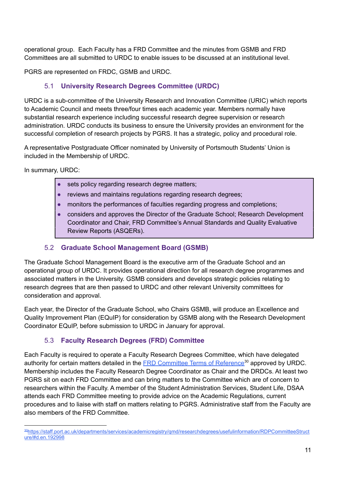operational group. Each Faculty has a FRD Committee and the minutes from GSMB and FRD Committees are all submitted to URDC to enable issues to be discussed at an institutional level.

<span id="page-19-0"></span>PGRS are represented on FRDC, GSMB and URDC.

#### 5.1 **University Research Degrees Committee (URDC)**

URDC is a sub-committee of the University Research and Innovation Committee (URIC) which reports to Academic Council and meets three/four times each academic year. Members normally have substantial research experience including successful research degree supervision or research administration. URDC conducts its business to ensure the University provides an environment for the successful completion of research projects by PGRS. It has a strategic, policy and procedural role.

A representative Postgraduate Officer nominated by University of Portsmouth Students' Union is included in the Membership of URDC.

In summary, URDC:

- sets policy regarding research degree matters:
- reviews and maintains regulations regarding research degrees;
- monitors the performances of faculties regarding progress and completions:
- considers and approves the Director of the Graduate School; Research Development Coordinator and Chair, FRD Committee's Annual Standards and Quality Evaluative Review Reports (ASQERs).

#### 5.2 **Graduate School Management Board (GSMB)**

<span id="page-19-1"></span>The Graduate School Management Board is the executive arm of the Graduate School and an operational group of URDC. It provides operational direction for all research degree programmes and associated matters in the University. GSMB considers and develops strategic policies relating to research degrees that are then passed to URDC and other relevant University committees for consideration and approval.

Each year, the Director of the Graduate School, who Chairs GSMB, will produce an Excellence and Quality Improvement Plan (EQuIP) for consideration by GSMB along with the Research Development Coordinator EQuIP, before submission to URDC in January for approval.

#### 5.3 **Faculty Research Degrees (FRD) Committee**

<span id="page-19-2"></span>Each Faculty is required to operate a Faculty Research Degrees Committee, which have delegated authority for certain matters detailed in the **FRD [Committee](https://staff.port.ac.uk/departments/services/academicregistry/qmd/researchdegrees/usefulinformation/RDPCommitteeStructure/#d.en.192998) Terms of Reference<sup>30</sup> approved by URDC**. Membership includes the Faculty Research Degree Coordinator as Chair and the DRDCs. At least two PGRS sit on each FRD Committee and can bring matters to the Committee which are of concern to researchers within the Faculty. A member of the Student Administration Services, Student Life, DSAA attends each FRD Committee meeting to provide advice on the Academic Regulations, current procedures and to liaise with staff on matters relating to PGRS. Administrative staff from the Faculty are also members of the FRD Committee.

<sup>30</sup>[https://staff.port.ac.uk/departments/services/academicregistry/qmd/researchdegrees/usefulinformation/RDPCommitteeStruct](https://staff.port.ac.uk/departments/services/academicregistry/qmd/researchdegrees/usefulinformation/RDPCommitteeStructure/#d.en.192998) [ure/#d.en.192998](https://staff.port.ac.uk/departments/services/academicregistry/qmd/researchdegrees/usefulinformation/RDPCommitteeStructure/#d.en.192998)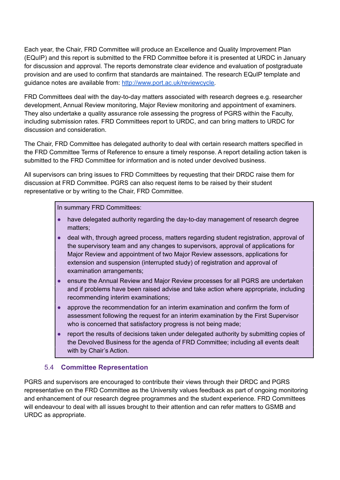Each year, the Chair, FRD Committee will produce an Excellence and Quality Improvement Plan (EQuIP) and this report is submitted to the FRD Committee before it is presented at URDC in January for discussion and approval. The reports demonstrate clear evidence and evaluation of postgraduate provision and are used to confirm that standards are maintained. The research EQuIP template and guidance notes are available from: [http://www.port.ac.uk/reviewcycle.](https://staff.port.ac.uk/departments/services/academicregistry/qmd/annualmonitoring/)

FRD Committees deal with the day-to-day matters associated with research degrees e.g. researcher development, Annual Review monitoring, Major Review monitoring and appointment of examiners. They also undertake a quality assurance role assessing the progress of PGRS within the Faculty, including submission rates. FRD Committees report to URDC, and can bring matters to URDC for discussion and consideration.

The Chair, FRD Committee has delegated authority to deal with certain research matters specified in the FRD Committee Terms of Reference to ensure a timely response. A report detailing action taken is submitted to the FRD Committee for information and is noted under devolved business.

All supervisors can bring issues to FRD Committees by requesting that their DRDC raise them for discussion at FRD Committee. PGRS can also request items to be raised by their student representative or by writing to the Chair, FRD Committee.

In summary FRD Committees:

- have delegated authority regarding the day-to-day management of research degree matters;
- deal with, through agreed process, matters regarding student registration, approval of the supervisory team and any changes to supervisors, approval of applications for Major Review and appointment of two Major Review assessors, applications for extension and suspension (interrupted study) of registration and approval of examination arrangements;
- ensure the Annual Review and Major Review processes for all PGRS are undertaken and if problems have been raised advise and take action where appropriate, including recommending interim examinations;
- approve the recommendation for an interim examination and confirm the form of assessment following the request for an interim examination by the First Supervisor who is concerned that satisfactory progress is not being made;
- report the results of decisions taken under delegated authority by submitting copies of the Devolved Business for the agenda of FRD Committee; including all events dealt with by Chair's Action.

#### 5.4 **Committee Representation**

<span id="page-20-0"></span>PGRS and supervisors are encouraged to contribute their views through their DRDC and PGRS representative on the FRD Committee as the University values feedback as part of ongoing monitoring and enhancement of our research degree programmes and the student experience. FRD Committees will endeavour to deal with all issues brought to their attention and can refer matters to GSMB and URDC as appropriate.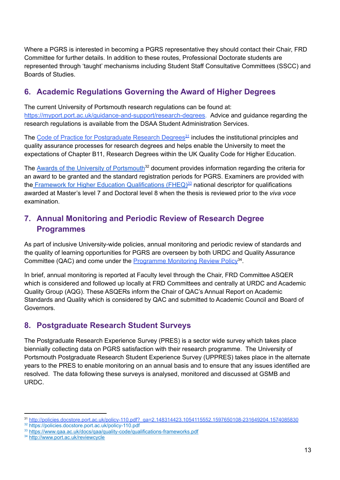Where a PGRS is interested in becoming a PGRS representative they should contact their Chair, FRD Committee for further details. In addition to these routes, Professional Doctorate students are represented through 'taught' mechanisms including Student Staff Consultative Committees (SSCC) and Boards of Studies.

## <span id="page-21-0"></span>**6. Academic Regulations Governing the Award of Higher Degrees**

The current University of Portsmouth research regulations can be found at: [https://myport.port.ac.uk/guidance-and-support/research-degrees.](https://myport.port.ac.uk/guidance-and-support/research-degrees) Advice and guidance regarding the research regulations is available from the DSAA Student Administration Services.

The Code of Practice for [Postgraduate](http://policies.docstore.port.ac.uk/policy-118.pdf) Research Degrees<sup>31</sup> includes the institutional principles and quality assurance processes for research degrees and helps enable the University to meet the expectations of Chapter B11, Research Degrees within the UK Quality Code for Higher Education.

The **Awards of the University of [Portsmouth](https://policies.docstore.port.ac.uk/policy-110.pdf)**<sup>32</sup> document provides information regarding the criteria for an award to be granted and the standard registration periods for PGRS. Examiners are provided with the Framework for Higher Education [Qualifications](https://www.qaa.ac.uk/docs/qaa/quality-code/qualifications-frameworks.pdf) (FHEQ)<sup>33</sup> national descriptor for qualifications awarded at Master's level 7 and Doctoral level 8 when the thesis is reviewed prior to the *viva voce* examination.

## <span id="page-21-1"></span>**7. Annual Monitoring and Periodic Review of Research Degree Programmes**

As part of inclusive University-wide policies, annual monitoring and periodic review of standards and the quality of learning opportunities for PGRS are overseen by both URDC and Quality Assurance Committee (QAC) and come under the **[Programme](http://www.port.ac.uk/reviewcycle) Monitoring Review Policy**<sup>34</sup>.

In brief, annual monitoring is reported at Faculty level through the Chair, FRD Committee ASQER which is considered and followed up locally at FRD Committees and centrally at URDC and Academic Quality Group (AQG). These ASQERs inform the Chair of QAC's Annual Report on Academic Standards and Quality which is considered by QAC and submitted to Academic Council and Board of Governors.

## <span id="page-21-2"></span>**8. Postgraduate Research Student Surveys**

The Postgraduate Research Experience Survey (PRES) is a sector wide survey which takes place biennially collecting data on PGRS satisfaction with their research programme. The University of Portsmouth Postgraduate Research Student Experience Survey (UPPRES) takes place in the alternate years to the PRES to enable monitoring on an annual basis and to ensure that any issues identified are resolved. The data following these surveys is analysed, monitored and discussed at GSMB and URDC.

<sup>31</sup> [http://policies.docstore.port.ac.uk/policy-110.pdf?\\_ga=2.148314423.1054115552.1597650108-231649204.1574085830](http://policies.docstore.port.ac.uk/policy-110.pdf?_ga=2.148314423.1054115552.1597650108-231649204.1574085830)

<sup>32</sup> https://policies.docstore.port.ac.uk/policy-110.pdf

<sup>33</sup> <https://www.qaa.ac.uk/docs/qaa/quality-code/qualifications-frameworks.pdf>

<sup>34</sup> <http://www.port.ac.uk/reviewcycle>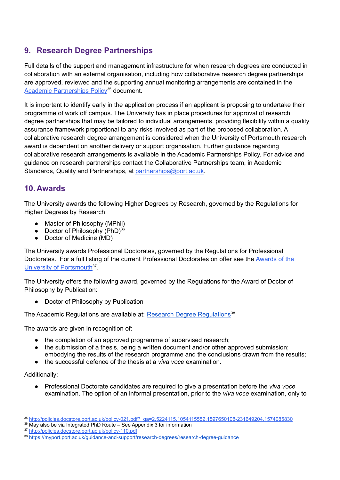## <span id="page-22-0"></span>**9. Research Degree Partnerships**

Full details of the support and management infrastructure for when research degrees are conducted in collaboration with an external organisation, including how collaborative research degree partnerships are approved, reviewed and the supporting annual monitoring arrangements are contained in the Academic [Partnerships](http://policies.docstore.port.ac.uk/policy-021.pdf?_ga=2.5224115.1054115552.1597650108-231649204.1574085830) Policy<sup>35</sup> document.

It is important to identify early in the application process if an applicant is proposing to undertake their programme of work off campus. The University has in place procedures for approval of research degree partnerships that may be tailored to individual arrangements, providing flexibility within a quality assurance framework proportional to any risks involved as part of the proposed collaboration. A collaborative research degree arrangement is considered when the University of Portsmouth research award is dependent on another delivery or support organisation. Further guidance regarding collaborative research arrangements is available in the Academic Partnerships Policy. For advice and guidance on research partnerships contact the Collaborative Partnerships team, in Academic Standards, Quality and Partnerships, at [partnerships@port.ac.uk](mailto:partnerships@port.ac.uk).

## <span id="page-22-1"></span>**10. Awards**

The University awards the following Higher Degrees by Research, governed by the Regulations for Higher Degrees by Research:

- Master of Philosophy (MPhil)
- Doctor of Philosophy (PhD)<sup>36</sup>
- Doctor of Medicine (MD)

The University awards Professional Doctorates, governed by the Regulations for Professional Doctorates. For a full listing of the current Professional Doctorates on offer see the [Awards](http://policies.docstore.port.ac.uk/policy-110.pdf?_ga=2.148314423.1054115552.1597650108-231649204.1574085830) of the University of [Portsmouth](http://policies.docstore.port.ac.uk/policy-110.pdf?_ga=2.148314423.1054115552.1597650108-231649204.1574085830)<sup>37</sup>.

The University offers the following award, governed by the Regulations for the Award of Doctor of Philosophy by Publication:

● Doctor of Philosophy by Publication

The Academic [Regulations](https://myport.port.ac.uk/guidance-and-support/research-degrees/research-degree-guidance) are available at: **Research Degree Regulations**<sup>38</sup>

The awards are given in recognition of:

- the completion of an approved programme of supervised research;
- the submission of a thesis, being a written document and/or other approved submission; embodying the results of the research programme and the conclusions drawn from the results;
- the successful defence of the thesis at a *viva voce* examination.

#### Additionally:

● Professional Doctorate candidates are required to give a presentation before the *viva voce* examination. The option of an informal presentation, prior to the *viva voce* examination, only to

<sup>35</sup> [http://policies.docstore.port.ac.uk/policy-021.pdf?\\_ga=2.5224115.1054115552.1597650108-231649204.1574085830](http://policies.docstore.port.ac.uk/policy-021.pdf?_ga=2.5224115.1054115552.1597650108-231649204.1574085830)

<sup>&</sup>lt;sup>36</sup> May also be via Integrated PhD Route – See Appendix 3 for information

<sup>37</sup> <http://policies.docstore.port.ac.uk/policy-110.pdf>

<sup>38</sup> <https://myport.port.ac.uk/guidance-and-support/research-degrees/research-degree-guidance>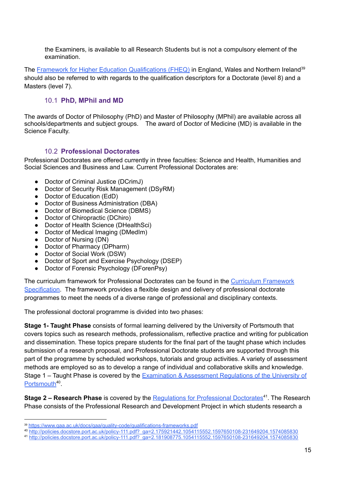the Examiners, is available to all Research Students but is not a compulsory element of the examination.

The Framework for Higher Education [Qualifications](https://www.qaa.ac.uk/docs/qaa/quality-code/qualifications-frameworks.pdf) (FHEQ) in England, Wales and Northern Ireland<sup>39</sup> should also be referred to with regards to the qualification descriptors for a Doctorate (level 8) and a Masters (level 7).

#### 10.1 **PhD, MPhil and MD**

<span id="page-23-0"></span>The awards of Doctor of Philosophy (PhD) and Master of Philosophy (MPhil) are available across all schools/departments and subject groups. The award of Doctor of Medicine (MD) is available in the Science Faculty.

#### 10.2 **Professional Doctorates**

<span id="page-23-1"></span>Professional Doctorates are offered currently in three faculties: Science and Health, Humanities and Social Sciences and Business and Law. Current Professional Doctorates are:

- Doctor of Criminal Justice (DCrimJ)
- Doctor of Security Risk Management (DSyRM)
- Doctor of Education (EdD)
- Doctor of Business Administration (DBA)
- Doctor of Biomedical Science (DBMS)
- Doctor of Chiropractic (DChiro)
- Doctor of Health Science (DHealthSci)
- Doctor of Medical Imaging (DMedIm)
- Doctor of Nursing (DN)
- Doctor of Pharmacy (DPharm)
- Doctor of Social Work (DSW)
- Doctor of Sport and Exercise Psychology (DSEP)
- Doctor of Forensic Psychology (DForenPsy)

The curriculum framework for Professional Doctorates can be found in the Curriculum [Framework](http://policies.docstore.port.ac.uk/policy-217.pdf) [Specification.](http://policies.docstore.port.ac.uk/policy-217.pdf) The framework provides a flexible design and delivery of professional doctorate programmes to meet the needs of a diverse range of professional and disciplinary contexts.

The professional doctoral programme is divided into two phases:

**Stage 1- Taught Phase** consists of formal learning delivered by the University of Portsmouth that covers topics such as research methods, professionalism, reflective practice and writing for publication and dissemination. These topics prepare students for the final part of the taught phase which includes submission of a research proposal, and Professional Doctorate students are supported through this part of the programme by scheduled workshops, tutorials and group activities. A variety of assessment methods are employed so as to develop a range of individual and collaborative skills and knowledge. Stage 1 – Taught Phase is covered by the [Examination](http://policies.docstore.port.ac.uk/policy-111.pdf?_ga=2.175921442.1054115552.1597650108-231649204.1574085830) & Assessment Regulations of the University of [Portsmouth](http://policies.docstore.port.ac.uk/policy-111.pdf?_ga=2.175921442.1054115552.1597650108-231649204.1574085830)<sup>40</sup>.

**Stage 2 – Research Phase** is covered by the **Regulations for Professional Doctorates**<sup>41</sup>. The Research Phase consists of the Professional Research and Development Project in which students research a

<sup>40</sup> [http://policies.docstore.port.ac.uk/policy-111.pdf?\\_ga=2.175921442.1054115552.1597650108-231649204.1574085830](http://policies.docstore.port.ac.uk/policy-111.pdf?_ga=2.175921442.1054115552.1597650108-231649204.1574085830)

<sup>39</sup> <https://www.qaa.ac.uk/docs/qaa/quality-code/qualifications-frameworks.pdf>

<sup>41</sup> [http://policies.docstore.port.ac.uk/policy-111.pdf?\\_ga=2.181908775.1054115552.1597650108-231649204.1574085830](http://policies.docstore.port.ac.uk/policy-111.pdf?_ga=2.181908775.1054115552.1597650108-231649204.1574085830)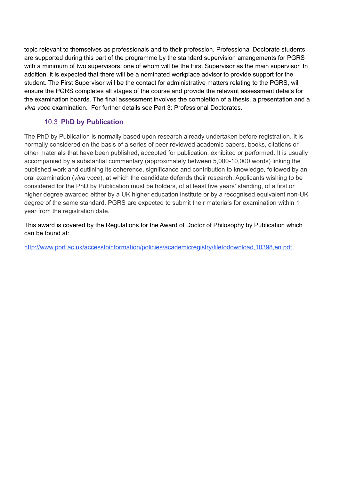topic relevant to themselves as professionals and to their profession. Professional Doctorate students are supported during this part of the programme by the standard supervision arrangements for PGRS with a minimum of two supervisors, one of whom will be the First Supervisor as the main supervisor. In addition, it is expected that there will be a nominated workplace advisor to provide support for the student. The First Supervisor will be the contact for administrative matters relating to the PGRS, will ensure the PGRS completes all stages of the course and provide the relevant assessment details for the examination boards. The final assessment involves the completion of a thesis, a presentation and a *viva voce* examination. For further details see Part 3: Professional Doctorates.

#### 10.3 **PhD by Publication**

<span id="page-24-0"></span>The PhD by Publication is normally based upon research already undertaken before registration. It is normally considered on the basis of a series of peer-reviewed academic papers, books, citations or other materials that have been published, accepted for publication, exhibited or performed. It is usually accompanied by a substantial commentary (approximately between 5,000-10,000 words) linking the published work and outlining its coherence, significance and contribution to knowledge, followed by an oral examination (*viva voce*), at which the candidate defends their research. Applicants wishing to be considered for the PhD by Publication must be holders, of at least five years' standing, of a first or higher degree awarded either by a UK higher education institute or by a recognised equivalent non-UK degree of the same standard. PGRS are expected to submit their materials for examination within 1 year from the registration date.

This award is covered by the Regulations for the Award of Doctor of Philosophy by Publication which can be found at:

[http://www.port.ac.uk/accesstoinformation/policies/academicregistry/filetodownload,10398,en.pdf.](http://policies.docstore.port.ac.uk/policy-112.pdf?_ga=2.170278432.1054115552.1597650108-231649204.1574085830)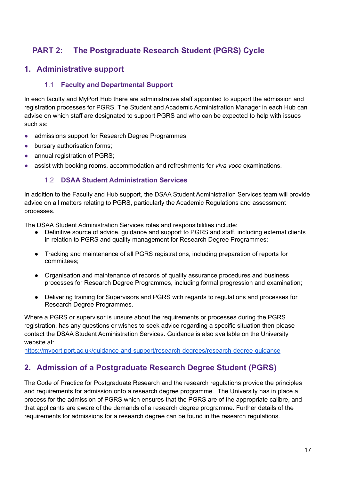## <span id="page-25-0"></span>**PART 2: The Postgraduate Research Student (PGRS) Cycle**

#### <span id="page-25-2"></span><span id="page-25-1"></span>**1. Administrative support**

#### 1.1 **Faculty and Departmental Support**

In each faculty and MyPort Hub there are administrative staff appointed to support the admission and registration processes for PGRS. The Student and Academic Administration Manager in each Hub can advise on which staff are designated to support PGRS and who can be expected to help with issues such as:

- admissions support for Research Degree Programmes;
- bursary authorisation forms;
- annual registration of PGRS:
- <span id="page-25-3"></span>● assist with booking rooms, accommodation and refreshments for *viva voce* examinations.

#### 1.2 **DSAA Student Administration Services**

In addition to the Faculty and Hub support, the DSAA Student Administration Services team will provide advice on all matters relating to PGRS, particularly the Academic Regulations and assessment processes.

The DSAA Student Administration Services roles and responsibilities include:

- Definitive source of advice, guidance and support to PGRS and staff, including external clients in relation to PGRS and quality management for Research Degree Programmes;
- Tracking and maintenance of all PGRS registrations, including preparation of reports for committees;
- Organisation and maintenance of records of quality assurance procedures and business processes for Research Degree Programmes, including formal progression and examination;
- Delivering training for Supervisors and PGRS with regards to regulations and processes for Research Degree Programmes.

Where a PGRS or supervisor is unsure about the requirements or processes during the PGRS registration, has any questions or wishes to seek advice regarding a specific situation then please contact the DSAA Student Administration Services. Guidance is also available on the University website at:

<https://myport.port.ac.uk/guidance-and-support/research-degrees/research-degree-guidance> .

## <span id="page-25-4"></span>**2. Admission of a Postgraduate Research Degree Student (PGRS)**

The Code of Practice for Postgraduate Research and the research regulations provide the principles and requirements for admission onto a research degree programme. The University has in place a process for the admission of PGRS which ensures that the PGRS are of the appropriate calibre, and that applicants are aware of the demands of a research degree programme. Further details of the requirements for admissions for a research degree can be found in the research regulations.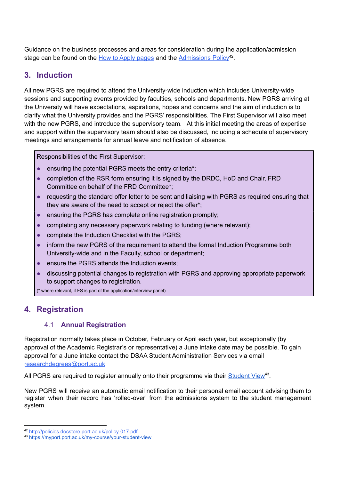Guidance on the business processes and areas for consideration during the application/admission stage can be found on the How to Apply [pages](https://www.port.ac.uk/study/postgraduate-research/how-to-apply) and the [Admissions](http://policies.docstore.port.ac.uk/policy-017.pdf) Policy<sup>42</sup>.

## <span id="page-26-0"></span>**3. Induction**

All new PGRS are required to attend the University-wide induction which includes University-wide sessions and supporting events provided by faculties, schools and departments. New PGRS arriving at the University will have expectations, aspirations, hopes and concerns and the aim of induction is to clarify what the University provides and the PGRS' responsibilities. The First Supervisor will also meet with the new PGRS, and introduce the supervisory team. At this initial meeting the areas of expertise and support within the supervisory team should also be discussed, including a schedule of supervisory meetings and arrangements for annual leave and notification of absence.

Responsibilities of the First Supervisor:

- ensuring the potential PGRS meets the entry criteria\*;
- completion of the RSR form ensuring it is signed by the DRDC, HoD and Chair, FRD Committee on behalf of the FRD Committee\*;
- requesting the standard offer letter to be sent and liaising with PGRS as required ensuring that they are aware of the need to accept or reject the offer\*;
- ensuring the PGRS has complete online registration promptly;
- completing any necessary paperwork relating to funding (where relevant);
- complete the Induction Checklist with the PGRS;
- inform the new PGRS of the requirement to attend the formal Induction Programme both University-wide and in the Faculty, school or department;
- ensure the PGRS attends the Induction events;
- discussing potential changes to registration with PGRS and approving appropriate paperwork to support changes to registration.

(\* where relevant, if FS is part of the application/interview panel)

## <span id="page-26-2"></span><span id="page-26-1"></span>**4. Registration**

#### 4.1 **Annual Registration**

Registration normally takes place in October, February or April each year, but exceptionally (by approval of the Academic Registrar's or representative) a June intake date may be possible. To gain approval for a June intake contact the DSAA Student Administration Services via email [researchdegrees@port.ac.uk](mailto:researchdegrees@port.ac.uk)

All PGRS are required to register annually onto their programme via their **[Student](https://myport.port.ac.uk/my-course/your-student-view) View**<sup>43</sup>.

New PGRS will receive an automatic email notification to their personal email account advising them to register when their record has 'rolled-over' from the admissions system to the student management system.

<sup>42</sup> <http://policies.docstore.port.ac.uk/policy-017.pdf>

<sup>43</sup> <https://myport.port.ac.uk/my-course/your-student-view>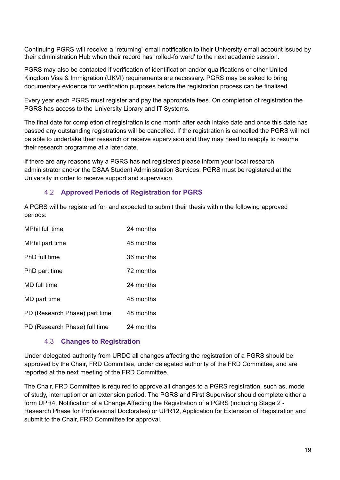Continuing PGRS will receive a 'returning' email notification to their University email account issued by their administration Hub when their record has 'rolled-forward' to the next academic session.

PGRS may also be contacted if verification of identification and/or qualifications or other United Kingdom Visa & Immigration (UKVI) requirements are necessary. PGRS may be asked to bring documentary evidence for verification purposes before the registration process can be finalised.

Every year each PGRS must register and pay the appropriate fees. On completion of registration the PGRS has access to the University Library and IT Systems.

The final date for completion of registration is one month after each intake date and once this date has passed any outstanding registrations will be cancelled. If the registration is cancelled the PGRS will not be able to undertake their research or receive supervision and they may need to reapply to resume their research programme at a later date.

If there are any reasons why a PGRS has not registered please inform your local research administrator and/or the DSAA Student Administration Services. PGRS must be registered at the University in order to receive support and supervision.

#### 4.2 **Approved Periods of Registration for PGRS**

<span id="page-27-0"></span>A PGRS will be registered for, and expected to submit their thesis within the following approved periods:

| MPhil full time               | 24 months |
|-------------------------------|-----------|
| MPhil part time               | 48 months |
| PhD full time                 | 36 months |
| PhD part time                 | 72 months |
| MD full time                  | 24 months |
| MD part time                  | 48 months |
| PD (Research Phase) part time | 48 months |
| PD (Research Phase) full time | 24 months |

#### 4.3 **Changes to Registration**

<span id="page-27-1"></span>Under delegated authority from URDC all changes affecting the registration of a PGRS should be approved by the Chair, FRD Committee, under delegated authority of the FRD Committee, and are reported at the next meeting of the FRD Committee.

The Chair, FRD Committee is required to approve all changes to a PGRS registration, such as, mode of study, interruption or an extension period. The PGRS and First Supervisor should complete either a form UPR4, Notification of a Change Affecting the Registration of a PGRS (including Stage 2 - Research Phase for Professional Doctorates) or UPR12, Application for Extension of Registration and submit to the Chair, FRD Committee for approval.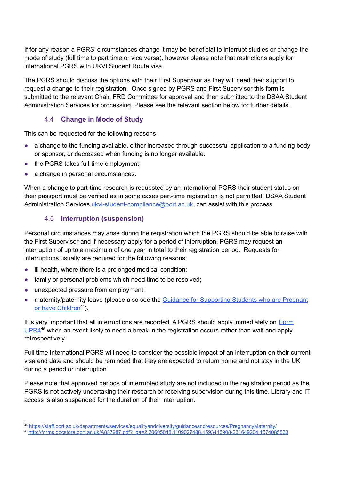If for any reason a PGRS' circumstances change it may be beneficial to interrupt studies or change the mode of study (full time to part time or vice versa), however please note that restrictions apply for international PGRS with UKVI Student Route visa.

The PGRS should discuss the options with their First Supervisor as they will need their support to request a change to their registration. Once signed by PGRS and First Supervisor this form is submitted to the relevant Chair, FRD Committee for approval and then submitted to the DSAA Student Administration Services for processing. Please see the relevant section below for further details.

#### 4.4 **Change in Mode of Study**

<span id="page-28-0"></span>This can be requested for the following reasons:

- a change to the funding available, either increased through successful application to a funding body or sponsor, or decreased when funding is no longer available.
- the PGRS takes full-time employment:
- a change in personal circumstances.

When a change to part-time research is requested by an international PGRS their student status on their passport must be verified as in some cases part-time registration is not permitted. DSAA Student Administration Services[,ukvi-student-compliance@port.ac.uk](mailto:ukvi-student-compliance@port.ac.uk), can assist with this process.

#### 4.5 **Interruption (suspension)**

<span id="page-28-1"></span>Personal circumstances may arise during the registration which the PGRS should be able to raise with the First Supervisor and if necessary apply for a period of interruption. PGRS may request an interruption of up to a maximum of one year in total to their registration period. Requests for interruptions usually are required for the following reasons:

- ill health, where there is a prolonged medical condition;
- family or personal problems which need time to be resolved;
- unexpected pressure from employment;
- maternity/paternity leave (please also see the Guidance for [Supporting](https://staff.port.ac.uk/departments/services/equalityanddiversity/guidanceandresources/PregnancyMaternity/) Students who are Pregnant or have [Children](https://staff.port.ac.uk/departments/services/equalityanddiversity/guidanceandresources/PregnancyMaternity/)<sup>44</sup>).

It is very important that all interruptions are recorded. A PGRS should apply immediately on [Form](http://forms.docstore.port.ac.uk/A837987.pdf?_ga=2.20605048.1109027488.1593415908-231649204.1574085830) [UPR4](http://forms.docstore.port.ac.uk/A837987.pdf?_ga=2.20605048.1109027488.1593415908-231649204.1574085830)<sup>45</sup> when an event likely to need a break in the registration occurs rather than wait and apply retrospectively.

Full time International PGRS will need to consider the possible impact of an interruption on their current visa end date and should be reminded that they are expected to return home and not stay in the UK during a period or interruption.

Please note that approved periods of interrupted study are not included in the registration period as the PGRS is not actively undertaking their research or receiving supervision during this time. Library and IT access is also suspended for the duration of their interruption.

<sup>44</sup> <https://staff.port.ac.uk/departments/services/equalityanddiversity/guidanceandresources/PregnancyMaternity/>

<sup>45</sup> [http://forms.docstore.port.ac.uk/A837987.pdf?\\_ga=2.20605048.1109027488.1593415908-231649204.1574085830](http://forms.docstore.port.ac.uk/A837987.pdf?_ga=2.20605048.1109027488.1593415908-231649204.1574085830)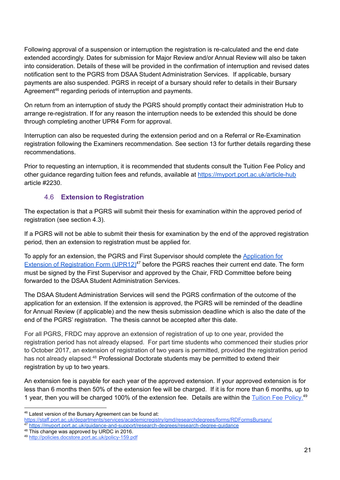Following approval of a suspension or interruption the registration is re-calculated and the end date extended accordingly. Dates for submission for Major Review and/or Annual Review will also be taken into consideration. Details of these will be provided in the confirmation of interruption and revised dates notification sent to the PGRS from DSAA Student Administration Services. If applicable, bursary payments are also suspended. PGRS in receipt of a bursary should refer to details in their Bursary Agreement<sup>46</sup> regarding periods of interruption and payments.

On return from an interruption of study the PGRS should promptly contact their administration Hub to arrange re-registration. If for any reason the interruption needs to be extended this should be done through completing another UPR4 Form for approval.

Interruption can also be requested during the extension period and on a Referral or Re-Examination registration following the Examiners recommendation. See section 13 for further details regarding these recommendations.

Prior to requesting an interruption, it is recommended that students consult the Tuition Fee Policy and other guidance regarding tuition fees and refunds, available at <https://myport.port.ac.uk/article-hub> article #2230.

#### 4.6 **Extension to Registration**

<span id="page-29-0"></span>The expectation is that a PGRS will submit their thesis for examination within the approved period of registration (see section 4.3).

If a PGRS will not be able to submit their thesis for examination by the end of the approved registration period, then an extension to registration must be applied for.

To apply for an extension, the PGRS and First Supervisor should complete the [Application](https://myport.port.ac.uk/guidance-and-support/research-degrees/research-degree-guidance) for Extension of [Registration](https://myport.port.ac.uk/guidance-and-support/research-degrees/research-degree-guidance) Form (UPR12)<sup>47</sup> before the PGRS reaches their current end date. The form must be signed by the First Supervisor and approved by the Chair, FRD Committee before being forwarded to the DSAA Student Administration Services.

The DSAA Student Administration Services will send the PGRS confirmation of the outcome of the application for an extension. If the extension is approved, the PGRS will be reminded of the deadline for Annual Review (if applicable) and the new thesis submission deadline which is also the date of the end of the PGRS' registration. The thesis cannot be accepted after this date.

For all PGRS, FRDC may approve an extension of registration of up to one year, provided the registration period has not already elapsed. For part time students who commenced their studies prior to October 2017, an extension of registration of two years is permitted, provided the registration period has not already elapsed.<sup>48</sup> Professional Doctorate students may be permitted to extend their registration by up to two years.

An extension fee is payable for each year of the approved extension. If your approved extension is for less than 6 months then 50% of the extension fee will be charged. If it is for more than 6 months, up to 1 year, then you will be charged 100% of the extension fee. Details are within the [Tuition](http://policies.docstore.port.ac.uk/policy-159.pdf) Fee Policy.<sup>49</sup>

<sup>48</sup> This change was approved by URDC in 2016.

<sup>46</sup> Latest version of the Bursary Agreement can be found at:

<https://staff.port.ac.uk/departments/services/academicregistry/qmd/researchdegrees/forms/RDFormsBursary/>

<sup>47</sup> <https://myport.port.ac.uk/guidance-and-support/research-degrees/research-degree-guidance>

<sup>49</sup> <http://policies.docstore.port.ac.uk/policy-159.pdf>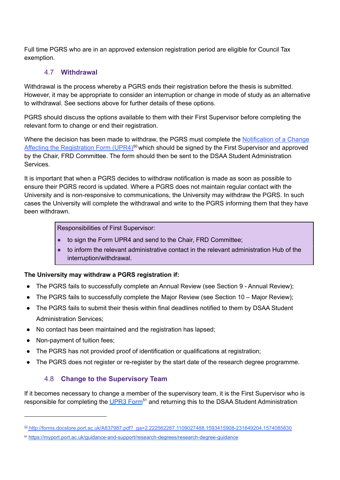Full time PGRS who are in an approved extension registration period are eligible for Council Tax exemption.

#### 4.7 **Withdrawal**

<span id="page-30-0"></span>Withdrawal is the process whereby a PGRS ends their registration before the thesis is submitted. However, it may be appropriate to consider an interruption or change in mode of study as an alternative to withdrawal. See sections above for further details of these options.

PGRS should discuss the options available to them with their First Supervisor before completing the relevant form to change or end their registration.

Where the decision has been made to withdraw, the PGRS must complete the [Notification](http://forms.docstore.port.ac.uk/A837987.pdf?_ga=2.222562267.1109027488.1593415908-231649204.1574085830) of a Change Affecting the [Registration](http://forms.docstore.port.ac.uk/A837987.pdf?_ga=2.222562267.1109027488.1593415908-231649204.1574085830) Form (UPR4)<sup>50</sup> which should be signed by the First Supervisor and approved by the Chair, FRD Committee. The form should then be sent to the DSAA Student Administration Services.

It is important that when a PGRS decides to withdraw notification is made as soon as possible to ensure their PGRS record is updated. Where a PGRS does not maintain regular contact with the University and is non-responsive to communications, the University may withdraw the PGRS. In such cases the University will complete the withdrawal and write to the PGRS informing them that they have been withdrawn.

Responsibilities of First Supervisor:

- to sign the Form [UPR4](http://www.port.ac.uk/departments/services/academicregistry/qualitymanagementdivision/researchdegrees/forms/#d.en.140685) and send to the Chair, FRD Committee;
- to inform the relevant administrative contact in the relevant administration Hub of the interruption/withdrawal.

#### **The University may withdraw a PGRS registration if:**

- The PGRS fails to successfully complete an Annual Review (see Section 9 Annual Review);
- The PGRS fails to successfully complete the Major Review (see Section 10 Major Review);
- The PGRS fails to submit their thesis within final deadlines notified to them by DSAA Student Administration Services;
- No contact has been maintained and the registration has lapsed;
- Non-payment of tuition fees;
- The PGRS has not provided proof of identification or qualifications at registration;
- <span id="page-30-1"></span>• The PGRS does not register or re-register by the start date of the research degree programme.

#### 4.8 **Change to the Supervisory Team**

If it becomes necessary to change a member of the supervisory team, it is the First Supervisor who is responsible for completing the [UPR3](https://myport.port.ac.uk/guidance-and-support/research-degrees/research-degree-guidance) Form<sup>51</sup> and returning this to the DSAA Student Administration

<sup>50</sup> http://forms.docstore.port.ac.uk/A837987.pdf?\_ga=2.222562267.1109027488.1593415908-231649204.1574085830

<sup>51</sup> <https://myport.port.ac.uk/guidance-and-support/research-degrees/research-degree-guidance>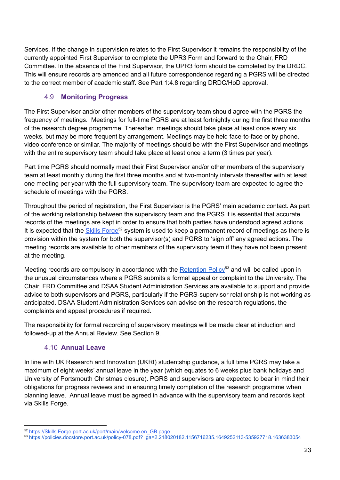Services. If the change in supervision relates to the First Supervisor it remains the responsibility of the currently appointed First Supervisor to complete the UPR3 Form and forward to the Chair, FRD Committee. In the absence of the First Supervisor, the UPR3 form should be completed by the DRDC. This will ensure records are amended and all future correspondence regarding a PGRS will be directed to the correct member of academic staff. See Part 1:4.8 regarding DRDC/HoD approval.

#### 4.9 **Monitoring Progress**

<span id="page-31-0"></span>The First Supervisor and/or other members of the supervisory team should agree with the PGRS the frequency of meetings. Meetings for full-time PGRS are at least fortnightly during the first three months of the research degree programme. Thereafter, meetings should take place at least once every six weeks, but may be more frequent by arrangement. Meetings may be held face-to-face or by phone, video conference or similar. The majority of meetings should be with the First Supervisor and meetings with the entire supervisory team should take place at least once a term (3 times per year).

Part time PGRS should normally meet their First Supervisor and/or other members of the supervisory team at least monthly during the first three months and at two-monthly intervals thereafter with at least one meeting per year with the full supervisory team. The supervisory team are expected to agree the schedule of meetings with the PGRS.

Throughout the period of registration, the First Supervisor is the PGRS' main academic contact. As part of the working relationship between the supervisory team and the PGRS it is essential that accurate records of the meetings are kept in order to ensure that both parties have understood agreed actions. It is expected that the **Skills [Forge](https://skillsforge.port.ac.uk/port/main/welcome.en_GB.page)<sup>52</sup> system is used to keep a permanent record of meetings as there is** provision within the system for both the supervisor(s) and PGRS to 'sign off' any agreed actions. The meeting records are available to other members of the supervisory team if they have not been present at the meeting.

Meeting records are compulsory in accordance with the **[Retention](https://policies.docstore.port.ac.uk/policy-078.pdf?_ga=2.218020182.1156716235.1649252113-535927718.1636383054) Policy<sup>53</sup> and will be called upon in** the unusual circumstances where a PGRS submits a formal appeal or complaint to the University. The Chair, FRD Committee and DSAA Student Administration Services are available to support and provide advice to both supervisors and PGRS, particularly if the PGRS-supervisor relationship is not working as anticipated. DSAA Student Administration Services can advise on the research regulations, the complaints and appeal procedures if required.

The responsibility for formal recording of supervisory meetings will be made clear at induction and followed-up at the Annual Review. See Section 9.

#### 4.10 **Annual Leave**

<span id="page-31-1"></span>In line with UK Research and Innovation (UKRI) studentship guidance, a full time PGRS may take a maximum of eight weeks' annual leave in the year (which equates to 6 weeks plus bank holidays and University of Portsmouth Christmas closure). PGRS and supervisors are expected to bear in mind their obligations for progress reviews and in ensuring timely completion of the research programme when planning leave. Annual leave must be agreed in advance with the supervisory team and records kept via Skills Forge.

<sup>52</sup> [https://Skills Forge.port.ac.uk/port/main/welcome.en\\_GB.page](https://skillsforge.port.ac.uk/port/main/welcome.en_GB.page)

<sup>53</sup> [https://policies.docstore.port.ac.uk/policy-078.pdf?\\_ga=2.218020182.1156716235.1649252113-535927718.1636383054](https://policies.docstore.port.ac.uk/policy-078.pdf?_ga=2.218020182.1156716235.1649252113-535927718.1636383054)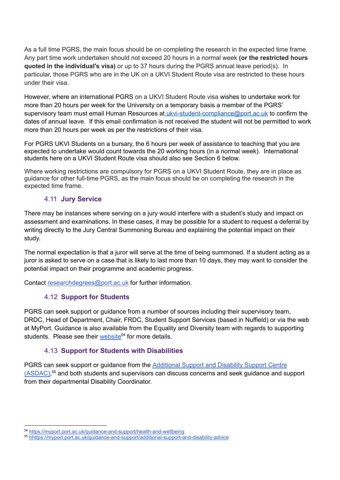As a full time PGRS, the main focus should be on completing the research in the expected time frame. Any part time work undertaken should not exceed 20 hours in a normal week **(or the restricted hours quoted in the individual's visa)** or up to 37 hours during the PGRS annual leave period(s). In particular, those PGRS who are in the UK on a UKVI Student Route visa are restricted to these hours under their visa.

However, where an international PGRS on a UKVI Student Route visa wishes to undertake work for more than 20 hours per week for the University on a temporary basis a member of the PGRS' supervisory team must email Human Resources at [ukvi-student-compliance@port.ac.uk](mailto:ukvi-student-compliance@port.ac.uk) to confirm the dates of annual leave. If this email confirmation is not received the student will not be permitted to work more than 20 hours per week as per the restrictions of their visa.

For PGRS UKVI Students on a bursary, the 6 hours per week of assistance to teaching that you are expected to undertake would count towards the 20 working hours (in a normal week). International students here on a UKVI Student Route visa should also see Section 6 below.

Where working restrictions are compulsory for PGRS on a UKVI Student Route, they are in place as guidance for other full-time PGRS, as the main focus should be on completing the research in the expected time frame.

#### <span id="page-32-0"></span>4.11 **Jury Service**

There may be instances where serving on a jury would interfere with a student's study and impact on assessment and examinations. In these cases, it may be possible for a student to request a deferral by writing directly to the Jury Central Summoning Bureau and explaining the potential impact on their study.

The normal expectation is that a juror will serve at the time of being summoned. If a student acting as a juror is asked to serve on a case that is likely to last more than 10 days, they may want to consider the potential impact on their programme and academic progress.

<span id="page-32-1"></span>Contact [researchdegrees@port.ac.uk](mailto:researchdegrees@port.ac.uk) for further information.

#### 4.12 **Support for Students**

PGRS can seek support or guidance from a number of sources including their supervisory team, DRDC, Head of Department, Chair, FRDC, Student Support Services (based in Nuffield) or via the web at MyPort. Guidance is also available from the Equality and Diversity team with regards to supporting students. Please see their [website](https://myport.port.ac.uk/guidance-and-support/health-and-wellbeing)<sup>54</sup> for more details.

#### 4.13 **Support for Students with Disabilities**

<span id="page-32-2"></span>PGRS can seek support or guidance from the [Additional](https://myport.port.ac.uk/guidance-and-support/additional-support-and-disability-advice) Support and Disability Support Centre [\(ASDAC\),](https://myport.port.ac.uk/guidance-and-support/additional-support-and-disability-advice)<sup>55</sup> and both students and supervisors can discuss concerns and seek guidance and support from their departmental Disability Coordinator.

<sup>54</sup> <https://myport.port.ac.uk/guidance-and-support/health-and-wellbeing>

<sup>55</sup> hhttps://myport.port.ac.uk/guidance-and-support/additional-support-and-disability-advice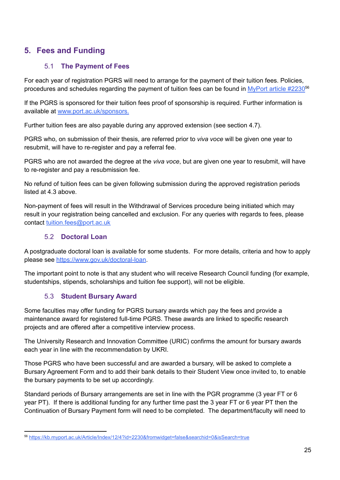## <span id="page-33-1"></span><span id="page-33-0"></span>**5. Fees and Funding**

#### 5.1 **The Payment of Fees**

For each year of registration PGRS will need to arrange for the payment of their tuition fees. Policies, procedures a[n](http://www.port.ac.uk/tuitionfees)d schedules regarding the payment of tuition fees can be found in [MyPort](https://kb.myport.ac.uk/Article/Index/12/4?id=2230&fromwidget=false&searchid=0&isSearch=true) article #2230<sup>56</sup>

If the PGRS is sponsored for their tuition fees proof of sponsorship is required. Further information is available at [www.port.ac.uk/sponsors.](http://www.port.ac.uk/sponsors)

Further tuition fees are also payable during any approved extension (see section 4.7).

PGRS who, on submission of their thesis, are referred prior to *viva voce* will be given one year to resubmit, will have to re-register and pay a referral fee.

PGRS who are not awarded the degree at the *viva voce*, but are given one year to resubmit, will have to re-register and pay a resubmission fee.

No refund of tuition fees can be given following submission during the approved registration periods listed at 4.3 above.

Non-payment of fees will result in the Withdrawal of Services procedure being initiated which may result in your registration being cancelled and exclusion. For any queries with regards to fees, please contact [tuition.fees@port.ac.uk](mailto:tuition.fees@port.ac.uk)

#### 5.2 **Doctoral Loan**

<span id="page-33-2"></span>A postgraduate doctoral loan is available for some students. For more details, criteria and how to apply please see <https://www.gov.uk/doctoral-loan>.

The important point to note is that any student who will receive Research Council funding (for example, studentships, stipends, scholarships and tuition fee support), will not be eligible.

#### 5.3 **Student Bursary Award**

<span id="page-33-3"></span>Some faculties may offer funding for PGRS bursary awards which pay the fees and provide a maintenance award for registered full-time PGRS. These awards are linked to specific research projects and are offered after a competitive interview process.

The University Research and Innovation Committee (URIC) confirms the amount for bursary awards each year in line with the recommendation by UKRI.

Those PGRS who have been successful and are awarded a bursary, will be asked to complete a Bursary Agreement Form and to add their bank details to their Student View once invited to, to enable the bursary payments to be set up accordingly.

Standard periods of Bursary arrangements are set in line with the PGR programme (3 year FT or 6 year PT). If there is additional funding for any further time past the 3 year FT or 6 year PT then the Continuation of Bursary Payment form will need to be completed. The department/faculty will need to

<sup>56</sup> <https://kb.myport.ac.uk/Article/Index/12/4?id=2230&fromwidget=false&searchid=0&isSearch=true>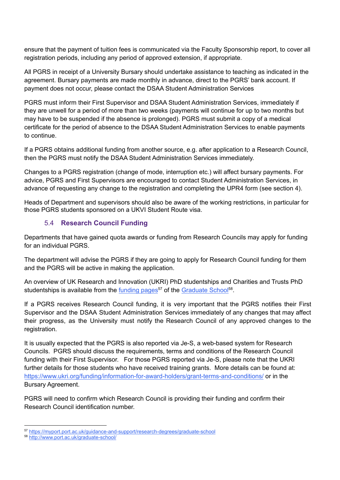ensure that the payment of tuition fees is communicated via the Faculty Sponsorship report, to cover all registration periods, including any period of approved extension, if appropriate.

All PGRS in receipt of a University Bursary should undertake assistance to teaching as indicated in the agreement. Bursary payments are made monthly in advance, direct to the PGRS' bank account. If payment does not occur, please contact the DSAA Student Administration Services

PGRS must inform their First Supervisor and DSAA Student Administration Services, immediately if they are unwell for a period of more than two weeks (payments will continue for up to two months but may have to be suspended if the absence is prolonged). PGRS must submit a copy of a medical certificate for the period of absence to the DSAA Student Administration Services to enable payments to continue.

If a PGRS obtains additional funding from another source, e.g. after application to a Research Council, then the PGRS must notify the DSAA Student Administration Services immediately.

Changes to a PGRS registration (change of mode, interruption etc.) will affect bursary payments. For advice, PGRS and First Supervisors are encouraged to contact Student Administration Services, in advance of requesting any change to the registration and completing the UPR4 form (see section 4).

<span id="page-34-0"></span>Heads of Department and supervisors should also be aware of the working restrictions, in particular for those PGRS students sponsored on a UKVI Student Route visa.

#### 5.4 **Research Council Funding**

Departments that have gained quota awards or funding from Research Councils may apply for funding for an individual PGRS.

The department will advise the PGRS if they are going to apply for Research Council funding for them and the PGRS will be active in making the application.

An overview of UK Research and Innovation (UKRI) PhD studentships and Charities and Trusts PhD studentships is available from the [funding](https://www.port.ac.uk/study/postgraduate-research/funding-your-research-degree) pages<sup>57</sup> of the [Graduate](https://myport.port.ac.uk/guidance-and-support/research-degrees/graduate-school) School<sup>58</sup>.

If a PGRS receives Research Council funding, it is very important that the PGRS notifies their First Supervisor and the DSAA Student Administration Services immediately of any changes that may affect their progress, as the University must notify the Research Council of any approved changes to the registration.

It is usually expected that the PGRS is also reported via Je-S, a web-based system for Research Councils. PGRS should discuss the requirements, terms and conditions of the Research Council funding with their First Supervisor. For those PGRS reported via Je-S, please note that the UKRI further details for those students who have received training grants. More details can be found at: <https://www.ukri.org/funding/information-for-award-holders/grant-terms-and-conditions/> or in the Bursary Agreement.

PGRS will need to confirm which Research Council is providing their funding and confirm their Research Council identification number.

<sup>57</sup> <https://myport.port.ac.uk/guidance-and-support/research-degrees/graduate-school>

<sup>58</sup> <http://www.port.ac.uk/graduate-school/>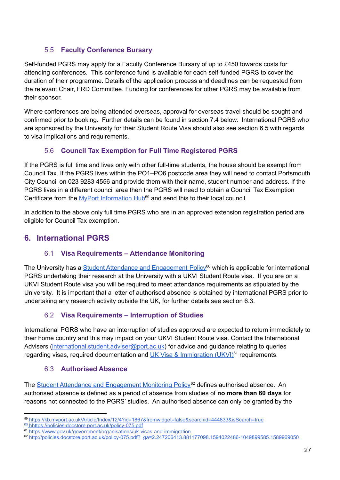#### 5.5 **Faculty Conference Bursary**

<span id="page-35-0"></span>Self-funded PGRS may apply for a Faculty Conference Bursary of up to £450 towards costs for attending conferences. This conference fund is available for each self-funded PGRS to cover the duration of their programme. Details of the application process and deadlines can be requested from the relevant Chair, FRD Committee. Funding for conferences for other PGRS may be available from their sponsor.

Where conferences are being attended overseas, approval for overseas travel should be sought and confirmed prior to booking. Further details can be found in section 7.4 below. International PGRS who are sponsored by the University for their Student Route Visa should also see section 6.5 with regards to visa implications and requirements.

#### 5.6 **Council Tax Exemption for Full Time Registered PGRS**

<span id="page-35-1"></span>If the PGRS is full time and lives only with other full-time students, the house should be exempt from Council Tax. If the PGRS lives within the PO1–PO6 postcode area they will need to contact Portsmouth City Council on 023 9283 4556 and provide them with their name, student number and address. If the PGRS lives in a different council area then the PGRS will need to obtain a Council Tax Exemption Certificate from the MyPort [Information](https://kb.myport.ac.uk/Article/Index/12/4?id=1867&fromwidget=false&searchid=444833&isSearch=true) Hub<sup>59</sup> and send this to their local council.

In addition to the above only full time PGRS who are in an approved extension registration period are eligible for Council Tax exemption.

## <span id="page-35-2"></span>**6. International PGRS**

#### 6.1 **Visa Requirements – Attendance Monitoring**

The University has a Student Attendance and [Engagement](https://docs.google.com/document/d/1wJ0-rch4Ya9dKRxLqUZNkdtn2T9VQw5bxlvi-a8MJvM/edit) Policy<sup>60</sup> which is applicable for international PGRS undertaking their research at the University with a UKVI Student Route visa. If you are on a UKVI Student Route visa you will be required to meet attendance requirements as stipulated by the University. It is important that a letter of authorised absence is obtained by international PGRS prior to undertaking any research activity outside the UK, for further details see section 6.3.

#### 6.2 **Visa Requirements – Interruption of Studies**

<span id="page-35-3"></span>International PGRS who have an interruption of studies approved are expected to return immediately to their home country and this may impact on your UKVI Student Route visa. Contact the International Advisers [\(international.student.adviser@port.ac.uk](mailto:international.student.adviser@port.ac.uk)) for advice and guidance relating to queries regarding visas, required documentation and UK Visa & [Immigration](https://www.port.ac.uk/study/international-students/visa-advice/student-visas) (UKVI)<sup>61</sup> requirements.

#### 6.3 **Authorised Absence**

<span id="page-35-4"></span>The Student Attendance and [Engagement](https://docs.google.com/document/d/1wJ0-rch4Ya9dKRxLqUZNkdtn2T9VQw5bxlvi-a8MJvM/edit) Monitoring Policy<sup>62</sup> defines authorised absence. An authorised absence is defined as a period of absence from studies of **no more than 60 days** for reasons not connected to the PGRS' studies. An authorised absence can only be granted by the

<sup>59</sup> <https://kb.myport.ac.uk/Article/Index/12/4?id=1867&fromwidget=false&searchid=444833&isSearch=true>

<sup>60</sup> [h](http://policies.docstore.port.ac.uk/policy-192.pdf?_ga=2.211303573.1054115552.1597650108-231649204.1574085830)https://policies.docstore.port.ac.uk/policy-075.pdf

<sup>61</sup> <https://www.gov.uk/government/organisations/uk-visas-and-immigration>

<sup>62</sup> [http://policies.docstore.port.ac.uk/policy-075.pdf?\\_ga=2.247206413.881177098.1594022486-1049899585.1589969050](http://policies.docstore.port.ac.uk/policy-075.pdf?_ga=2.247206413.881177098.1594022486-1049899585.1589969050)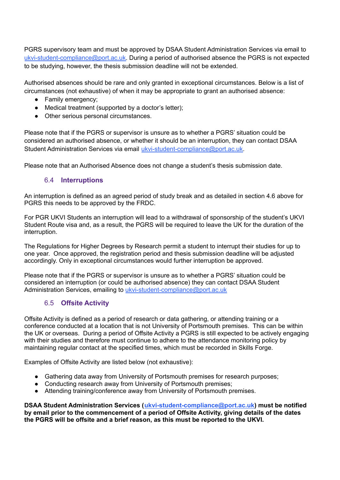PGRS supervisory team and must be approved by DSAA Student Administration Services via email to [ukvi-student-compliance@port.ac.uk.](mailto:ukvi-student-compliance@port.ac.uk) During a period of authorised absence the PGRS is not expected to be studying, however, the thesis submission deadline will not be extended.

Authorised absences should be rare and only granted in exceptional circumstances. Below is a list of circumstances (not exhaustive) of when it may be appropriate to grant an authorised absence:

- Family emergency;
- Medical treatment (supported by a doctor's letter);
- Other serious personal circumstances.

Please note that if the PGRS or supervisor is unsure as to whether a PGRS' situation could be considered an authorised absence, or whether it should be an interruption, they can contact DSAA Student Administration Services via email [ukvi-student-compliance@port.ac.uk.](mailto:ukvi-student-compliance@port.ac.uk)

Please note that an Authorised Absence does not change a student's thesis submission date.

#### 6.4 **Interruptions**

An interruption is defined as an agreed period of study break and as detailed in section 4.6 above for PGRS this needs to be approved by the FRDC.

For PGR UKVI Students an interruption will lead to a withdrawal of sponsorship of the student's UKVI Student Route visa and, as a result, the PGRS will be required to leave the UK for the duration of the interruption.

The Regulations for Higher Degrees by Research permit a student to interrupt their studies for up to one year. Once approved, the registration period and thesis submission deadline will be adjusted accordingly. Only in exceptional circumstances would further interruption be approved.

Please note that if the PGRS or supervisor is unsure as to whether a PGRS' situation could be considered an interruption (or could be authorised absence) they can contact DSAA Student Administration Services, emailing to [ukvi-student-compliance@port.ac.uk](mailto:ukvi-student-compliance@port.ac.uk)

#### 6.5 **Offsite Activity**

Offsite Activity is defined as a period of research or data gathering, or attending training or a conference conducted at a location that is not University of Portsmouth premises. This can be within the UK or overseas. During a period of Offsite Activity a PGRS is still expected to be actively engaging with their studies and therefore must continue to adhere to the attendance monitoring policy by maintaining regular contact at the specified times, which must be recorded in Skills Forge.

Examples of Offsite Activity are listed below (not exhaustive):

- Gathering data away from University of Portsmouth premises for research purposes;
- Conducting research away from University of Portsmouth premises;
- Attending training/conference away from University of Portsmouth premises.

**DSAA Student Administration Services ([ukvi-student-compliance@port.ac.uk](mailto:ukvi-student-compliance@port.ac.uk)) must be notified by email prior to the commencement of a period of Offsite Activity, giving details of the dates the PGRS will be offsite and a brief reason, as this must be reported to the UKVI.**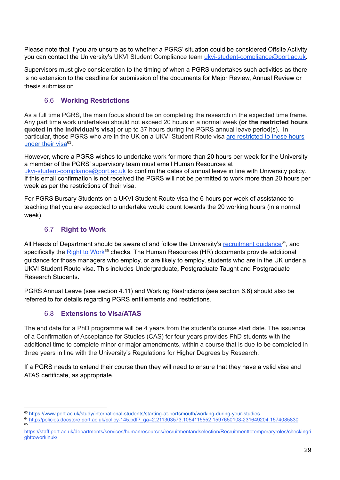Please note that if you are unsure as to whether a PGRS' situation could be considered Offsite Activity you can contact the University's UKVI Student Compliance team [ukvi-student-compliance@port.ac.uk](mailto:ukvi-student-compliance@port.ac.uk).

Supervisors must give consideration to the timing of when a PGRS undertakes such activities as there is no extension to the deadline for submission of the documents for Major Review, Annual Review or thesis submission.

#### 6.6 **Working Restrictions**

As a full time PGRS, the main focus should be on completing the research in the expected time frame. Any part time work undertaken should not exceed 20 hours in a normal week **(or the restricted hours quoted in the individual's visa)** or up to 37 hours during the PGRS annual leave period(s). In particular, those PGRS who are in the UK on a UKVI Student Route visa are [restricted](https://www.port.ac.uk/study/international-students/starting-at-portsmouth/working-during-your-studies) to these hours [under](https://www.port.ac.uk/study/international-students/starting-at-portsmouth/working-during-your-studies) their visa<sup>63</sup>.

However, where a PGRS wishes to undertake work for more than 20 hours per week for the University a member of the PGRS' supervisory team must email Human Resources at [ukvi-student-compliance@port.ac.uk](mailto:ukvi-student-compliance@port.ac.uk) to confirm the dates of annual leave in line with University policy. If this email confirmation is not received the PGRS will not be permitted to work more than 20 hours per week as per the restrictions of their visa.

For PGRS Bursary Students on a UKVI Student Route visa the 6 hours per week of assistance to teaching that you are expected to undertake would count towards the 20 working hours (in a normal week).

#### 6.7 **Right to Work**

All Heads of Department should be aware of and follow the University's [recruitment](http://policies.docstore.port.ac.uk/policy-145.pdf?_ga=2.211303573.1054115552.1597650108-231649204.1574085830) guidance<sup>64</sup>, and specifically the **[Right](https://staff.port.ac.uk/departments/services/humanresources/recruitmentandselection/Recruitmenttotemporaryroles/checkingrighttoworkinuk/) to Work<sup>65</sup> checks. The Human Resources (HR) documents provide additional** guidance for those managers who employ, or are likely to employ, students who are in the UK under a UKVI Student Route visa. This includes Undergraduate**,** Postgraduate Taught and Postgraduate Research Students.

PGRS Annual Leave (see section 4.11) and Working Restrictions (see section 6.6) should also be referred to for details regarding PGRS entitlements and restrictions.

#### 6.8 **Extensions to Visa/ATAS**

The end date for a PhD programme will be 4 years from the student's course start date. The issuance of a Confirmation of Acceptance for Studies (CAS) for four years provides PhD students with the additional time to complete minor or major amendments, within a course that is due to be completed in three years in line with the University's Regulations for Higher Degrees by Research.

If a PGRS needs to extend their course then they will need to ensure that they have a valid visa and ATAS certificate, as appropriate.

<sup>63</sup> <https://www.port.ac.uk/study/international-students/starting-at-portsmouth/working-during-your-studies>

<sup>65</sup> <sup>64</sup> [http://policies.docstore.port.ac.uk/policy-145.pdf?\\_ga=2.211303573.1054115552.1597650108-231649204.1574085830](http://policies.docstore.port.ac.uk/policy-145.pdf?_ga=2.211303573.1054115552.1597650108-231649204.1574085830)

[https://staff.port.ac.uk/departments/services/humanresources/recruitmentandselection/Recruitmenttotemporaryroles/checkingri](https://staff.port.ac.uk/departments/services/humanresources/recruitmentandselection/Recruitmenttotemporaryroles/checkingrighttoworkinuk/) [ghttoworkinuk/](https://staff.port.ac.uk/departments/services/humanresources/recruitmentandselection/Recruitmenttotemporaryroles/checkingrighttoworkinuk/)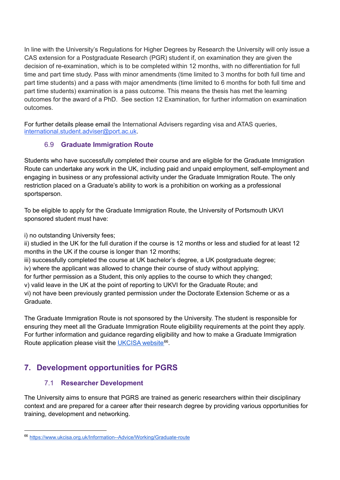In line with the University's Regulations for Higher Degrees by Research the University will only issue a CAS extension for a Postgraduate Research (PGR) student if, on examination they are given the decision of re-examination, which is to be completed within 12 months, with no differentiation for full time and part time study. Pass with minor amendments (time limited to 3 months for both full time and part time students) and a pass with major amendments (time limited to 6 months for both full time and part time students) examination is a pass outcome. This means the thesis has met the learning outcomes for the award of a PhD. See section 12 Examination, for further information on examination outcomes.

For further details please email the International Advisers regarding visa and ATAS queries, [international.student.adviser@port.ac.uk](mailto:international.student.adviser@port.ac.uk).

#### 6.9 **Graduate Immigration Route**

Students who have successfully completed their course and are eligible for the Graduate Immigration Route can undertake any work in the UK, including paid and unpaid employment, self-employment and engaging in business or any professional activity under the Graduate Immigration Route. The only restriction placed on a Graduate's ability to work is a prohibition on working as a professional sportsperson.

To be eligible to apply for the Graduate Immigration Route, the University of Portsmouth UKVI sponsored student must have:

i) no outstanding University fees;

ii) studied in the UK for the full duration if the course is 12 months or less and studied for at least 12 months in the UK if the course is longer than 12 months;

iii) successfully completed the course at UK bachelor's degree, a UK postgraduate degree; iv) where the applicant was allowed to change their course of study without applying;

for further permission as a Student, this only applies to the course to which they changed;

v) valid leave in the UK at the point of reporting to UKVI for the Graduate Route; and

vi) not have been previously granted permission under the Doctorate Extension Scheme or as a Graduate.

The Graduate Immigration Route is not sponsored by the University. The student is responsible for ensuring they meet all the Graduate Immigration Route eligibility requirements at the point they apply. For further information and guidance regarding eligibility and how to make a Graduate Immigration Route application please visit the [UKCISA](https://www.ukcisa.org.uk/Information--Advice/Working/Graduate-route) website<sup>66</sup>.

# **7. Development opportunities for PGRS**

#### 7.1 **Researcher Development**

The University aims to ensure that PGRS are trained as generic researchers within their disciplinary context and are prepared for a career after their research degree by providing various opportunities for training, development and networking.

<sup>66</sup> <https://www.ukcisa.org.uk/Information--Advice/Working/Graduate-route>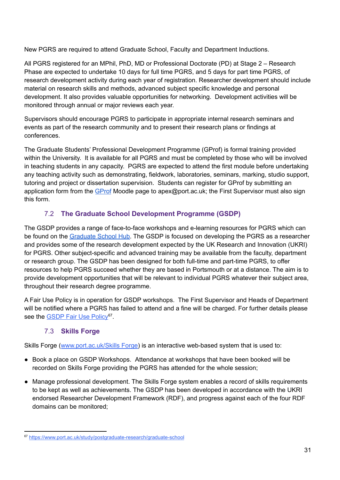New PGRS are required to attend Graduate School, Faculty and Department Inductions.

All PGRS registered for an MPhil, PhD, MD or Professional Doctorate (PD) at Stage 2 – Research Phase are expected to undertake 10 days for full time PGRS, and 5 days for part time PGRS, of research development activity during each year of registration. Researcher development should include material on research skills and methods, advanced subject specific knowledge and personal development. It also provides valuable opportunities for networking. Development activities will be monitored through annual or major reviews each year.

Supervisors should encourage PGRS to participate in appropriate internal research seminars and events as part of the research community and to present their research plans or findings at conferences.

The Graduate Students' Professional Development Programme (GProf) is formal training provided within the University. It is available for all PGRS and must be completed by those who will be involved in teaching students in any capacity. PGRS are expected to attend the first module before undertaking any teaching activity such as demonstrating, fieldwork, laboratories, seminars, marking, studio support, tutoring and project or dissertation supervision. Students can register for GProf by submitting an application form from the [GProf](https://moodle.port.ac.uk/course/view.php?id=2946) Moodle page to apex@port.ac.uk; the First Supervisor must also sign this form.

### 7.2 **The Graduate School Development Programme (GSDP)**

The GSDP provides a range of face-to-face workshops and e-learning resources for PGRS which can be found on the [Graduate](https://moodle.port.ac.uk/course/view.php?id=3036) School Hub. The GSDP is focused on developing the PGRS as a researcher and provides some of the research development expected by the UK Research and Innovation (UKRI) for PGRS. Other subject-specific and advanced training may be available from the faculty, department or research group. The GSDP has been designed for both full-time and part-time PGRS, to offer resources to help PGRS succeed whether they are based in Portsmouth or at a distance. The aim is to provide development opportunities that will be relevant to individual PGRS whatever their subject area, throughout their research degree programme.

A Fair Use Policy is in operation for GSDP workshops. The First Supervisor and Heads of Department will be notified where a PGRS has failed to attend and a fine will be charged. For further details please see the **[GSDP](https://www.port.ac.uk/study/postgraduate-research/graduate-school) Fair Use Policy<sup>67</sup>.** 

### 7.3 **Skills Forge**

Skills Forge ([www.port.ac.uk/Skills](http://www.port.ac.uk/skillsforge) Forge) is an interactive web-based system that is used to:

- Book a place on GSDP Workshops. Attendance at workshops that have been booked will be recorded on Skills Forge providing the PGRS has attended for the whole session;
- Manage professional development. The Skills Forge system enables a record of skills requirements to be kept as well as achievements. The GSDP has been developed in accordance with the UKRI endorsed Researcher Development Framework (RDF), and progress against each of the four RDF domains can be monitored;

<sup>67</sup> <https://www.port.ac.uk/study/postgraduate-research/graduate-school>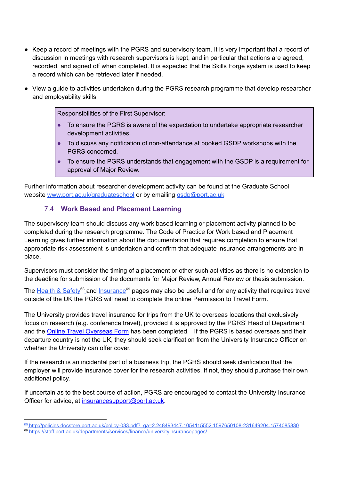- Keep a record of meetings with the PGRS and supervisory team. It is very important that a record of discussion in meetings with research supervisors is kept, and in particular that actions are agreed, recorded, and signed off when completed. It is expected that the Skills Forge system is used to keep a record which can be retrieved later if needed.
- View a guide to activities undertaken during the PGRS research programme that develop researcher and employability skills.

Responsibilities of the First Supervisor:

- To ensure the PGRS is aware of the expectation to undertake appropriate researcher development activities.
- To discuss any notification of non-attendance at booked GSDP workshops with the PGRS concerned.
- To ensure the PGRS understands that engagement with the GSDP is a requirement for approval of Major Review.

Further information about researcher development activity can be found at the Graduate School website [www.port.ac.uk/graduateschool](http://www.port.ac.uk/graduateschool) or by emailing [gsdp@port.ac.uk](mailto:gsdp@port.ac.uk)

#### 7.4 **Work Based and Placement Learning**

The supervisory team should discuss any work based learning or placement activity planned to be completed during the research programme. The Code of Practice for Work based and Placement Learning gives further information about the documentation that requires completion to ensure that appropriate risk assessment is undertaken and confirm that adequate insurance arrangements are in place.

Supervisors must consider the timing of a placement or other such activities as there is no extension to the deadline for submission of the documents for Major Review, Annual Review or thesis submission.

The [Health](http://policies.docstore.port.ac.uk/policy-033.pdf?_ga=2.248493447.1054115552.1597650108-231649204.1574085830) & Safety<sup>68</sup> and [Insurance](https://staff.port.ac.uk/departments/services/finance/universityinsurancepages/)<sup>69</sup> pages may also be useful and for any activity that requires travel outside of the UK the PGRS will need to complete the online Permission to Travel Form.

The University provides travel insurance for trips from the UK to overseas locations that exclusively focus on research (e.g. conference travel), provided it is approved by the PGRS' Head of Department and the Online Travel [Overseas](https://staff.port.ac.uk/special/overseastravel/traveloverseasform/) Form has been completed. If the PGRS is based overseas and their departure country is not the UK, they should seek clarification from the University Insurance Officer on whether the University can offer cover.

If the research is an incidental part of a business trip, the PGRS should seek clarification that the employer will provide insurance cover for the research activities. If not, they should purchase their own additional policy.

If uncertain as to the best course of action, PGRS are encouraged to contact the University Insurance Officer for advice, at [insurancesupport@port.ac.uk.](mailto:insurancesupport@port.ac.uk)

<sup>68</sup> [http://policies.docstore.port.ac.uk/policy-033.pdf?\\_ga=2.248493447.1054115552.1597650108-231649204.1574085830](http://policies.docstore.port.ac.uk/policy-033.pdf?_ga=2.248493447.1054115552.1597650108-231649204.1574085830)

<sup>69</sup> <https://staff.port.ac.uk/departments/services/finance/universityinsurancepages/>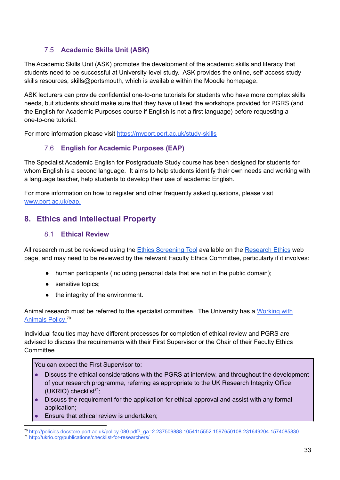### 7.5 **Academic Skills Unit (ASK)**

The Academic Skills Unit (ASK) promotes the development of the academic skills and literacy that students need to be successful at University-level study. ASK provides the online, self-access study skills resources, skills@portsmouth, which is available within the Moodle homepage.

ASK lecturers can provide confidential one-to-one tutorials for students who have more complex skills needs, but students should make sure that they have utilised the workshops provided for PGRS (and the English for Academic Purposes course if English is not a first language) before requesting a one-to-one tutorial.

For more information please visit <https://myport.port.ac.uk/study-skills>

### 7.6 **English for Academic Purposes (EAP)**

The Specialist Academic English for Postgraduate Study course has been designed for students for whom English is a second language. It aims to help students identify their own needs and working with a language teacher, help students to develop their use of academic English.

For more information on how to register and other frequently asked questions, please visit [www.port.ac.uk/eap](http://www.port.ac.uk/eap).

# **8. Ethics and Intellectual Property**

#### 8.1 **Ethical Review**

All research must be reviewed using the **Ethics [Screening](https://docs.google.com/forms/d/e/1FAIpQLSf3OUi1ZuLO4rsM0VDZkJcBRP1JJnIxSCtoscKPEFWKrIWl-w/viewform) Tool** available on the [Research](https://www.port.ac.uk/research/research-culture/research-ethics) Ethics web page, and may need to be reviewed by the relevant Faculty Ethics Committee, particularly if it involves:

- human participants (including personal data that are not in the public domain);
- sensitive topics;
- the integrity of the environment.

Animal research must be referred to the specialist committee. The University has a [Working](http://policies.docstore.port.ac.uk/policy-080.pdf?_ga=2.237509888.1054115552.1597650108-231649204.1574085830) with [Animals](http://policies.docstore.port.ac.uk/policy-080.pdf?_ga=2.237509888.1054115552.1597650108-231649204.1574085830) Policy<sup>70</sup>

Individual faculties may have different processes for completion of ethical review and PGRS are advised to discuss the requirements with their First Supervisor or the Chair of their Faculty Ethics Committee.

You can expect the First Supervisor to:

- Discuss the ethical considerations with the PGRS at interview, and throughout the development of your research programme, referring as appropriate to the UK Research Integrity Office (UKRIO) checklist<sup>71</sup>;
- Discuss the requirement for the application for ethical approval and assist with any formal application;
- Ensure that ethical review is undertaken;

<sup>71</sup> <http://ukrio.org/publications/checklist-for-researchers/> <sup>70</sup> [http://policies.docstore.port.ac.uk/policy-080.pdf?\\_ga=2.237509888.1054115552.1597650108-231649204.1574085830](http://policies.docstore.port.ac.uk/policy-080.pdf?_ga=2.237509888.1054115552.1597650108-231649204.1574085830)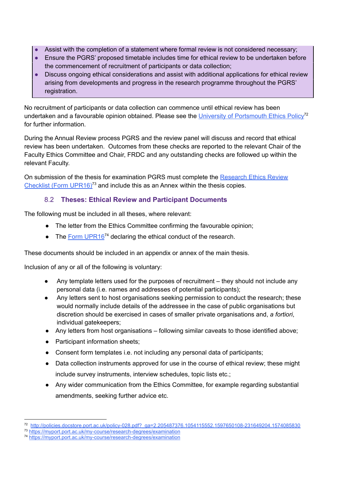- Assist with the completion of a statement where formal review is not considered necessary;
- Ensure the PGRS' proposed timetable includes time for ethical review to be undertaken before the commencement of recruitment of participants or data collection;
- Discuss ongoing ethical considerations and assist with additional applications for ethical review arising from developments and progress in the research programme throughout the PGRS' registration.

No recruitment of participants or data collection can commence until ethical review has been undertaken and a favourable opinion obtained. Please see the University of [Portsmouth](http://policies.docstore.port.ac.uk/policy-028.pdf?_ga=2.205487376.1054115552.1597650108-231649204.1574085830) Ethics Policy<sup>72</sup> for further information.

During the Annual Review process PGRS and the review panel will discuss and record that ethical review has been undertaken. Outcomes from these checks are reported to the relevant Chair of the Faculty Ethics Committee and Chair, FRDC and any outstanding checks are followed up within the relevant Faculty.

On submission of the thesis for examination PGRS must complete the [Research](https://myport.port.ac.uk/guidance-and-support/research-degrees/examination) Ethics Review [Checklist](https://myport.port.ac.uk/guidance-and-support/research-degrees/examination) (Form UPR16)<sup>73</sup> and include this as an Annex within the thesis copies.

### 8.2 **Theses: Ethical Review and Participant Documents**

The following must be included in all theses, where relevant:

- The letter from the Ethics Committee confirming the favourable opinion;
- $\bullet$  The Form [UPR16](https://myport.port.ac.uk/guidance-and-support/research-degrees/examination)<sup>74</sup> declaring the ethical conduct of the research.

These documents should be included in an appendix or annex of the main thesis.

Inclusion of any or all of the following is voluntary:

- Any template letters used for the purposes of recruitment  $-$  they should not include any personal data (i.e. names and addresses of potential participants);
- Any letters sent to host organisations seeking permission to conduct the research; these would normally include details of the addressee in the case of public organisations but discretion should be exercised in cases of smaller private organisations and, *a fortiori*, individual gatekeepers;
- Any letters from host organisations following similar caveats to those identified above;
- Participant information sheets;
- Consent form templates i.e. not including any personal data of participants;
- Data collection instruments approved for use in the course of ethical review; these might include survey instruments, interview schedules, topic lists etc.;
- Any wider communication from the Ethics Committee, for example regarding substantial amendments, seeking further advice etc.

<sup>72</sup> [http://policies.docstore.port.ac.uk/policy-028.pdf?\\_ga=2.205487376.1054115552.1597650108-231649204.1574085830](http://policies.docstore.port.ac.uk/policy-028.pdf?_ga=2.205487376.1054115552.1597650108-231649204.1574085830)

<sup>73</sup> <https://myport.port.ac.uk/my-course/research-degrees/examination>

<sup>74</sup> <https://myport.port.ac.uk/my-course/research-degrees/examination>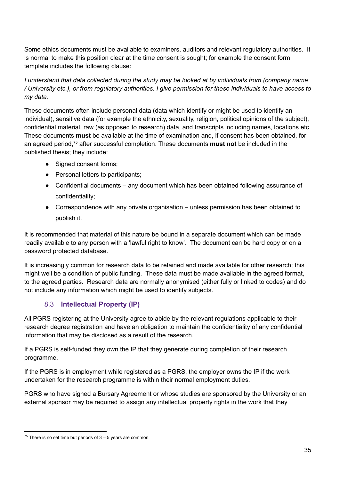Some ethics documents must be available to examiners, auditors and relevant regulatory authorities. It is normal to make this position clear at the time consent is sought; for example the consent form template includes the following clause:

*I understand that data collected during the study may be looked at by individuals from (company name* / University etc.), or from regulatory authorities. I give permission for these individuals to have access to *my data.*

These documents often include personal data (data which identify or might be used to identify an individual), sensitive data (for example the ethnicity, sexuality, religion, political opinions of the subject), confidential material, raw (as opposed to research) data, and transcripts including names, locations etc. These documents **must** be available at the time of examination and, if consent has been obtained, for an agreed period, <sup>75</sup> after successful completion. These documents **must not** be included in the published thesis; they include:

- Signed consent forms;
- Personal letters to participants;
- Confidential documents any document which has been obtained following assurance of confidentiality;
- Correspondence with any private organisation unless permission has been obtained to publish it.

It is recommended that material of this nature be bound in a separate document which can be made readily available to any person with a 'lawful right to know'. The document can be hard copy or on a password protected database.

It is increasingly common for research data to be retained and made available for other research; this might well be a condition of public funding. These data must be made available in the agreed format, to the agreed parties. Research data are normally anonymised (either fully or linked to codes) and do not include any information which might be used to identify subjects.

#### 8.3 **Intellectual Property (IP)**

All PGRS registering at the University agree to abide by the relevant regulations applicable to their research degree registration and have an obligation to maintain the confidentiality of any confidential information that may be disclosed as a result of the research.

If a PGRS is self-funded they own the IP that they generate during completion of their research programme.

If the PGRS is in employment while registered as a PGRS, the employer owns the IP if the work undertaken for the research programme is within their normal employment duties.

PGRS who have signed a Bursary Agreement or whose studies are sponsored by the University or an external sponsor may be required to assign any intellectual property rights in the work that they

 $75$  There is no set time but periods of  $3 - 5$  years are common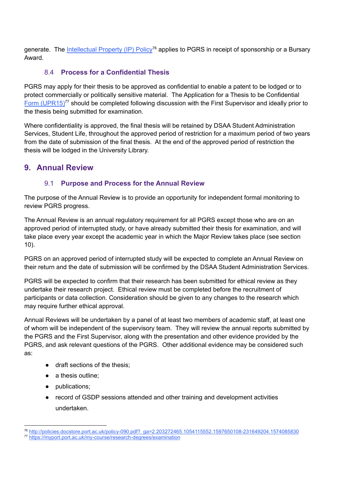generate. The [Intellectual](http://policies.docstore.port.ac.uk/policy-090.pdf?_ga=2.203272465.1054115552.1597650108-231649204.1574085830) Property (IP) Policy<sup>76</sup> applies to PGRS in receipt of sponsorship or a Bursary Award.

#### 8.4 **Process for a Confidential Thesis**

PGRS may apply for their thesis to be approved as confidential to enable a patent to be lodged or to protect commercially or politically sensitive material. The Application for a Thesis to be Confidential Form [\(UPR15\)](https://myport.port.ac.uk/guidance-and-support/research-degrees/examination)<sup>77</sup> should be completed following discussion with the First Supervisor and ideally prior to the thesis being submitted for examination.

Where confidentiality is approved, the final thesis will be retained by DSAA Student Administration Services, Student Life, throughout the approved period of restriction for a maximum period of two years from the date of submission of the final thesis. At the end of the approved period of restriction the thesis will be lodged in the University Library.

## **9. Annual Review**

#### 9.1 **Purpose and Process for the Annual Review**

The purpose of the Annual Review is to provide an opportunity for independent formal monitoring to review PGRS progress.

The Annual Review is an annual regulatory requirement for all PGRS except those who are on an approved period of interrupted study, or have already submitted their thesis for examination, and will take place every year except the academic year in which the Major Review takes place (see section 10).

PGRS on an approved period of interrupted study will be expected to complete an Annual Review on their return and the date of submission will be confirmed by the DSAA Student Administration Services.

PGRS will be expected to confirm that their research has been submitted for ethical review as they undertake their research project. Ethical review must be completed before the recruitment of participants or data collection. Consideration should be given to any changes to the research which may require further ethical approval.

Annual Reviews will be undertaken by a panel of at least two members of academic staff, at least one of whom will be independent of the supervisory team. They will review the annual reports submitted by the PGRS and the First Supervisor, along with the presentation and other evidence provided by the PGRS, and ask relevant questions of the PGRS. Other additional evidence may be considered such as:

- draft sections of the thesis;
- a thesis outline;
- publications;
- record of GSDP sessions attended and other training and development activities undertaken.

<sup>77</sup> <https://myport.port.ac.uk/my-course/research-degrees/examination> <sup>76</sup> [http://policies.docstore.port.ac.uk/policy-090.pdf?\\_ga=2.203272465.1054115552.1597650108-231649204.1574085830](http://policies.docstore.port.ac.uk/policy-090.pdf?_ga=2.203272465.1054115552.1597650108-231649204.1574085830)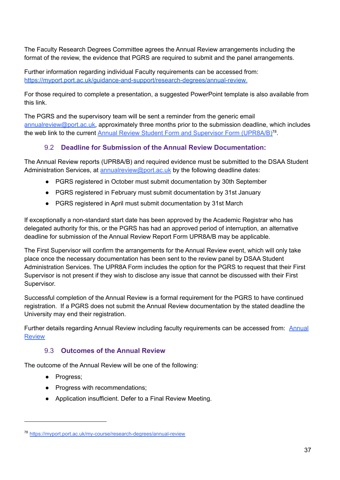The Faculty Research Degrees Committee agrees the Annual Review arrangements including the format of the review, the evidence that PGRS are required to submit and the panel arrangements.

Further information regarding individual Faculty requirements can be accessed from: <https://myport.port.ac.uk/guidance-and-support/research-degrees/annual-review>.

For those required to complete a presentation, a suggested PowerPoint template is also available from this link.

The PGRS and the supervisory team will be sent a reminder from the generic email [annualreview@port.ac.uk,](mailto:annualreview@port.ac.uk) approximately three months prior to the submission deadline, which includes the web link to the current Annual Review Student Form and Supervisor Form [\(UPR8A/B\)](https://myport.port.ac.uk/guidance-and-support/research-degrees/annual-review)<sup>78</sup>.

### 9.2 **Deadline for Submission of the Annual Review Documentation:**

The Annual Review reports (UPR8A/B) and required evidence must be submitted to the DSAA Student Administration Services, at [annualreview@port.ac.uk](mailto:annualreview@port.ac.uk) by the following deadline dates:

- PGRS registered in October must submit documentation by 30th September
- PGRS registered in February must submit documentation by 31st January
- PGRS registered in April must submit documentation by 31st March

If exceptionally a non-standard start date has been approved by the Academic Registrar who has delegated authority for this, or the PGRS has had an approved period of interruption, an alternative deadline for submission of the Annual Review Report Form UPR8A/B may be applicable.

The First Supervisor will confirm the arrangements for the Annual Review event, which will only take place once the necessary documentation has been sent to the review panel by DSAA Student Administration Services. The UPR8A Form includes the option for the PGRS to request that their First Supervisor is not present if they wish to disclose any issue that cannot be discussed with their First Supervisor.

Successful completion of the Annual Review is a formal requirement for the PGRS to have continued registration. If a PGRS does not submit the Annual Review documentation by the stated deadline the University may end their registration.

Further details regarding [Annual](https://myport.port.ac.uk/guidance-and-support/research-degrees/annual-review) Review including faculty requirements can be accessed from: Annual **[Review](https://myport.port.ac.uk/guidance-and-support/research-degrees/annual-review)** 

#### 9.3 **Outcomes of the Annual Review**

The outcome of the Annual Review will be one of the following:

- Progress;
- Progress with recommendations;
- Application insufficient. Defer to a Final Review Meeting.

<sup>78</sup> <https://myport.port.ac.uk/my-course/research-degrees/annual-review>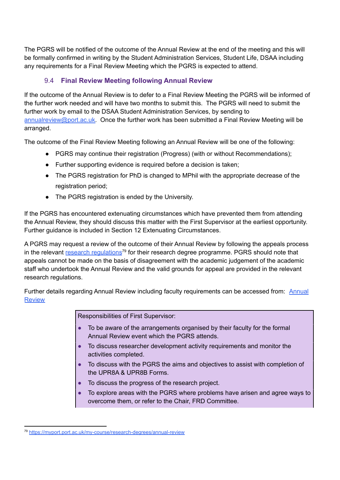The PGRS will be notified of the outcome of the Annual Review at the end of the meeting and this will be formally confirmed in writing by the Student Administration Services, Student Life, DSAA including any requirements for a Final Review Meeting which the PGRS is expected to attend.

#### 9.4 **Final Review Meeting following Annual Review**

If the outcome of the Annual Review is to defer to a Final Review Meeting the PGRS will be informed of the further work needed and will have two months to submit this. The PGRS will need to submit the further work by email to the DSAA Student Administration Services, by sending to [annualreview@port.ac.uk.](mailto:annualreview@port.ac.uk) Once the further work has been submitted a Final Review Meeting will be arranged.

The outcome of the Final Review Meeting following an Annual Review will be one of the following:

- PGRS may continue their registration (Progress) (with or without Recommendations);
- Further supporting evidence is required before a decision is taken;
- The PGRS registration for PhD is changed to MPhil with the appropriate decrease of the registration period;
- The PGRS registration is ended by the University.

If the PGRS has encountered extenuating circumstances which have prevented them from attending the Annual Review, they should discuss this matter with the First Supervisor at the earliest opportunity. Further guidance is included in Section 12 Extenuating Circumstances.

A PGRS may request a review of the outcome of their Annual Review by following the appeals process in the relevant research [regulations](https://myport.port.ac.uk/guidance-and-support/research-degrees/examination)<sup>79</sup> for their research degree programme. PGRS should note that appeals cannot be made on the basis of disagreement with the academic judgement of the academic staff who undertook the Annual Review and the valid grounds for appeal are provided in the relevant research regulations.

Further details regarding Annual Review including faculty requirements can be accessed from: [Annual](https://myport.port.ac.uk/guidance-and-support/research-degrees/annual-review) **[Review](https://myport.port.ac.uk/guidance-and-support/research-degrees/annual-review)** 

Responsibilities of First Supervisor:

- To be aware of the arrangements organised by their faculty for the formal Annual Review event which the PGRS attends.
- To discuss researcher development activity requirements and monitor the activities completed.
- To discuss with the PGRS the aims and objectives to assist with completion of the UPR8A & UPR8B Forms.
- To discuss the progress of the research project.
- To explore areas with the PGRS where problems have arisen and agree ways to overcome them, or refer to the Chair, FRD Committee.

<sup>79</sup> <https://myport.port.ac.uk/my-course/research-degrees/annual-review>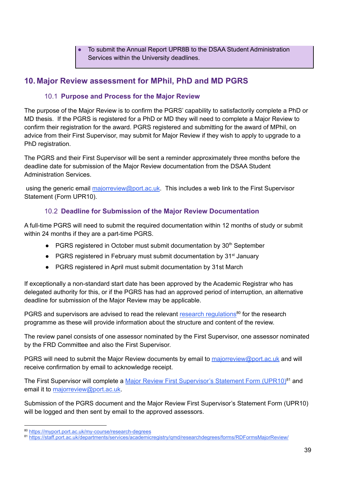To submit the Annual Report UPR8B to the DSAA Student Administration Services within the University deadlines.

# **10. Major Review assessment for MPhil, PhD and MD PGRS**

#### 10.1 **Purpose and Process for the Major Review**

The purpose of the Major Review is to confirm the PGRS' capability to satisfactorily complete a PhD or MD thesis. If the PGRS is registered for a PhD or MD they will need to complete a Major Review to confirm their registration for the award. PGRS registered and submitting for the award of MPhil, on advice from their First Supervisor, may submit for Major Review if they wish to apply to upgrade to a PhD registration.

The PGRS and their First Supervisor will be sent a reminder approximately three months before the deadline date for submission of the Major Review documentation from the DSAA Student Administration Services.

using the generic email [majorreview@port.ac.uk](mailto:majorreview@port.ac.uk). This includes a web link to the First Supervisor Statement (Form UPR10).

### 10.2 **Deadline for Submission of the Major Review Documentation**

A full-time PGRS will need to submit the required documentation within 12 months of study or submit within 24 months if they are a part-time PGRS.

- PGRS registered in October must submit documentation by 30<sup>th</sup> September
- PGRS registered in February must submit documentation by 31<sup>st</sup> January
- PGRS registered in April must submit documentation by 31st March

If exceptionally a non-standard start date has been approved by the Academic Registrar who has delegated authority for this, or if the PGRS has had an approved period of interruption, an alternative deadline for submission of the Major Review may be applicable.

PGRS and supervisors are advised to read the relevant research [regulations](https://myport.port.ac.uk/guidance-and-support/research-degrees/examination)<sup>80</sup> for the research programme as these will provide information about the structure and content of the review.

The review panel consists of one assessor nominated by the First Supervisor, one assessor nominated by the FRD Committee and also the First Supervisor.

PGRS will need to submit the Major Review documents by email to [majorreview@port.ac.uk](mailto:majorreview@port.ac.uk) and will receive confirmation by email to acknowledge receipt.

The First Supervisor will complete a Major Review First [Supervisor's](http://www2.port.ac.uk/departments/services/academicregistry/qmd/researchdegrees/forms/RDFormsMajorReview/) Statement Form (UPR10)<sup>81</sup> and email it to [majorreview@port.ac.uk](mailto:majorreview@port.ac.uk).

Submission of the PGRS document and the Major Review First Supervisor's Statement Form (UPR10) will be logged and then sent by email to the approved assessors.

<sup>80</sup> <https://myport.port.ac.uk/my-course/research-degrees>

<sup>81</sup> <https://staff.port.ac.uk/departments/services/academicregistry/qmd/researchdegrees/forms/RDFormsMajorReview/>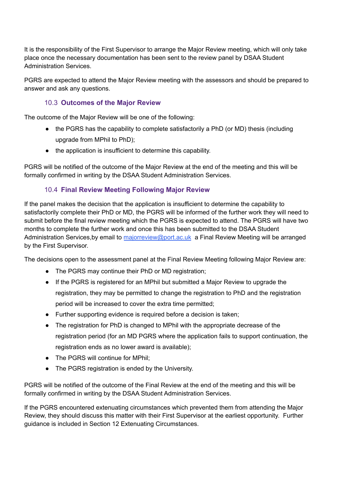It is the responsibility of the First Supervisor to arrange the Major Review meeting, which will only take place once the necessary documentation has been sent to the review panel by DSAA Student Administration Services.

PGRS are expected to attend the Major Review meeting with the assessors and should be prepared to answer and ask any questions.

#### 10.3 **Outcomes of the Major Review**

The outcome of the Major Review will be one of the following:

- the PGRS has the capability to complete satisfactorily a PhD (or MD) thesis (including upgrade from MPhil to PhD);
- the application is insufficient to determine this capability.

PGRS will be notified of the outcome of the Major Review at the end of the meeting and this will be formally confirmed in writing by the DSAA Student Administration Services.

#### 10.4 **Final Review Meeting Following Major Review**

If the panel makes the decision that the application is insufficient to determine the capability to satisfactorily complete their PhD or MD, the PGRS will be informed of the further work they will need to submit before the final review meeting which the PGRS is expected to attend. The PGRS will have two months to complete the further work and once this has been submitted to the DSAA Student Administration Services, by email to [majorreview@port.ac.uk](mailto:majorreview@port.ac.uk) a Final Review Meeting will be arranged by the First Supervisor.

The decisions open to the assessment panel at the Final Review Meeting following Major Review are:

- The PGRS may continue their PhD or MD registration;
- If the PGRS is registered for an MPhil but submitted a Major Review to upgrade the registration, they may be permitted to change the registration to PhD and the registration period will be increased to cover the extra time permitted;
- Further supporting evidence is required before a decision is taken;
- The registration for PhD is changed to MPhil with the appropriate decrease of the registration period (for an MD PGRS where the application fails to support continuation, the registration ends as no lower award is available);
- The PGRS will continue for MPhil:
- The PGRS registration is ended by the University.

PGRS will be notified of the outcome of the Final Review at the end of the meeting and this will be formally confirmed in writing by the DSAA Student Administration Services.

If the PGRS encountered extenuating circumstances which prevented them from attending the Major Review, they should discuss this matter with their First Supervisor at the earliest opportunity. Further guidance is included in Section 12 Extenuating Circumstances.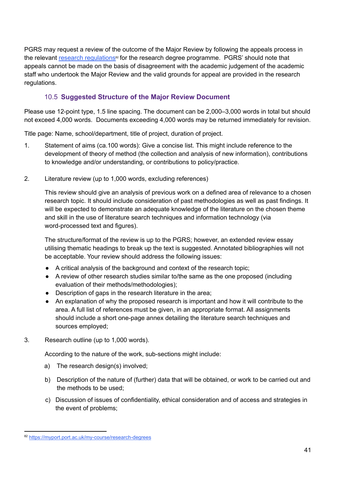PGRS may request a review of the outcome of the Major Review by following the appeals process in the relevant **research [regulations](https://myport.port.ac.uk/guidance-and-support/research-degrees)<sup>®</sup> for the research degree programme.** PGRS' should note that appeals cannot be made on the basis of disagreement with the academic judgement of the academic staff who undertook the Major Review and the valid grounds for appeal are provided in the research regulations.

#### 10.5 **Suggested Structure of the Major Review Document**

Please use 12-point type, 1.5 line spacing. The document can be 2,000–3,000 words in total but should not exceed 4,000 words. Documents exceeding 4,000 words may be returned immediately for revision.

Title page: Name, school/department, title of project, duration of project.

- 1. Statement of aims (ca.100 words): Give a concise list. This might include reference to the development of theory of method (the collection and analysis of new information), contributions to knowledge and/or understanding, or contributions to policy/practice.
- 2. Literature review (up to 1,000 words, excluding references)

This review should give an analysis of previous work on a defined area of relevance to a chosen research topic. It should include consideration of past methodologies as well as past findings. It will be expected to demonstrate an adequate knowledge of the literature on the chosen theme and skill in the use of literature search techniques and information technology (via word-processed text and figures).

The structure/format of the review is up to the PGRS; however, an extended review essay utilising thematic headings to break up the text is suggested. Annotated bibliographies will not be acceptable. Your review should address the following issues:

- A critical analysis of the background and context of the research topic;
- A review of other research studies similar to/the same as the one proposed (including evaluation of their methods/methodologies);
- Description of gaps in the research literature in the area;
- An explanation of why the proposed research is important and how it will contribute to the area. A full list of references must be given, in an appropriate format. All assignments should include a short one-page annex detailing the literature search techniques and sources employed;
- 3. Research outline (up to 1,000 words).

According to the nature of the work, sub-sections might include:

- a) The research design(s) involved;
- b) Description of the nature of (further) data that will be obtained, or work to be carried out and the methods to be used;
- c) Discussion of issues of confidentiality, ethical consideration and of access and strategies in the event of problems;

<sup>82</sup> <https://myport.port.ac.uk/my-course/research-degrees>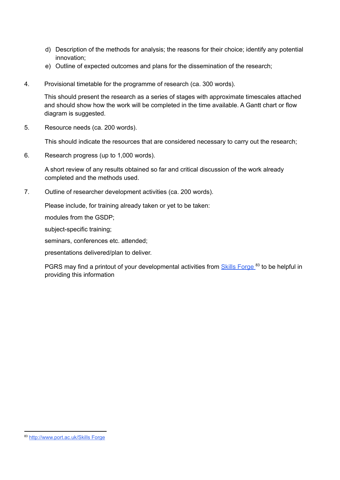- d) Description of the methods for analysis; the reasons for their choice; identify any potential innovation;
- e) Outline of expected outcomes and plans for the dissemination of the research;
- 4. Provisional timetable for the programme of research (ca. 300 words).

This should present the research as a series of stages with approximate timescales attached and should show how the work will be completed in the time available. A Gantt chart or flow diagram is suggested.

5. Resource needs (ca. 200 words).

This should indicate the resources that are considered necessary to carry out the research;

6. Research progress (up to 1,000 words).

A short review of any results obtained so far and critical discussion of the work already completed and the methods used.

7. Outline of researcher development activities (ca. 200 words).

Please include, for training already taken or yet to be taken:

modules from the GSDP;

subject-specific training;

seminars, conferences etc. attended;

presentations delivered/plan to deliver.

PGRS may find a printout of your developmental activities from **Skills [Forge](http://www.port.ac.uk/skillsforge)**<sup>83</sup> to be helpful in providing this information

<sup>83</sup> [http://www.port.ac.uk/Skills Forge](http://www.port.ac.uk/skillsforge)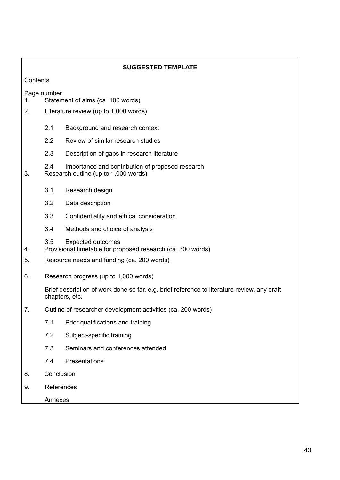| <b>SUGGESTED TEMPLATE</b>                              |                                            |                                                                                                                                                        |  |
|--------------------------------------------------------|--------------------------------------------|--------------------------------------------------------------------------------------------------------------------------------------------------------|--|
| Contents                                               |                                            |                                                                                                                                                        |  |
| Page number<br>Statement of aims (ca. 100 words)<br>1. |                                            |                                                                                                                                                        |  |
| 2.                                                     |                                            | Literature review (up to 1,000 words)                                                                                                                  |  |
|                                                        | 2.1                                        | Background and research context                                                                                                                        |  |
|                                                        | 2.2                                        | Review of similar research studies                                                                                                                     |  |
|                                                        | 2.3                                        | Description of gaps in research literature                                                                                                             |  |
| 3.                                                     | 2.4                                        | Importance and contribution of proposed research<br>Research outline (up to 1,000 words)                                                               |  |
|                                                        | 3.1                                        | Research design                                                                                                                                        |  |
|                                                        | 3.2                                        | Data description                                                                                                                                       |  |
|                                                        | 3.3                                        | Confidentiality and ethical consideration                                                                                                              |  |
|                                                        | 3.4                                        | Methods and choice of analysis                                                                                                                         |  |
| 4.                                                     | 3.5                                        | <b>Expected outcomes</b><br>Provisional timetable for proposed research (ca. 300 words)                                                                |  |
| 5.                                                     | Resource needs and funding (ca. 200 words) |                                                                                                                                                        |  |
| 6.                                                     |                                            | Research progress (up to 1,000 words)<br>Brief description of work done so far, e.g. brief reference to literature review, any draft<br>chapters, etc. |  |
|                                                        |                                            |                                                                                                                                                        |  |
| 7.                                                     |                                            | Outline of researcher development activities (ca. 200 words)                                                                                           |  |
|                                                        | 7.1                                        | Prior qualifications and training                                                                                                                      |  |
|                                                        | 7.2                                        | Subject-specific training                                                                                                                              |  |
|                                                        | 7.3                                        | Seminars and conferences attended                                                                                                                      |  |
|                                                        | 7.4                                        | Presentations                                                                                                                                          |  |
| 8.                                                     |                                            | Conclusion                                                                                                                                             |  |
| 9.                                                     |                                            | References                                                                                                                                             |  |
|                                                        |                                            | Annexes                                                                                                                                                |  |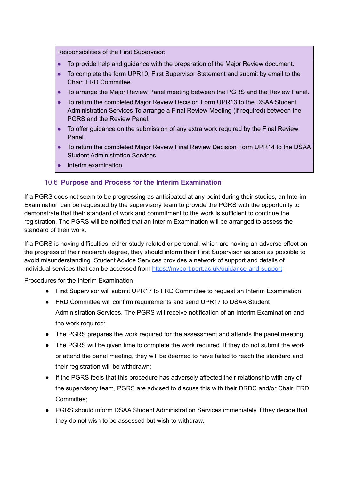Responsibilities of the First Supervisor:

- To provide help and guidance with the preparation of the Major Review document.
- To complete the form UPR10, First Supervisor Statement and submit by email to the Chair, FRD Committee.
- To arrange the Major Review Panel meeting between the PGRS and the Review Panel.
- To return the completed Major Review Decision Form UPR13 to the DSAA Student Administration Services.To arrange a Final Review Meeting (if required) between the PGRS and the Review Panel.
- To offer guidance on the submission of any extra work required by the Final Review Panel.
- To return the completed Major Review Final Review Decision Form UPR14 to the DSAA Student Administration Services
- Interim examination

#### 10.6 **Purpose and Process for the Interim Examination**

If a PGRS does not seem to be progressing as anticipated at any point during their studies, an Interim Examination can be requested by the supervisory team to provide the PGRS with the opportunity to demonstrate that their standard of work and commitment to the work is sufficient to continue the registration. The PGRS will be notified that an Interim Examination will be arranged to assess the standard of their work.

If a PGRS is having difficulties, either study-related or personal, which are having an adverse effect on the progress of their research degree, they should inform their First Supervisor as soon as possible to avoid misunderstanding. Student Advice Services provides a network of support and details of individual services that can be accessed from [https://myport.port.ac.uk/guidance-and-support.](https://myport.port.ac.uk/guidance-and-support)

Procedures for the Interim Examination:

- First Supervisor will submit UPR17 to FRD Committee to request an Interim Examination
- FRD Committee will confirm requirements and send UPR17 to DSAA Student Administration Services. The PGRS will receive notification of an Interim Examination and the work required;
- The PGRS prepares the work required for the assessment and attends the panel meeting;
- The PGRS will be given time to complete the work required. If they do not submit the work or attend the panel meeting, they will be deemed to have failed to reach the standard and their registration will be withdrawn;
- If the PGRS feels that this procedure has adversely affected their relationship with any of the supervisory team, PGRS are advised to discuss this with their DRDC and/or Chair, FRD Committee;
- PGRS should inform DSAA Student Administration Services immediately if they decide that they do not wish to be assessed but wish to withdraw.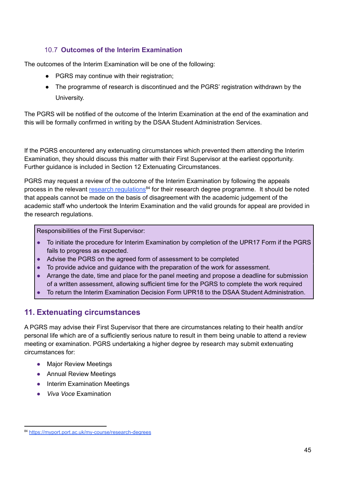### 10.7 **Outcomes of the Interim Examination**

The outcomes of the Interim Examination will be one of the following:

- PGRS may continue with their registration;
- The programme of research is discontinued and the PGRS' registration withdrawn by the University.

The PGRS will be notified of the outcome of the Interim Examination at the end of the examination and this will be formally confirmed in writing by the DSAA Student Administration Services.

If the PGRS encountered any extenuating circumstances which prevented them attending the Interim Examination, they should discuss this matter with their First Supervisor at the earliest opportunity. Further guidance is included in Section 12 Extenuating Circumstances.

PGRS may request a review of the outcome of the Interim Examination by following the appeals process in the relevant research [regulations](https://myport.port.ac.uk/guidance-and-support/research-degrees)<sup>84</sup> for their research degree programme. It should be noted that appeals cannot be made on the basis of disagreement with the academic judgement of the academic staff who undertook the Interim Examination and the valid grounds for appeal are provided in the research regulations.

Responsibilities of the First Supervisor:

- To initiate the procedure for Interim Examination by completion of the UPR17 Form if the PGRS fails to progress as expected.
- Advise the PGRS on the agreed form of assessment to be completed
- To provide advice and guidance with the preparation of the work for assessment.
- Arrange the date, time and place for the panel meeting and propose a deadline for submission of a written assessment, allowing sufficient time for the PGRS to complete the work required
- To return the Interim Examination Decision Form UPR18 to the DSAA Student Administration.

## **11. Extenuating circumstances**

A PGRS may advise their First Supervisor that there are circumstances relating to their health and/or personal life which are of a sufficiently serious nature to result in them being unable to attend a review meeting or examination. PGRS undertaking a higher degree by research may submit extenuating circumstances for:

- Major Review Meetings
- Annual Review Meetings
- Interim Examination Meetings
- *Viva Voce* Examination

<sup>84</sup> <https://myport.port.ac.uk/my-course/research-degrees>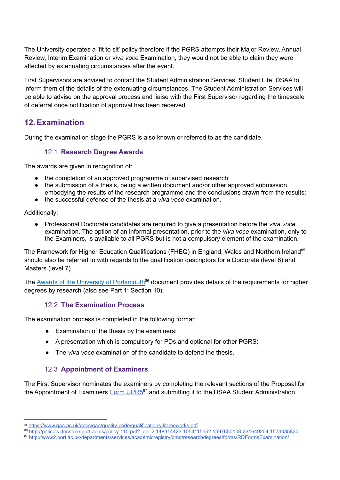The University operates a 'fit to sit' policy therefore if the PGRS attempts their Major Review, Annual Review, Interim Examination or v*iva voce* Examination, they would not be able to claim they were affected by extenuating circumstances after the event.

First Supervisors are advised to contact the Student Administration Services, Student Life, DSAA to inform them of the details of the extenuating circumstances. The Student Administration Services will be able to advise on the approval process and liaise with the First Supervisor regarding the timescale of deferral once notification of approval has been received.

### **12.Examination**

During the examination stage the PGRS is also known or referred to as the candidate.

#### 12.1 **Research Degree Awards**

The awards are given in recognition of:

- the completion of an approved programme of supervised research;
- the submission of a thesis, being a written document and/or other approved submission, embodying the results of the research programme and the conclusions drawn from the results;
- the successful defence of the thesis at a *viva voce* examination.

Additionally:

● Professional Doctorate candidates are required to give a presentation before the *viva voce* examination. The option of an informal presentation, prior to the *viva voce* examination, only to the Examiners, is available to all PGRS but is not a compulsory element of the examination.

The Framework for Higher Education Qualifications (FHEQ) in England, Wales and Northern Ireland<sup>85</sup> should also be referred to with regards to the qualification descriptors for a Doctorate (level 8) and Masters (level 7).

The **Awards of the University of [Portsmouth](http://policies.docstore.port.ac.uk/policy-110.pdf?_ga=2.148314423.1054115552.1597650108-231649204.1574085830)<sup>86</sup> document provides details of the requirements for higher** degrees by research (also see Part 1: Section 10).

#### 12.2 **The Examination Process**

The examination process is completed in the following format:

- Examination of the thesis by the examiners;
- A presentation which is compulsory for PDs and optional for other PGRS;
- The *viva voce* examination of the candidate to defend the thesis.

#### 12.3 **Appointment of Examiners**

The First Supervisor nominates the examiners by completing the relevant sections of the Proposal for the Appointment of Examiners Form [UPR5](http://www2.port.ac.uk/departments/services/academicregistry/qmd/researchdegrees/forms/RDFormsExamination/)<sup>87</sup> and submitting it to the DSAA Student Administration

<sup>85</sup> <https://www.qaa.ac.uk/docs/qaa/quality-code/qualifications-frameworks.pdf>

<sup>86</sup> [http://policies.docstore.port.ac.uk/policy-110.pdf?\\_ga=2.148314423.1054115552.1597650108-231649204.1574085830](http://policies.docstore.port.ac.uk/policy-110.pdf?_ga=2.148314423.1054115552.1597650108-231649204.1574085830)

<sup>87</sup> http://www2.port.ac.uk/departments/services/academicregistry/gmd/researchdegrees/forms/RDFormsExamination/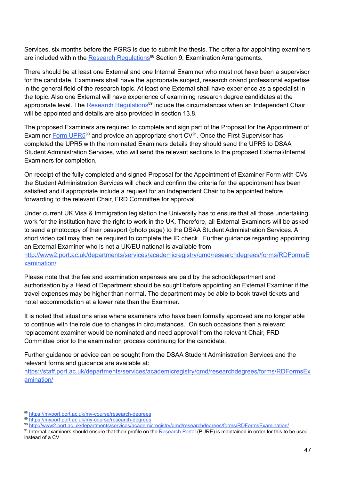Services, six months before the PGRS is due to submit the thesis. The criteria for appointing examiners are included within the **Research [Regulations](https://myport.port.ac.uk/guidance-and-support/research-degrees)<sup>88</sup> Section 9, Examination Arrangements.** 

There should be at least one External and one Internal Examiner who must not have been a supervisor for the candidate. Examiners shall have the appropriate subject, research or/and professional expertise in the general field of the research topic. At least one External shall have experience as a specialist in the topic. Also one External will have experience of examining research degree candidates at the appropriate level. The Research [Regulations](https://myport.port.ac.uk/guidance-and-support/research-degrees)<sup>89</sup> include the circumstances when an Independent Chair will be appointed and details are also provided in section 13.8.

The proposed Examiners are required to complete and sign part of the Proposal for the Appointment of Examiner Form [UPR5](http://www2.port.ac.uk/departments/services/academicregistry/qmd/researchdegrees/forms/RDFormsExamination/)<sup>90</sup> and provide an appropriate short CV<sup>91</sup>. Once the First Supervisor has completed the UPR5 with the nominated Examiners details they should send the UPR5 to DSAA Student Administration Services, who will send the relevant sections to the proposed External/Internal Examiners for completion.

On receipt of the fully completed and signed Proposal for the Appointment of Examiner Form with CVs the Student Administration Services will check and confirm the criteria for the appointment has been satisfied and if appropriate include a request for an Independent Chair to be appointed before forwarding to the relevant Chair, FRD Committee for approval.

Under current UK Visa & Immigration legislation the University has to ensure that all those undertaking work for the institution have the right to work in the UK. Therefore, all External Examiners will be asked to send a photocopy of their passport (photo page) to the DSAA Student Administration Services. A short video call may then be required to complete the ID check. Further guidance regarding appointing an External Examiner who is not a UK/EU national is available from [http://www2.port.ac.uk/departments/services/academicregistry/qmd/researchdegrees/forms/RDFormsE](http://www2.port.ac.uk/departments/services/academicregistry/qmd/researchdegrees/forms/RDFormsExamination/)

#### [xamination/](http://www2.port.ac.uk/departments/services/academicregistry/qmd/researchdegrees/forms/RDFormsExamination/)

Please note that the fee and examination expenses are paid by the school/department and authorisation by a Head of Department should be sought before appointing an External Examiner if the travel expenses may be higher than normal. The department may be able to book travel tickets and hotel accommodation at a lower rate than the Examiner.

It is noted that situations arise where examiners who have been formally approved are no longer able to continue with the role due to changes in circumstances. On such occasions then a relevant replacement examiner would be nominated and need approval from the relevant Chair, FRD Committee prior to the examination process continuing for the candidate.

Further guidance or advice can be sought from the DSAA Student Administration Services and the relevant forms and guidance are available at:

[https://staff.port.ac.uk/departments/services/academicregistry/qmd/researchdegrees/forms/RDFormsEx](https://staff.port.ac.uk/departments/services/academicregistry/qmd/researchdegrees/forms/RDFormsExamination/) [amination/](https://staff.port.ac.uk/departments/services/academicregistry/qmd/researchdegrees/forms/RDFormsExamination/)

<sup>88</sup> <https://myport.port.ac.uk/my-course/research-degrees>

<sup>89</sup> <https://myport.port.ac.uk/my-course/research-degrees>

<sup>90</sup> <http://www2.port.ac.uk/departments/services/academicregistry/qmd/researchdegrees/forms/RDFormsExamination/>

<sup>&</sup>lt;sup>91</sup> Internal examiners should ensure that their profile on the [Research Portal](https://researchportal.port.ac.uk/portal/) (PURE) is maintained in order for this to be used instead of a CV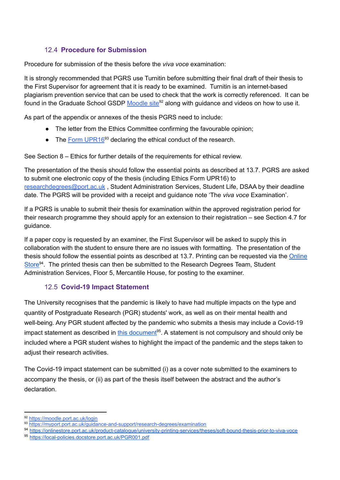### 12.4 **Procedure for Submission**

Procedure for submission of the thesis before the *viva voce* examination:

It is strongly recommended that PGRS use Turnitin before submitting their final draft of their thesis to the First Supervisor for agreement that it is ready to be examined. Turnitin is an internet-based plagiarism prevention service that can be used to check that the work is correctly referenced. It can be found in the Graduate School GSDP [Moodle](https://moodle.port.ac.uk/login) site<sup>92</sup> along with guidance and videos on how to use it.

As part of the appendix or annexes of the thesis PGRS need to include:

- The letter from the Ethics Committee confirming the favourable opinion;
- The Form [UPR16](https://myport.port.ac.uk/guidance-and-support/research-degrees/examination)<sup>93</sup> declaring the ethical conduct of the research.

See Section 8 – Ethics for further details of the requirements for ethical review.

The presentation of the thesis should follow the essential points as described at 13.7. PGRS are asked to submit one electronic copy of the thesis (including Ethics Form UPR16) to [researchdegrees@port.ac.uk](mailto:researchdegrees@port.ac.uk) , Student Administration Services, Student Life, DSAA by their deadline date. The PGRS will be provided with a receipt and guidance note 'The *viva voce* Examination'.

If a PGRS is unable to submit their thesis for examination within the approved registration period for their research programme they should apply for an extension to their registration – see Section 4.7 for guidance.

If a paper copy is requested by an examiner, the First Supervisor will be asked to supply this in collaboration with the student to ensure there are no issues with formatting. The presentation of the thesis should follow the essential points as described at 13.7. Printing can be requested via the [Online](https://onlinestore.port.ac.uk/product-catalogue/university-printing-services/theses/soft-bound-thesis-prior-to-viva-voce) [Store](https://onlinestore.port.ac.uk/product-catalogue/university-printing-services/theses/soft-bound-thesis-prior-to-viva-voce)<sup>94</sup>. The printed thesis can then be submitted to the Research Degrees Team, Student Administration Services, Floor 5, Mercantile House, for posting to the examiner.

#### 12.5 **Covid-19 Impact Statement**

The University recognises that the pandemic is likely to have had multiple impacts on the type and quantity of Postgraduate Research (PGR) students' work, as well as on their mental health and well-being. Any PGR student affected by the pandemic who submits a thesis may include a Covid-19 impact statement as described in *this [document](https://local-policies.docstore.port.ac.uk/PGR001.pdf)*<sup>95</sup>. A statement is not compulsory and should only be included where a PGR student wishes to highlight the impact of the pandemic and the steps taken to adjust their research activities.

The Covid-19 impact statement can be submitted (i) as a cover note submitted to the examiners to accompany the thesis, or (ii) as part of the thesis itself between the abstract and the author's declaration.

<sup>92</sup> <https://moodle.port.ac.uk/login>

<sup>93</sup> <https://myport.port.ac.uk/guidance-and-support/research-degrees/examination>

<sup>95</sup> <https://local-policies.docstore.port.ac.uk/PGR001.pdf> <sup>94</sup> <https://onlinestore.port.ac.uk/product-catalogue/university-printing-services/theses/soft-bound-thesis-prior-to-viva-voce>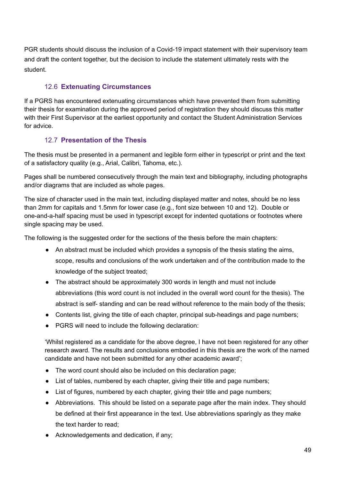PGR students should discuss the inclusion of a Covid-19 impact statement with their supervisory team and draft the content together, but the decision to include the statement ultimately rests with the student.

#### 12.6 **Extenuating Circumstances**

If a PGRS has encountered extenuating circumstances which have prevented them from submitting their thesis for examination during the approved period of registration they should discuss this matter with their First Supervisor at the earliest opportunity and contact the Student Administration Services for advice.

### 12.7 **Presentation of the Thesis**

The thesis must be presented in a permanent and legible form either in typescript or print and the text of a satisfactory quality (e.g., Arial, Calibri, Tahoma, etc.).

Pages shall be numbered consecutively through the main text and bibliography, including photographs and/or diagrams that are included as whole pages.

The size of character used in the main text, including displayed matter and notes, should be no less than 2mm for capitals and 1.5mm for lower case (e.g., font size between 10 and 12). Double or one-and-a-half spacing must be used in typescript except for indented quotations or footnotes where single spacing may be used.

The following is the suggested order for the sections of the thesis before the main chapters:

- An abstract must be included which provides a synopsis of the thesis stating the aims, scope, results and conclusions of the work undertaken and of the contribution made to the knowledge of the subject treated;
- The abstract should be approximately 300 words in length and must not include abbreviations (this word count is not included in the overall word count for the thesis). The abstract is self- standing and can be read without reference to the main body of the thesis;
- Contents list, giving the title of each chapter, principal sub-headings and page numbers;
- PGRS will need to include the following declaration:

'Whilst registered as a candidate for the above degree, I have not been registered for any other research award. The results and conclusions embodied in this thesis are the work of the named candidate and have not been submitted for any other academic award';

- The word count should also be included on this declaration page;
- List of tables, numbered by each chapter, giving their title and page numbers;
- List of figures, numbered by each chapter, giving their title and page numbers;
- Abbreviations. This should be listed on a separate page after the main index. They should be defined at their first appearance in the text. Use abbreviations sparingly as they make the text harder to read;
- Acknowledgements and dedication, if any: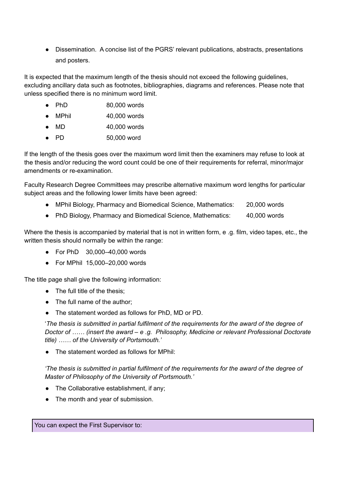● Dissemination. A concise list of the PGRS' relevant publications, abstracts, presentations and posters.

It is expected that the maximum length of the thesis should not exceed the following guidelines, excluding ancillary data such as footnotes, bibliographies, diagrams and references. Please note that unless specified there is no minimum word limit.

- PhD 80,000 words
- MPhil 40,000 words
- MD 40,000 words
- PD 50,000 word

If the length of the thesis goes over the maximum word limit then the examiners may refuse to look at the thesis and/or reducing the word count could be one of their requirements for referral, minor/major amendments or re-examination.

Faculty Research Degree Committees may prescribe alternative maximum word lengths for particular subject areas and the following lower limits have been agreed:

- MPhil Biology, Pharmacy and Biomedical Science, Mathematics: 20,000 words
- PhD Biology, Pharmacy and Biomedical Science, Mathematics: 40,000 words

Where the thesis is accompanied by material that is not in written form, e .g. film, video tapes, etc., the written thesis should normally be within the range:

- For PhD 30,000–40,000 words
- For MPhil 15,000–20,000 words

The title page shall give the following information:

- The full title of the thesis:
- The full name of the author;
- The statement worded as follows for PhD, MD or PD.

'*The thesis is submitted in partial fulfilment of the requirements for the award of the degree of Doctor of …… (insert the award – e .g. Philosophy, Medicine or relevant Professional Doctorate title) …… of the University of Portsmouth.'*

● The statement worded as follows for MPhil:

*'The thesis is submitted in partial fulfilment of the requirements for the award of the degree of Master of Philosophy of the University of Portsmouth.'*

- The Collaborative establishment, if any;
- The month and year of submission.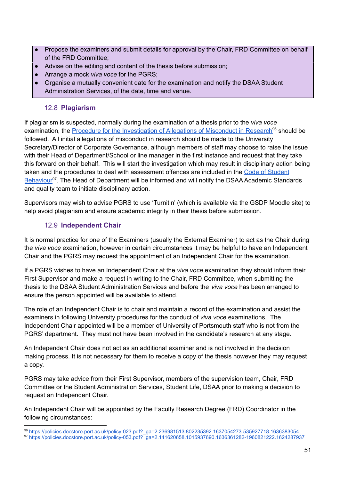- Propose the examiners and submit details for approval by the Chair, FRD Committee on behalf of the FRD Committee;
- Advise on the editing and content of the thesis before submission;
- Arrange a mock *viva voce* for the PGRS;
- Organise a mutually convenient date for the examination and notify the DSAA Student Administration Services, of the date, time and venue.

#### 12.8 **Plagiarism**

If plagiarism is suspected, normally during the examination of a thesis prior to the *viva voce* examination, the **Procedure for the [Investigation](https://policies.docstore.port.ac.uk/policy-023.pdf?_ga=2.236981513.802235392.1637054273-535927718.1636383054) of Allegations of Misconduct in Research<sup>96</sup> should be** followed. All initial allegations of misconduct in research should be made to the University Secretary/Director of Corporate Governance, although members of staff may choose to raise the issue with their Head of Department/School or line manager in the first instance and request that they take this forward on their behalf. This will start the investigation which may result in disciplinary action being taken and the procedures to deal with assessment offences are included in the Code of [Student](https://policies.docstore.port.ac.uk/policy-053.pdf?_ga=2.141620658.1015937690.1636361282-1960821222.1624287937) [Behaviour](https://policies.docstore.port.ac.uk/policy-053.pdf?_ga=2.141620658.1015937690.1636361282-1960821222.1624287937)<sup>97</sup>. The Head of Department will be informed and will notify the DSAA Academic Standards and quality team to initiate disciplinary action.

Supervisors may wish to advise PGRS to use 'Turnitin' (which is available via the GSDP Moodle site) to help avoid plagiarism and ensure academic integrity in their thesis before submission.

#### 12.9 **Independent Chair**

It is normal practice for one of the Examiners (usually the External Examiner) to act as the Chair during the *viva voce* examination, however in certain circumstances it may be helpful to have an Independent Chair and the PGRS may request the appointment of an Independent Chair for the examination.

If a PGRS wishes to have an Independent Chair at the *viva voce* examination they should inform their First Supervisor and make a request in writing to the Chair, FRD Committee, when submitting the thesis to the DSAA Student Administration Services and before the *viva voce* has been arranged to ensure the person appointed will be available to attend.

The role of an Independent Chair is to chair and maintain a record of the examination and assist the examiners in following University procedures for the conduct of *viva voce* examinations. The Independent Chair appointed will be a member of University of Portsmouth staff who is not from the PGRS' department. They must not have been involved in the candidate's research at any stage.

An Independent Chair does not act as an additional examiner and is not involved in the decision making process. It is not necessary for them to receive a copy of the thesis however they may request a copy.

PGRS may take advice from their First Supervisor, members of the supervision team, Chair, FRD Committee or the Student Administration Services, Student Life, DSAA prior to making a decision to request an Independent Chair.

An Independent Chair will be appointed by the Faculty Research Degree (FRD) Coordinator in the following circumstances:

<sup>97</sup> [https://policies.docstore.port.ac.uk/policy-053.pdf?\\_ga=2.141620658.1015937690.1636361282-1960821222.1624287937](https://policies.docstore.port.ac.uk/policy-053.pdf?_ga=2.141620658.1015937690.1636361282-1960821222.1624287937) <sup>96</sup> [https://policies.docstore.port.ac.uk/policy-023.pdf?\\_ga=2.236981513.802235392.1637054273-535927718.1636383054](https://policies.docstore.port.ac.uk/policy-023.pdf?_ga=2.236981513.802235392.1637054273-535927718.1636383054)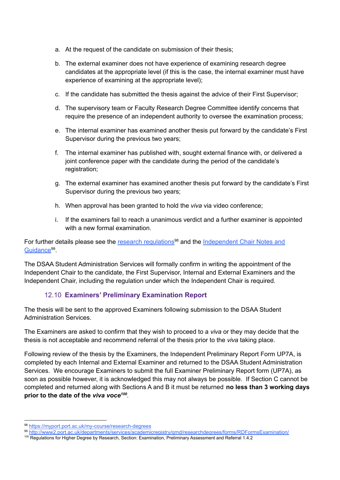- a. At the request of the candidate on submission of their thesis;
- b. The external examiner does not have experience of examining research degree candidates at the appropriate level (if this is the case, the internal examiner must have experience of examining at the appropriate level);
- c. If the candidate has submitted the thesis against the advice of their First Supervisor;
- d. The supervisory team or Faculty Research Degree Committee identify concerns that require the presence of an independent authority to oversee the examination process;
- e. The internal examiner has examined another thesis put forward by the candidate's First Supervisor during the previous two years;
- f. The internal examiner has published with, sought external finance with, or delivered a joint conference paper with the candidate during the period of the candidate's registration:
- g. The external examiner has examined another thesis put forward by the candidate's First Supervisor during the previous two years;
- h. When approval has been granted to hold the *viva* via video conference;
- i. If the examiners fail to reach a unanimous verdict and a further examiner is appointed with a new formal examination.

For further details please see the research [regulations](https://myport.port.ac.uk/guidance-and-support/research-degrees)<sup>98</sup> and the [Independent](http://www2.port.ac.uk/departments/services/academicregistry/qmd/researchdegrees/forms/RDFormsExamination/) Chair Notes and [Guidance](http://www2.port.ac.uk/departments/services/academicregistry/qmd/researchdegrees/forms/RDFormsExamination/)<sup>99</sup>.

The DSAA Student Administration Services will formally confirm in writing the appointment of the Independent Chair to the candidate, the First Supervisor, Internal and External Examiners and the Independent Chair, including the regulation under which the Independent Chair is required.

#### 12.10 **Examiners' Preliminary Examination Report**

The thesis will be sent to the approved Examiners following submission to the DSAA Student Administration Services.

The Examiners are asked to confirm that they wish to proceed to a *viva* or they may decide that the thesis is not acceptable and recommend referral of the thesis prior to the *viva* taking place.

Following review of the thesis by the Examiners, the Independent Preliminary Report Form UP7A, is completed by each Internal and External Examiner and returned to the DSAA Student Administration Services. We encourage Examiners to submit the full Examiner Preliminary Report form (UP7A), as soon as possible however, it is acknowledged this may not always be possible. If Section C cannot be completed and returned along with Sections A and B it must be returned **no less than 3 working days prior to the date of the** *viva voce 100 .*

<sup>98</sup> <https://myport.port.ac.uk/my-course/research-degrees>

<sup>100</sup> Regulations for Higher Degree by Research, Section: Examination, Preliminary Assessment and Referral 1.4.2 <sup>99</sup> <http://www2.port.ac.uk/departments/services/academicregistry/qmd/researchdegrees/forms/RDFormsExamination/>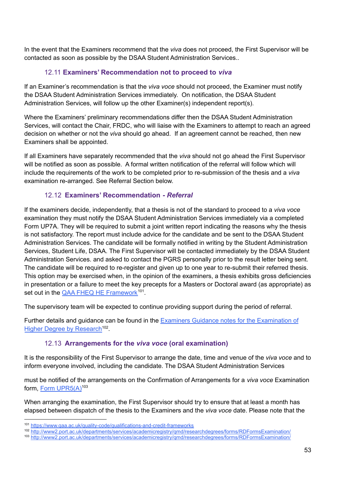In the event that the Examiners recommend that the *viva* does not proceed, the First Supervisor will be contacted as soon as possible by the DSAA Student Administration Services..

#### 12.11 **Examiners' Recommendation not to proceed to** *viva*

If an Examiner's recommendation is that the *viva voce* should not proceed, the Examiner must notify the DSAA Student Administration Services immediately. On notification, the DSAA Student Administration Services, will follow up the other Examiner(s) independent report(s).

Where the Examiners' preliminary recommendations differ then the DSAA Student Administration Services, will contact the Chair, FRDC, who will liaise with the Examiners to attempt to reach an agreed decision on whether or not the *viva* should go ahead. If an agreement cannot be reached, then new Examiners shall be appointed.

If all Examiners have separately recommended that the *viva* should not go ahead the First Supervisor will be notified as soon as possible. A formal written notification of the referral will follow which will include the requirements of the work to be completed prior to re-submission of the thesis and a *viva* examination re-arranged. See Referral Section below.

#### 12.12 **Examiners' Recommendation** *- Referral*

If the examiners decide, independently, that a thesis is not of the standard to proceed to a *viva voce* examination they must notify the DSAA Student Administration Services immediately via a completed Form UP7A. They will be required to submit a joint written report indicating the reasons why the thesis is not satisfactory. The report must include advice for the candidate and be sent to the DSAA Student Administration Services. The candidate will be formally notified in writing by the Student Administration Services, Student Life, DSAA. The First Supervisor will be contacted immediately by the DSAA Student Administration Services. and asked to contact the PGRS personally prior to the result letter being sent. The candidate will be required to re-register and given up to one year to re-submit their referred thesis. This option may be exercised when, in the opinion of the examiners, a thesis exhibits gross deficiencies in presentation or a failure to meet the key precepts for a Masters or Doctoral award (as appropriate) as set out in the QAA FHEQ HE [Framework](https://www.qaa.ac.uk/quality-code/qualifications-and-credit-frameworks)<sup>101</sup>.

The supervisory team will be expected to continue providing support during the period of referral.

Further details and guidance can be found in the Examiners Guidance notes for the [Examination](http://www2.port.ac.uk/departments/services/academicregistry/qmd/researchdegrees/forms/RDFormsExamination/) of Higher Degree by [Research](http://www2.port.ac.uk/departments/services/academicregistry/qmd/researchdegrees/forms/RDFormsExamination/)<sup>102</sup>.

#### 12.13 **Arrangements for the** *viva voce* **(oral examination)**

It is the responsibility of the First Supervisor to arrange the date, time and venue of the *viva voce* and to inform everyone involved, including the candidate. The DSAA Student Administration Services

must be notified of the arrangements on the Confirmation of Arrangements for a *viva voce* Examination form, Form [UPR5\(A\)](http://www2.port.ac.uk/departments/services/academicregistry/qmd/researchdegrees/forms/RDFormsExamination/)<sup>103</sup>

When arranging the examination, the First Supervisor should try to ensure that at least a month has elapsed between dispatch of the thesis to the Examiners and the *viva voce* date. Please note that the

<sup>101</sup> <https://www.qaa.ac.uk/quality-code/qualifications-and-credit-frameworks>

<sup>102</sup> <http://www2.port.ac.uk/departments/services/academicregistry/qmd/researchdegrees/forms/RDFormsExamination/>

<sup>103</sup> <http://www2.port.ac.uk/departments/services/academicregistry/qmd/researchdegrees/forms/RDFormsExamination/>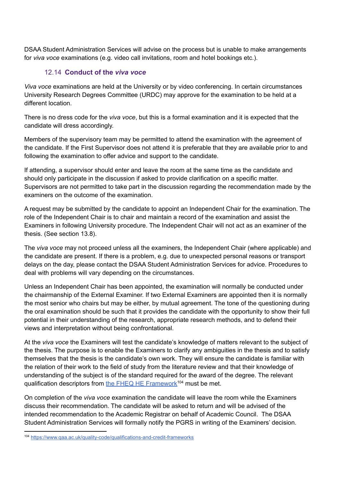DSAA Student Administration Services will advise on the process but is unable to make arrangements for *viva voce* examinations (e.g. video call invitations, room and hotel bookings etc.).

#### 12.14 **Conduct of the** *viva voce*

*Viva voce* examinations are held at the University or by video conferencing. In certain circumstances University Research Degrees Committee (URDC) may approve for the examination to be held at a different location.

There is no dress code for the *viva voce*, but this is a formal examination and it is expected that the candidate will dress accordingly.

Members of the supervisory team may be permitted to attend the examination with the agreement of the candidate. If the First Supervisor does not attend it is preferable that they are available prior to and following the examination to offer advice and support to the candidate.

If attending, a supervisor should enter and leave the room at the same time as the candidate and should only participate in the discussion if asked to provide clarification on a specific matter. Supervisors are not permitted to take part in the discussion regarding the recommendation made by the examiners on the outcome of the examination.

A request may be submitted by the candidate to appoint an Independent Chair for the examination. The role of the Independent Chair is to chair and maintain a record of the examination and assist the Examiners in following University procedure. The Independent Chair will not act as an examiner of the thesis. (See section 13.8).

The *viva voce* may not proceed unless all the examiners, the Independent Chair (where applicable) and the candidate are present. If there is a problem, e.g. due to unexpected personal reasons or transport delays on the day, please contact the DSAA Student Administration Services for advice. Procedures to deal with problems will vary depending on the circumstances.

Unless an Independent Chair has been appointed, the examination will normally be conducted under the chairmanship of the External Examiner. If two External Examiners are appointed then it is normally the most senior who chairs but may be either, by mutual agreement. The tone of the questioning during the oral examination should be such that it provides the candidate with the opportunity to show their full potential in their understanding of the research, appropriate research methods, and to defend their views and interpretation without being confrontational.

At the *viva voce* the Examiners will test the candidate's knowledge of matters relevant to the subject of the thesis. The purpose is to enable the Examiners to clarify any ambiguities in the thesis and to satisfy themselves that the thesis is the candidate's own work. They will ensure the candidate is familiar with the relation of their work to the field of study from the literature review and that their knowledge of understanding of the subject is of the standard required for the award of the degree. The relevant qualification descriptors from the FHEQ HE [Framework](https://www.qaa.ac.uk/quality-code/qualifications-and-credit-frameworks)<sup>104</sup> must be met.

On completion of the *viva voce* examination the candidate will leave the room while the Examiners discuss their recommendation. The candidate will be asked to return and will be advised of the intended recommendation to the Academic Registrar on behalf of Academic Council. The DSAA Student Administration Services will formally notify the PGRS in writing of the Examiners' decision.

<sup>104</sup> <https://www.qaa.ac.uk/quality-code/qualifications-and-credit-frameworks>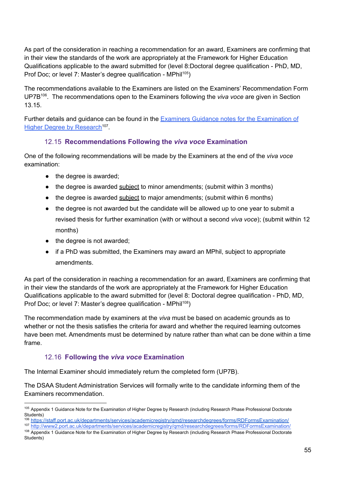As part of the consideration in reaching a recommendation for an award, Examiners are confirming that in their view the standards of the work are appropriately at the Framework for Higher Education Qualifications applicable to the award submitted for (level 8:Doctoral degree qualification - PhD, MD, Prof Doc; or level 7: Master's degree qualification - MPhil<sup>105</sup>)

The recommendations available to the Examiners are listed on the Examiners' Recommendation Form UP7B 106 . The recommendations open to the Examiners following the *viva voce* are given in Section 13.15.

Further details and guidance can be found in the **Examiners Guidance notes for the [Examination](http://www2.port.ac.uk/departments/services/academicregistry/qmd/researchdegrees/forms/RDFormsExamination/) of** Higher Degree by [Research](http://www2.port.ac.uk/departments/services/academicregistry/qmd/researchdegrees/forms/RDFormsExamination/)<sup>107</sup>.

#### 12.15 **Recommendations Following the** *viva voce* **Examination**

One of the following recommendations will be made by the Examiners at the end of the *viva voce* examination:

- the degree is awarded;
- the degree is awarded subject to minor amendments; (submit within 3 months)
- the degree is awarded subject to major amendments; (submit within 6 months)
- the degree is not awarded but the candidate will be allowed up to one year to submit a revised thesis for further examination (with or without a second *viva voce*); (submit within 12 months)
- the degree is not awarded;
- if a PhD was submitted, the Examiners may award an MPhil, subject to appropriate amendments.

As part of the consideration in reaching a recommendation for an award, Examiners are confirming that in their view the standards of the work are appropriately at the Framework for Higher Education Qualifications applicable to the award submitted for (level 8: Doctoral degree qualification - PhD, MD, Prof Doc; or level 7: Master's degree qualification - MPhil<sup>108</sup>)

The recommendation made by examiners at the *viva* must be based on academic grounds as to whether or not the thesis satisfies the criteria for award and whether the required learning outcomes have been met. Amendments must be determined by nature rather than what can be done within a time frame.

#### 12.16 **Following the** *viva voce* **Examination**

The Internal Examiner should immediately return the completed form (UP7B).

The DSAA Student Administration Services will formally write to the candidate informing them of the Examiners recommendation.

<sup>105</sup> Appendix 1 Guidance Note for the Examination of Higher Degree by Research (including Research Phase Professional Doctorate Students)

<sup>106</sup> <https://staff.port.ac.uk/departments/services/academicregistry/qmd/researchdegrees/forms/RDFormsExamination/>

<sup>&</sup>lt;sup>108</sup> Appendix 1 Guidance Note for the Examination of Higher Degree by Research (including Research Phase Professional Doctorate Students) <sup>107</sup> <http://www2.port.ac.uk/departments/services/academicregistry/qmd/researchdegrees/forms/RDFormsExamination/>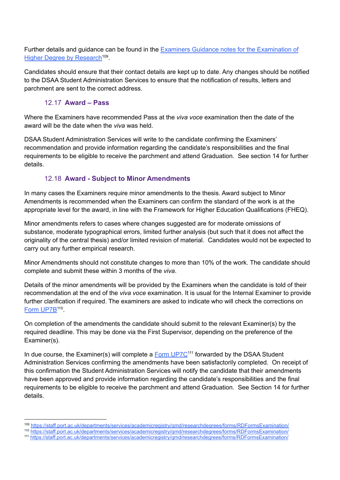Further details and guidance can be found in the Examiners Guidance notes for the [Examination](https://staff.port.ac.uk/departments/services/academicregistry/qmd/researchdegrees/forms/RDFormsExamination/) of Higher Degree by [Research](https://staff.port.ac.uk/departments/services/academicregistry/qmd/researchdegrees/forms/RDFormsExamination/)<sup>109</sup>.

Candidates should ensure that their contact details are kept up to date. Any changes should be notified to the DSAA Student Administration Services to ensure that the notification of results, letters and parchment are sent to the correct address.

#### 12.17 **Award – Pass**

Where the Examiners have recommended Pass at the *viva voce* examination then the date of the award will be the date when the *viva* was held.

DSAA Student Administration Services will write to the candidate confirming the Examiners' recommendation and provide information regarding the candidate's responsibilities and the final requirements to be eligible to receive the parchment and attend Graduation. See section 14 for further details.

#### 12.18 **Award - Subject to Minor Amendments**

In many cases the Examiners require minor amendments to the thesis. Award subject to Minor Amendments is recommended when the Examiners can confirm the standard of the work is at the appropriate level for the award, in line with the Framework for Higher Education Qualifications (FHEQ).

Minor amendments refers to cases where changes suggested are for moderate omissions of substance, moderate typographical errors, limited further analysis (but such that it does not affect the originality of the central thesis) and/or limited revision of material. Candidates would not be expected to carry out any further empirical research.

Minor Amendments should not constitute changes to more than 10% of the work. The candidate should complete and submit these within 3 months of the *viva*.

Details of the minor amendments will be provided by the Examiners when the candidate is told of their recommendation at the end of the *viva voce* examination. It is usual for the Internal Examiner to provide further clarification if required. The examiners are asked to indicate who will check the corrections on Form [UP7B](http://www2.port.ac.uk/departments/services/academicregistry/qmd/researchdegrees/forms/RDFormsExamination/)<sup>110</sup>.

On completion of the amendments the candidate should submit to the relevant Examiner(s) by the required deadline. This may be done via the First Supervisor, depending on the preference of the Examiner(s).

In due course, the Examiner(s) will complete a **Form [UP7C](https://staff.port.ac.uk/departments/services/academicregistry/qmd/researchdegrees/forms/RDFormsExamination/)<sup>111</sup>** forwarded by the DSAA Student Administration Services confirming the amendments have been satisfactorily completed. On receipt of this confirmation the Student Administration Services will notify the candidate that their amendments have been approved and provide information regarding the candidate's responsibilities and the final requirements to be eligible to receive the parchment and attend Graduation. See Section 14 for further details.

<sup>109</sup> <https://staff.port.ac.uk/departments/services/academicregistry/qmd/researchdegrees/forms/RDFormsExamination/>

<sup>110</sup> <https://staff.port.ac.uk/departments/services/academicregistry/qmd/researchdegrees/forms/RDFormsExamination/>

<sup>111</sup> <https://staff.port.ac.uk/departments/services/academicregistry/qmd/researchdegrees/forms/RDFormsExamination/>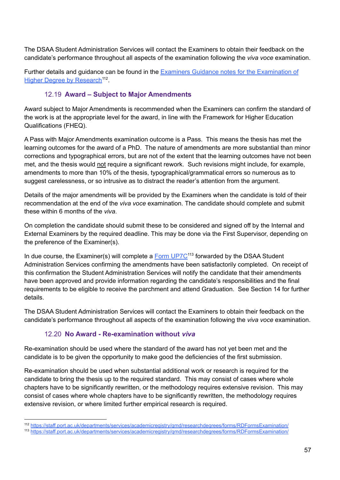The DSAA Student Administration Services will contact the Examiners to obtain their feedback on the candidate's performance throughout all aspects of the examination following the *viva voce* examination.

Further details and guidance can be found in the Examiners Guidance notes for the [Examination](http://www2.port.ac.uk/departments/services/academicregistry/qmd/researchdegrees/forms/RDFormsExamination/) of Higher Degree by [Research](http://www2.port.ac.uk/departments/services/academicregistry/qmd/researchdegrees/forms/RDFormsExamination/)<sup>112</sup>.

#### 12.19 **Award – Subject to Major Amendments**

Award subject to Major Amendments is recommended when the Examiners can confirm the standard of the work is at the appropriate level for the award, in line with the Framework for Higher Education Qualifications (FHEQ).

A Pass with Major Amendments examination outcome is a Pass. This means the thesis has met the learning outcomes for the award of a PhD. The nature of amendments are more substantial than minor corrections and typographical errors, but are not of the extent that the learning outcomes have not been met, and the thesis would not require a significant rework. Such revisions might include, for example, amendments to more than 10% of the thesis, typographical/grammatical errors so numerous as to suggest carelessness, or so intrusive as to distract the reader's attention from the argument.

Details of the major amendments will be provided by the Examiners when the candidate is told of their recommendation at the end of the *viva voce* examination. The candidate should complete and submit these within 6 months of the *viva*.

On completion the candidate should submit these to be considered and signed off by the Internal and External Examiners by the required deadline. This may be done via the First Supervisor, depending on the preference of the Examiner(s).

In due course, the Examiner(s) will complete a **Form [UP7C](https://staff.port.ac.uk/departments/services/academicregistry/qmd/researchdegrees/forms/RDFormsExamination/)<sup>113</sup> forwarded by the DSAA Student** Administration Services confirming the amendments have been satisfactorily completed. On receipt of this confirmation the Student Administration Services will notify the candidate that their amendments have been approved and provide information regarding the candidate's responsibilities and the final requirements to be eligible to receive the parchment and attend Graduation. See Section 14 for further details.

The DSAA Student Administration Services will contact the Examiners to obtain their feedback on the candidate's performance throughout all aspects of the examination following the *viva voce* examination.

#### 12.20 **No Award - Re-examination without** *viva*

Re-examination should be used where the standard of the award has not yet been met and the candidate is to be given the opportunity to make good the deficiencies of the first submission.

Re-examination should be used when substantial additional work or research is required for the candidate to bring the thesis up to the required standard. This may consist of cases where whole chapters have to be significantly rewritten, or the methodology requires extensive revision. This may consist of cases where whole chapters have to be significantly rewritten, the methodology requires extensive revision, or where limited further empirical research is required.

<sup>112</sup> <https://staff.port.ac.uk/departments/services/academicregistry/qmd/researchdegrees/forms/RDFormsExamination/>

<sup>113</sup> <https://staff.port.ac.uk/departments/services/academicregistry/qmd/researchdegrees/forms/RDFormsExamination/>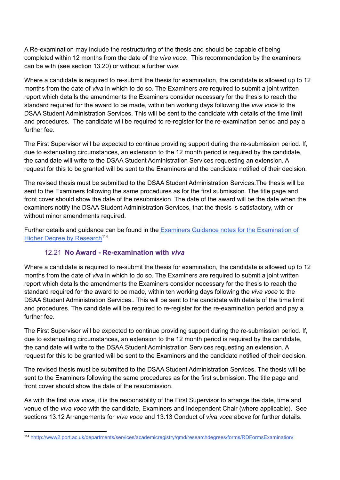A Re-examination may include the restructuring of the thesis and should be capable of being completed within 12 months from the date of the *viva voce*. This recommendation by the examiners can be with (see section 13.20) or without a further *viva*.

Where a candidate is required to re-submit the thesis for examination, the candidate is allowed up to 12 months from the date of *viva* in which to do so. The Examiners are required to submit a joint written report which details the amendments the Examiners consider necessary for the thesis to reach the standard required for the award to be made, within ten working days following the *viva voce* to the DSAA Student Administration Services. This will be sent to the candidate with details of the time limit and procedures. The candidate will be required to re-register for the re-examination period and pay a further fee.

The First Supervisor will be expected to continue providing support during the re-submission period. If, due to extenuating circumstances, an extension to the 12 month period is required by the candidate, the candidate will write to the DSAA Student Administration Services requesting an extension. A request for this to be granted will be sent to the Examiners and the candidate notified of their decision.

The revised thesis must be submitted to the DSAA Student Administration Services.The thesis will be sent to the Examiners following the same procedures as for the first submission. The title page and front cover should show the date of the resubmission. The date of the award will be the date when the examiners notify the DSAA Student Administration Services, that the thesis is satisfactory, with or without minor amendments required.

Further details and guidance can be found in the Examiners Guidance notes for the [Examination](http://www2.port.ac.uk/departments/services/academicregistry/qmd/researchdegrees/forms/RDFormsExamination/) of Higher Degree by [Research](http://www2.port.ac.uk/departments/services/academicregistry/qmd/researchdegrees/forms/RDFormsExamination/)<sup>114</sup>.

#### 12.21 **No Award - Re-examination with** *viva*

Where a candidate is required to re-submit the thesis for examination, the candidate is allowed up to 12 months from the date of *viva* in which to do so. The Examiners are required to submit a joint written report which details the amendments the Examiners consider necessary for the thesis to reach the standard required for the award to be made, within ten working days following the *viva voce* to the DSAA Student Administration Services.. This will be sent to the candidate with details of the time limit and procedures. The candidate will be required to re-register for the re-examination period and pay a further fee.

The First Supervisor will be expected to continue providing support during the re-submission period. If, due to extenuating circumstances, an extension to the 12 month period is required by the candidate, the candidate will write to the DSAA Student Administration Services requesting an extension. A request for this to be granted will be sent to the Examiners and the candidate notified of their decision.

The revised thesis must be submitted to the DSAA Student Administration Services. The thesis will be sent to the Examiners following the same procedures as for the first submission. The title page and front cover should show the date of the resubmission.

As with the first *viva voce,* it is the responsibility of the First Supervisor to arrange the date, time and venue of the *viva voce* with the candidate, Examiners and Independent Chair (where applicable). See sections 13.12 Arrangements for *viva voce* and 13.13 Conduct of v*iva voce* above for further details.

<sup>114</sup> hhttp://www2.port.ac.uk/departments/services/academicregistry/qmd/researchdegrees/forms/RDFormsExamination/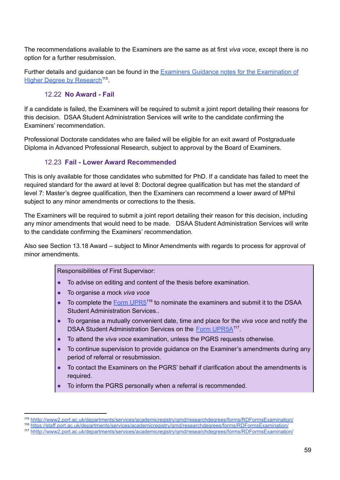The recommendations available to the Examiners are the same as at first *viva voce*, except there is no option for a further resubmission.

Further details and guidance can be found in the Examiners Guidance notes for the [Examination](http://www2.port.ac.uk/departments/services/academicregistry/qmd/researchdegrees/forms/RDFormsExamination/) of Higher Degree by [Research](http://www2.port.ac.uk/departments/services/academicregistry/qmd/researchdegrees/forms/RDFormsExamination/)<sup>115</sup>.

#### 12.22 **No Award - Fail**

If a candidate is failed, the Examiners will be required to submit a joint report detailing their reasons for this decision. DSAA Student Administration Services will write to the candidate confirming the Examiners' recommendation.

Professional Doctorate candidates who are failed will be eligible for an exit award of Postgraduate Diploma in Advanced Professional Research, subject to approval by the Board of Examiners.

#### 12.23 **Fail - Lower Award Recommended**

This is only available for those candidates who submitted for PhD. If a candidate has failed to meet the required standard for the award at level 8: Doctoral degree qualification but has met the standard of level 7: Master's degree qualification, then the Examiners can recommend a lower award of MPhil subject to any minor amendments or corrections to the thesis.

The Examiners will be required to submit a joint report detailing their reason for this decision, including any minor amendments that would need to be made. DSAA Student Administration Services will write to the candidate confirming the Examiners' recommendation.

Also see Section 13.18 Award – subject to Minor Amendments with regards to process for approval of minor amendments.

#### Responsibilities of First Supervisor:

- To advise on editing and content of the thesis before examination.
- To organise a mock *viva voce*
- To complete the  $Form UPR5<sup>116</sup>$  $Form UPR5<sup>116</sup>$  $Form UPR5<sup>116</sup>$  to nominate the examiners and submit it to the DSAA Student Administration Services..
- To organise a mutually convenient date, time and place for the *viva voce* and notify the DSAA Student Administration Services on the Form [UPR5A](http://www2.port.ac.uk/departments/services/academicregistry/qmd/researchdegrees/forms/RDFormsExamination/)<sup>117</sup>.
- To attend the *viva voce* examination, unless the PGRS requests otherwise.
- To continue supervision to provide quidance on the Examiner's amendments during any period of referral or resubmission.
- To contact the Examiners on the PGRS' behalf if clarification about the amendments is required.
- To inform the PGRS personally when a referral is recommended.

<sup>115</sup> hhttp://www2.port.ac.uk/departments/services/academicregistry/qmd/researchdegrees/forms/RDFormsExamination/

<sup>116</sup> <https://staff.port.ac.uk/departments/services/academicregistry/qmd/researchdegrees/forms/RDFormsExamination/>

<sup>117</sup> hhttp://www2.port.ac.uk/departments/services/academicregistry/qmd/researchdegrees/forms/RDFormsExamination/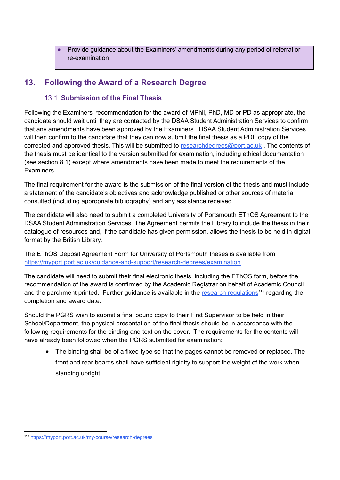Provide guidance about the Examiners' amendments during any period of referral or re-examination

# **13. Following the Award of a Research Degree**

#### 13.1 **Submission of the Final Thesis**

Following the Examiners' recommendation for the award of MPhil, PhD, MD or PD as appropriate, the candidate should wait until they are contacted by the DSAA Student Administration Services to confirm that any amendments have been approved by the Examiners. DSAA Student Administration Services will then confirm to the candidate that they can now submit the final thesis as a PDF copy of the corrected and approved thesis. This will be submitted to [researchdegrees@port.ac.uk](mailto:researchdegrees@port.ac.uk). The contents of the thesis must be identical to the version submitted for examination, including ethical documentation (see section 8.1) except where amendments have been made to meet the requirements of the **Examiners** 

The final requirement for the award is the submission of the final version of the thesis and must include a statement of the candidate's objectives and acknowledge published or other sources of material consulted (including appropriate bibliography) and any assistance received.

The candidate will also need to submit a completed University of Portsmouth EThOS Agreement to the DSAA Student Administration Services. The Agreement permits the Library to include the thesis in their catalogue of resources and, if the candidate has given permission, allows the thesis to be held in digital format by the British Library.

The EThOS Deposit Agreement Form for University of Portsmouth theses is available from <https://myport.port.ac.uk/guidance-and-support/research-degrees/examination>

The candidate will need to submit their final electronic thesis, including the EThOS form, before the recommendation of the award is confirmed by the Academic Registrar on behalf of Academic Council and the parchment printed. Further guidance is available in the research [regulations](https://myport.port.ac.uk/guidance-and-support/research-degrees)<sup>118</sup> regarding the completion and award date.

Should the PGRS wish to submit a final bound copy to their First Supervisor to be held in their School/Department, the physical presentation of the final thesis should be in accordance with the following requirements for the binding and text on the cover. The requirements for the contents will have already been followed when the PGRS submitted for examination:

● The binding shall be of a fixed type so that the pages cannot be removed or replaced. The front and rear boards shall have sufficient rigidity to support the weight of the work when standing upright;

<sup>118</sup> <https://myport.port.ac.uk/my-course/research-degrees>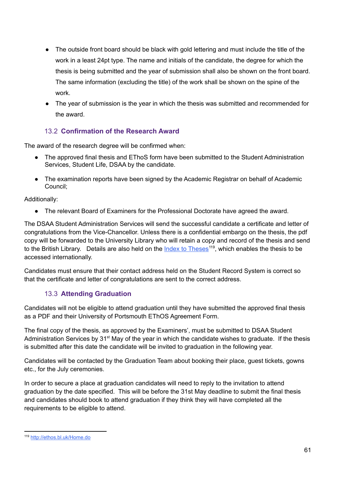- The outside front board should be black with gold lettering and must include the title of the work in a least 24pt type. The name and initials of the candidate, the degree for which the thesis is being submitted and the year of submission shall also be shown on the front board. The same information (excluding the title) of the work shall be shown on the spine of the work.
- The year of submission is the year in which the thesis was submitted and recommended for the award.

### 13.2 **Confirmation of the Research Award**

The award of the research degree will be confirmed when:

- The approved final thesis and EThoS form have been submitted to the Student Administration Services, Student Life, DSAA by the candidate.
- The examination reports have been signed by the Academic Registrar on behalf of Academic Council;

Additionally:

• The relevant Board of Examiners for the Professional Doctorate have agreed the award.

The DSAA Student Administration Services will send the successful candidate a certificate and letter of congratulations from the Vice-Chancellor. Unless there is a confidential embargo on the thesis, the pdf copy will be forwarded to the University Library who will retain a copy and record of the thesis and send to the British Library. Details are also held on the **Index to [Theses](http://ethos.bl.uk/Home.do)<sup>119</sup>, which enables the thesis to be** accessed internationally.

Candidates must ensure that their contact address held on the Student Record System is correct so that the certificate and letter of congratulations are sent to the correct address.

### 13.3 **Attending Graduation**

Candidates will not be eligible to attend graduation until they have submitted the approved final thesis as a PDF and their University of Portsmouth EThOS Agreement Form.

The final copy of the thesis, as approved by the Examiners', must be submitted to DSAA Student Administration Services by 31<sup>st</sup> May of the year in which the candidate wishes to graduate. If the thesis is submitted after this date the candidate will be invited to graduation in the following year.

Candidates will be contacted by the Graduation Team about booking their place, guest tickets, gowns etc., for the July ceremonies.

In order to secure a place at graduation candidates will need to reply to the invitation to attend graduation by the date specified. This will be before the 31st May deadline to submit the final thesis and candidates should book to attend graduation if they think they will have completed all the requirements to be eligible to attend.

<sup>119</sup> <http://ethos.bl.uk/Home.do>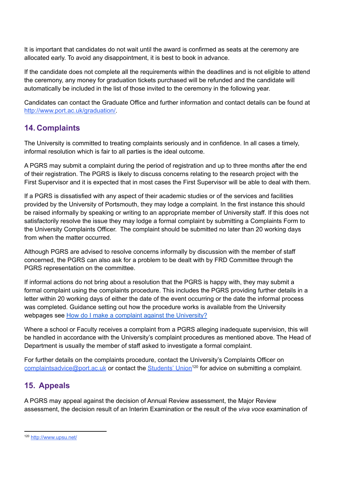It is important that candidates do not wait until the award is confirmed as seats at the ceremony are allocated early. To avoid any disappointment, it is best to book in advance.

If the candidate does not complete all the requirements within the deadlines and is not eligible to attend the ceremony, any money for graduation tickets purchased will be refunded and the candidate will automatically be included in the list of those invited to the ceremony in the following year.

Candidates can contact the Graduate Office and further information and contact details can be found at [http://www.port.ac.uk/graduation/.](http://www.port.ac.uk/graduation/)

### **14. Complaints**

The University is committed to treating complaints seriously and in confidence. In all cases a timely, informal resolution which is fair to all parties is the ideal outcome.

A PGRS may submit a complaint during the period of registration and up to three months after the end of their registration. The PGRS is likely to discuss concerns relating to the research project with the First Supervisor and it is expected that in most cases the First Supervisor will be able to deal with them.

If a PGRS is dissatisfied with any aspect of their academic studies or of the services and facilities provided by the University of Portsmouth, they may lodge a complaint. In the first instance this should be raised informally by speaking or writing to an appropriate member of University staff. If this does not satisfactorily resolve the issue they may lodge a formal complaint by submitting a Complaints Form to the University Complaints Officer. The complaint should be submitted no later than 20 working days from when the matter occurred.

Although PGRS are advised to resolve concerns informally by discussion with the member of staff concerned, the PGRS can also ask for a problem to be dealt with by FRD Committee through the PGRS representation on the committee.

If informal actions do not bring about a resolution that the PGRS is happy with, they may submit a formal complaint using the complaints procedure. This includes the PGRS providing further details in a letter within 20 working days of either the date of the event occurring or the date the informal process was completed. Guidance setting out how the procedure works is available from the University webpages see How do I make a complaint against the [University?](https://articlehub.port.ac.uk/portal/articles/1971?search_id=ec92656f-7342-4bf2-8a8f-9a6f46bb2a29)

Where a school or Faculty receives a complaint from a PGRS alleging inadequate supervision, this will be handled in accordance with the University's complaint procedures as mentioned above. The Head of Department is usually the member of staff asked to investigate a formal complaint.

For further details on the complaints procedure, contact the University's Complaints Officer on [complaintsadvice@port.ac.uk](mailto:complaintsadvice@port.ac.uk) or contact the [Students'](http://www.upsu.net/) Union<sup>120</sup> for advice on submitting a complaint.

# **15. Appeals**

A PGRS may appeal against the decision of Annual Review assessment, the Major Review assessment, the decision result of an Interim Examination or the result of the *viva voce* examination of

<sup>120</sup> <http://www.upsu.net/>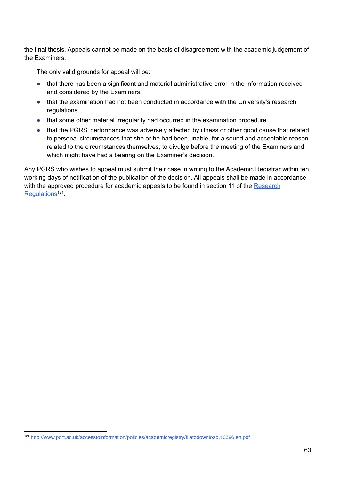the final thesis. Appeals cannot be made on the basis of disagreement with the academic judgement of the Examiners.

The only valid grounds for appeal will be:

- that there has been a significant and material administrative error in the information received and considered by the Examiners.
- that the examination had not been conducted in accordance with the University's research regulations.
- that some other material irregularity had occurred in the examination procedure.
- that the PGRS' performance was adversely affected by illness or other good cause that related to personal circumstances that she or he had been unable, for a sound and acceptable reason related to the circumstances themselves, to divulge before the meeting of the Examiners and which might have had a bearing on the Examiner's decision.

Any PGRS who wishes to appeal must submit their case in writing to the Academic Registrar within ten working days of notification of the publication of the decision. All appeals shall be made in accordance with the approved procedure for academic appeals to be found in section 11 of the [Research](http://www.port.ac.uk/accesstoinformation/policies/academicregistry/filetodownload,10396,en.pdf) [Regulations](http://www.port.ac.uk/accesstoinformation/policies/academicregistry/filetodownload,10396,en.pdf)<sup>121</sup>.

<sup>121</sup> <http://www.port.ac.uk/accesstoinformation/policies/academicregistry/filetodownload,10396,en.pdf>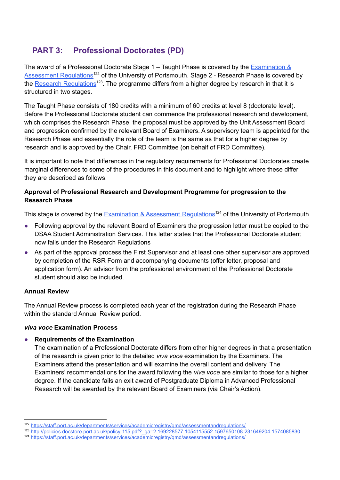## **PART 3: Professional Doctorates (PD)**

The award of a Professional Doctorate Stage  $1 -$  Taught Phase is covered by the [Examination](https://staff.port.ac.uk/departments/services/academicregistry/qmd/assessmentandregulations/) & [Assessment](https://staff.port.ac.uk/departments/services/academicregistry/qmd/assessmentandregulations/) Regulations<sup>122</sup> of the University of Portsmouth. Stage 2 - Research Phase is covered by the **Research [Regulations](http://policies.docstore.port.ac.uk/policy-115.pdf?_ga=2.169228577.1054115552.1597650108-231649204.1574085830)**<sup>123</sup>. The programme differs from a higher degree by research in that it is structured in two stages.

The Taught Phase consists of 180 credits with a minimum of 60 credits at level 8 (doctorate level). Before the Professional Doctorate student can commence the professional research and development, which comprises the Research Phase, the proposal must be approved by the Unit Assessment Board and progression confirmed by the relevant Board of Examiners. A supervisory team is appointed for the Research Phase and essentially the role of the team is the same as that for a higher degree by research and is approved by the Chair, FRD Committee (on behalf of FRD Committee).

It is important to note that differences in the regulatory requirements for Professional Doctorates create marginal differences to some of the procedures in this document and to highlight where these differ they are described as follows:

## **Approval of Professional Research and Development Programme for progression to the Research Phase**

This stage is covered by the [Examination](https://staff.port.ac.uk/departments/services/academicregistry/qmd/assessmentandregulations/) & Assessment Regulations<sup>124</sup> of the University of Portsmouth.

- Following approval by the relevant Board of Examiners the progression letter must be copied to the DSAA Student Administration Services. This letter states that the Professional Doctorate student now falls under the Research [Regulations](http://www.port.ac.uk/accesstoinformation/policies/academicregistry/filetodownload,10396,en.pdf)
- As part of the approval process the First Supervisor and at least one other supervisor are approved by completion of the RSR Form and accompanying documents (offer letter, proposal and application form). An advisor from the professional environment of the Professional Doctorate student should also be included.

## **Annual Review**

The Annual Review process is completed each year of the registration during the Research Phase within the standard Annual Review period.

## *viva voce* **Examination Process**

## ● **Requirements of the Examination**

The examination of a Professional Doctorate differs from other higher degrees in that a presentation of the research is given prior to the detailed *viva voce* examination by the Examiners. The Examiners attend the presentation and will examine the overall content and delivery. The Examiners' recommendations for the award following the *viva voce* are similar to those for a higher degree. If the candidate fails an exit award of Postgraduate Diploma in Advanced Professional Research will be awarded by the relevant Board of Examiners (via Chair's Action).

<sup>122</sup> <https://staff.port.ac.uk/departments/services/academicregistry/qmd/assessmentandregulations/>

<sup>123</sup> [http://policies.docstore.port.ac.uk/policy-115.pdf?\\_ga=2.169228577.1054115552.1597650108-231649204.1574085830](http://policies.docstore.port.ac.uk/policy-115.pdf?_ga=2.169228577.1054115552.1597650108-231649204.1574085830)

<sup>124</sup> <https://staff.port.ac.uk/departments/services/academicregistry/qmd/assessmentandregulations/>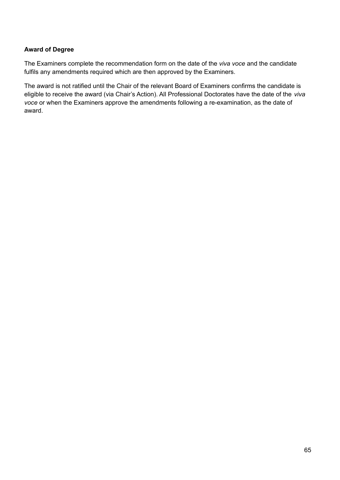## **Award of Degree**

The Examiners complete the recommendation form on the date of the *viva voce* and the candidate fulfils any amendments required which are then approved by the Examiners.

The award is not ratified until the Chair of the relevant Board of Examiners confirms the candidate is eligible to receive the award (via Chair's Action). All Professional Doctorates have the date of the *viva voce* or when the Examiners approve the amendments following a re-examination, as the date of award.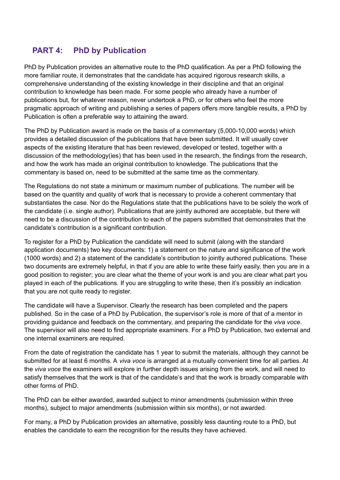## **PART 4: PhD by Publication**

PhD by Publication provides an alternative route to the PhD qualification. As per a PhD following the more familiar route, it demonstrates that the candidate has acquired rigorous research skills, a comprehensive understanding of the existing knowledge in their discipline and that an original contribution to knowledge has been made. For some people who already have a number of publications but, for whatever reason, never undertook a PhD, or for others who feel the more pragmatic approach of writing and publishing a series of papers offers more tangible results, a PhD by Publication is often a preferable way to attaining the award.

The PhD by Publication award is made on the basis of a commentary (5,000-10,000 words) which provides a detailed discussion of the publications that have been submitted. It will usually cover aspects of the existing literature that has been reviewed, developed or tested, together with a discussion of the methodology(ies) that has been used in the research, the findings from the research, and how the work has made an original contribution to knowledge. The publications that the commentary is based on, need to be submitted at the same time as the commentary.

The Regulations do not state a minimum or maximum number of publications. The number will be based on the quantity and quality of work that is necessary to provide a coherent commentary that substantiates the case. Nor do the Regulations state that the publications have to be solely the work of the candidate (i.e. single author). Publications that are jointly authored are acceptable, but there will need to be a discussion of the contribution to each of the papers submitted that demonstrates that the candidate's contribution is a significant contribution.

To register for a PhD by Publication the candidate will need to submit (along with the standard application documents) two key documents: 1) a statement on the nature and significance of the work (1000 words) and 2) a statement of the candidate's contribution to jointly authored publications. These two documents are extremely helpful, in that if you are able to write these fairly easily, then you are in a good position to register; you are clear what the theme of your work is and you are clear what part you played in each of the publications. If you are struggling to write these, then it's possibly an indication that you are not quite ready to register.

The candidate will have a Supervisor. Clearly the research has been completed and the papers published. So in the case of a PhD by Publication, the supervisor's role is more of that of a mentor in providing guidance and feedback on the commentary, and preparing the candidate for the *viva voce*. The supervisor will also need to find appropriate examiners. For a PhD by Publication, two external and one internal examiners are required.

From the date of registration the candidate has 1 year to submit the materials, although they cannot be submitted for at least 6 months. A *viva voce* is arranged at a mutually convenient time for all parties. At the *viva voce* the examiners will explore in further depth issues arising from the work, and will need to satisfy themselves that the work is that of the candidate's and that the work is broadly comparable with other forms of PhD.

The PhD can be either awarded, awarded subject to minor amendments (submission within three months), subject to major amendments (submission within six months), or not awarded.

For many, a PhD by Publication provides an alternative, possibly less daunting route to a PhD, but enables the candidate to earn the recognition for the results they have achieved.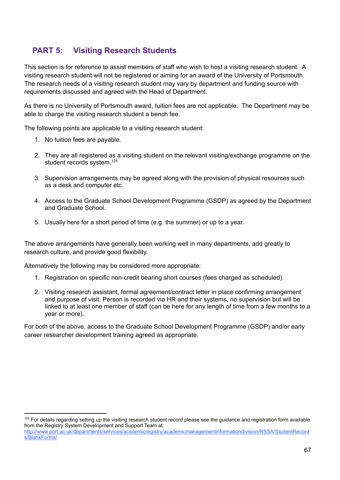## **PART 5: Visiting Research Students**

This section is for reference to assist members of staff who wish to host a visiting research student. A visiting research student will not be registered or aiming for an award of the University of Portsmouth. The research needs of a visiting research student may vary by department and funding source with requirements discussed and agreed with the Head of Department.

As there is no University of Portsmouth award, tuition fees are not applicable. The Department may be able to charge the visiting research student a bench fee.

The following points are applicable to a visiting research student:

- 1. No tuition fees are payable.
- 2. They are all registered as a visiting student on the relevant visiting/exchange programme on the student records system.<sup>125</sup>
- 3. Supervision arrangements may be agreed along with the provision of physical resources such as a desk and computer etc.
- 4. Access to the Graduate School Development Programme (GSDP) as agreed by the Department and Graduate School.
- 5. Usually here for a short period of time (e.g. the summer) or up to a year.

The above arrangements have generally been working well in many departments, add greatly to research culture, and provide good flexibility.

Alternatively the following may be considered more appropriate:

- 1. Registration on specific non-credit bearing short courses (fees charged as scheduled).
- 2. Visiting research assistant, formal agreement/contract letter in place confirming arrangement and purpose of visit. Person is recorded via HR and their systems, no supervision but will be linked to at least one member of staff (can be here for any length of time from a few months to a year or more).

For both of the above, access to the Graduate School Development Programme (GSDP) and/or early career researcher development training agreed as appropriate.

 $125$  For details regarding setting up the visiting research student record please see the guidance and registration form available from the Registry System Development and Support Team at:

[http://www.port.ac.uk/departments/services/academicregistry/academicmanagementinformationdivision/RSSA/StudentRecord](http://www.port.ac.uk/departments/services/academicregistry/academicmanagementinformationdivision/RSSA/StudentRecords/BlankForms/) [s/BlankForms/](http://www.port.ac.uk/departments/services/academicregistry/academicmanagementinformationdivision/RSSA/StudentRecords/BlankForms/)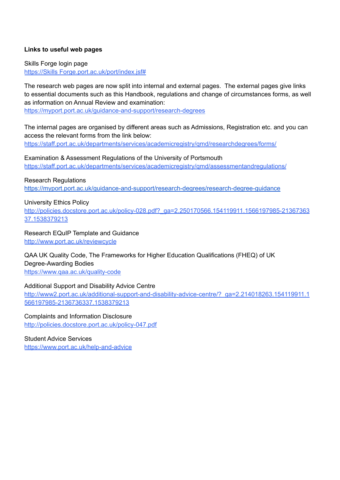### **Links to useful web pages**

Skills Forge login page https://Skills [Forge.port.ac.uk/port/index.jsf#](https://skillsforge.port.ac.uk/port/index.jsf)

The research web pages are now split into internal and external pages. The external pages give links to essential documents such as this Handbook, regulations and change of circumstances forms, as well as information on Annual Review and examination: <https://myport.port.ac.uk/guidance-and-support/research-degrees>

The internal pages are organised by different areas such as Admissions, Registration etc. and you can access the relevant forms from the link below:

<https://staff.port.ac.uk/departments/services/academicregistry/qmd/researchdegrees/forms/>

Examination & Assessment Regulations of the University of Portsmouth <https://staff.port.ac.uk/departments/services/academicregistry/qmd/assessmentandregulations/>

#### Research Regulations

<https://myport.port.ac.uk/guidance-and-support/research-degrees/research-degree-guidance>

#### University Ethics Policy

[http://policies.docstore.port.ac.uk/policy-028.pdf?\\_ga=2.250170566.154119911.1566197985-21367363](http://policies.docstore.port.ac.uk/policy-028.pdf?_ga=2.250170566.154119911.1566197985-2136736337.1538379213) [37.1538379213](http://policies.docstore.port.ac.uk/policy-028.pdf?_ga=2.250170566.154119911.1566197985-2136736337.1538379213)

Research EQuIP Template and Guidance

<http://www.port.ac.uk/reviewcycle>

QAA UK Quality Code, The Frameworks for Higher Education Qualifications (FHEQ) of UK Degree-Awarding Bodies

<https://www.qaa.ac.uk/quality-code>

#### Additional Support and Disability Advice Centre

[http://www2.port.ac.uk/additional-support-and-disability-advice-centre/?\\_ga=2.214018263.154119911.1](http://www2.port.ac.uk/additional-support-and-disability-advice-centre/?_ga=2.214018263.154119911.1566197985-2136736337.1538379213) [566197985-2136736337.1538379213](http://www2.port.ac.uk/additional-support-and-disability-advice-centre/?_ga=2.214018263.154119911.1566197985-2136736337.1538379213)

Complaints and Information Disclosure <http://policies.docstore.port.ac.uk/policy-047.pdf>

Student Advice Services <https://www.port.ac.uk/help-and-advice>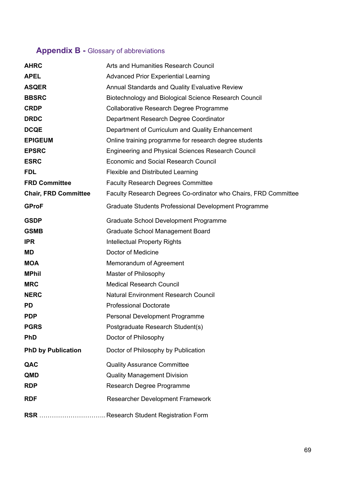# **Appendix B -** Glossary of abbreviations

| <b>AHRC</b>                 | Arts and Humanities Research Council                            |
|-----------------------------|-----------------------------------------------------------------|
| <b>APEL</b>                 | <b>Advanced Prior Experiential Learning</b>                     |
| <b>ASQER</b>                | Annual Standards and Quality Evaluative Review                  |
| <b>BBSRC</b>                | Biotechnology and Biological Science Research Council           |
| <b>CRDP</b>                 | Collaborative Research Degree Programme                         |
| <b>DRDC</b>                 | Department Research Degree Coordinator                          |
| <b>DCQE</b>                 | Department of Curriculum and Quality Enhancement                |
| <b>EPIGEUM</b>              | Online training programme for research degree students          |
| <b>EPSRC</b>                | <b>Engineering and Physical Sciences Research Council</b>       |
| <b>ESRC</b>                 | <b>Economic and Social Research Council</b>                     |
| <b>FDL</b>                  | <b>Flexible and Distributed Learning</b>                        |
| <b>FRD Committee</b>        | <b>Faculty Research Degrees Committee</b>                       |
| <b>Chair, FRD Committee</b> | Faculty Research Degrees Co-ordinator who Chairs, FRD Committee |
| <b>GProF</b>                | Graduate Students Professional Development Programme            |
| <b>GSDP</b>                 | Graduate School Development Programme                           |
| <b>GSMB</b>                 | <b>Graduate School Management Board</b>                         |
| <b>IPR</b>                  | <b>Intellectual Property Rights</b>                             |
| <b>MD</b>                   | Doctor of Medicine                                              |
| <b>MOA</b>                  | Memorandum of Agreement                                         |
| <b>MPhil</b>                | Master of Philosophy                                            |
| <b>MRC</b>                  | <b>Medical Research Council</b>                                 |
| <b>NERC</b>                 | Natural Environment Research Council                            |
| <b>PD</b>                   | <b>Professional Doctorate</b>                                   |
| <b>PDP</b>                  | Personal Development Programme                                  |
| <b>PGRS</b>                 | Postgraduate Research Student(s)                                |
| <b>PhD</b>                  | Doctor of Philosophy                                            |
| <b>PhD by Publication</b>   | Doctor of Philosophy by Publication                             |
| QAC                         | <b>Quality Assurance Committee</b>                              |
| <b>QMD</b>                  | <b>Quality Management Division</b>                              |
| <b>RDP</b>                  | Research Degree Programme                                       |
| <b>RDF</b>                  | Researcher Development Framework                                |
|                             |                                                                 |